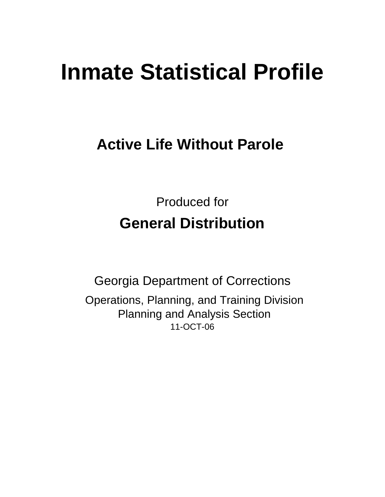# **Inmate Statistical Profile**

# **Active Life Without Parole**

Produced for **General Distribution**

11-OCT-06 Georgia Department of Corrections Operations, Planning, and Training Division Planning and Analysis Section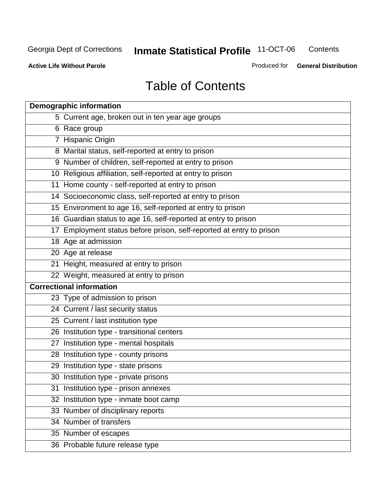**Contents** 

**Active Life Without Parole** 

Produced for **General Distribution**

# Table of Contents

| <b>Demographic information</b>                                       |
|----------------------------------------------------------------------|
| 5 Current age, broken out in ten year age groups                     |
| 6 Race group                                                         |
| 7 Hispanic Origin                                                    |
| 8 Marital status, self-reported at entry to prison                   |
| 9 Number of children, self-reported at entry to prison               |
| 10 Religious affiliation, self-reported at entry to prison           |
| 11 Home county - self-reported at entry to prison                    |
| 14 Socioeconomic class, self-reported at entry to prison             |
| 15 Environment to age 16, self-reported at entry to prison           |
| 16 Guardian status to age 16, self-reported at entry to prison       |
| 17 Employment status before prison, self-reported at entry to prison |
| 18 Age at admission                                                  |
| 20 Age at release                                                    |
| 21 Height, measured at entry to prison                               |
| 22 Weight, measured at entry to prison                               |
| <b>Correctional information</b>                                      |
| 23 Type of admission to prison                                       |
| 24 Current / last security status                                    |
| 25 Current / last institution type                                   |
| 26 Institution type - transitional centers                           |
| 27 Institution type - mental hospitals                               |
| 28 Institution type - county prisons                                 |
| 29 Institution type - state prisons                                  |
| 30 Institution type - private prisons                                |
| 31 Institution type - prison annexes                                 |
| 32 Institution type - inmate boot camp                               |
| 33 Number of disciplinary reports                                    |
| 34 Number of transfers                                               |
| 35 Number of escapes                                                 |
| 36 Probable future release type                                      |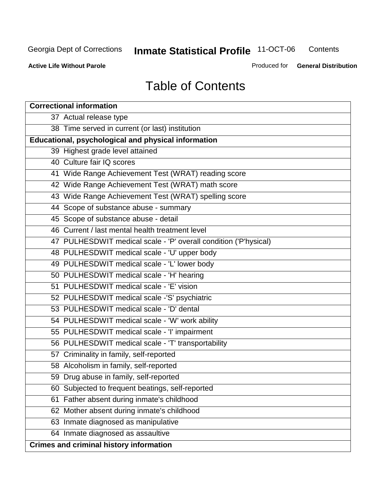**Contents** 

**Active Life Without Parole** 

Produced for **General Distribution**

# Table of Contents

| <b>Correctional information</b>                                  |
|------------------------------------------------------------------|
| 37 Actual release type                                           |
| 38 Time served in current (or last) institution                  |
| <b>Educational, psychological and physical information</b>       |
| 39 Highest grade level attained                                  |
| 40 Culture fair IQ scores                                        |
| 41 Wide Range Achievement Test (WRAT) reading score              |
| 42 Wide Range Achievement Test (WRAT) math score                 |
| 43 Wide Range Achievement Test (WRAT) spelling score             |
| 44 Scope of substance abuse - summary                            |
| 45 Scope of substance abuse - detail                             |
| 46 Current / last mental health treatment level                  |
| 47 PULHESDWIT medical scale - 'P' overall condition ('P'hysical) |
| 48 PULHESDWIT medical scale - 'U' upper body                     |
| 49 PULHESDWIT medical scale - 'L' lower body                     |
| 50 PULHESDWIT medical scale - 'H' hearing                        |
| 51 PULHESDWIT medical scale - 'E' vision                         |
| 52 PULHESDWIT medical scale -'S' psychiatric                     |
| 53 PULHESDWIT medical scale - 'D' dental                         |
| 54 PULHESDWIT medical scale - 'W' work ability                   |
| 55 PULHESDWIT medical scale - 'I' impairment                     |
| 56 PULHESDWIT medical scale - 'T' transportability               |
| 57 Criminality in family, self-reported                          |
| 58 Alcoholism in family, self-reported                           |
| 59 Drug abuse in family, self-reported                           |
| 60 Subjected to frequent beatings, self-reported                 |
| Father absent during inmate's childhood<br>61                    |
| 62 Mother absent during inmate's childhood                       |
| 63 Inmate diagnosed as manipulative                              |
| 64 Inmate diagnosed as assaultive                                |
| <b>Crimes and criminal history information</b>                   |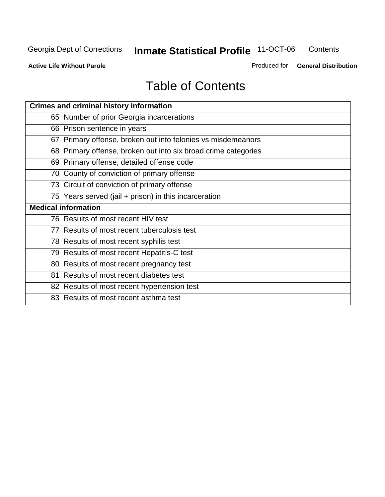**Contents** 

**Active Life Without Parole** 

Produced for **General Distribution**

# Table of Contents

| <b>Crimes and criminal history information</b>                 |
|----------------------------------------------------------------|
| 65 Number of prior Georgia incarcerations                      |
| 66 Prison sentence in years                                    |
| 67 Primary offense, broken out into felonies vs misdemeanors   |
| 68 Primary offense, broken out into six broad crime categories |
| 69 Primary offense, detailed offense code                      |
| 70 County of conviction of primary offense                     |
| 73 Circuit of conviction of primary offense                    |
| 75 Years served (jail + prison) in this incarceration          |
| <b>Medical information</b>                                     |
|                                                                |
| 76 Results of most recent HIV test                             |
| 77 Results of most recent tuberculosis test                    |
| 78 Results of most recent syphilis test                        |
| 79 Results of most recent Hepatitis-C test                     |
| 80 Results of most recent pregnancy test                       |
| 81 Results of most recent diabetes test                        |
| 82 Results of most recent hypertension test                    |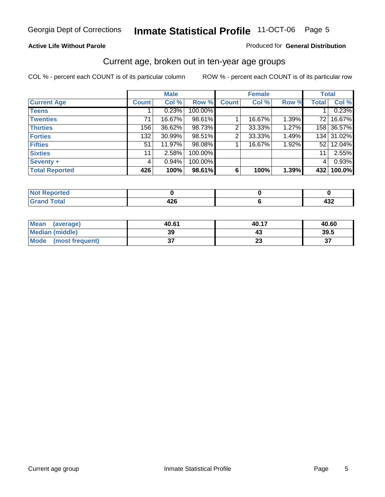#### **Active Life Without Parole**

#### Produced for **General Distribution**

#### Current age, broken out in ten-year age groups

|                       |              | <b>Male</b> |         |              | <b>Female</b> |       | <b>Total</b>          |            |
|-----------------------|--------------|-------------|---------|--------------|---------------|-------|-----------------------|------------|
| <b>Current Age</b>    | <b>Count</b> | Col %       | Row %   | <b>Count</b> | Col %         | Row % | <b>Total</b>          | Col %      |
| <b>Teens</b>          |              | 0.23%       | 100.00% |              |               |       |                       | 0.23%      |
| <b>Twenties</b>       | 71           | 16.67%      | 98.61%  |              | 16.67%        | 1.39% | 72 l                  | 16.67%     |
| <b>Thirties</b>       | 156          | 36.62%      | 98.73%  | 2            | 33.33%        | 1.27% |                       | 158 36.57% |
| <b>Forties</b>        | 132          | 30.99%      | 98.51%  | 2            | 33.33%        | 1.49% |                       | 134 31.02% |
| <b>Fifties</b>        | 51           | 11.97%      | 98.08%  |              | 16.67%        | 1.92% | 52 <sub>1</sub>       | 12.04%     |
| <b>Sixties</b>        | 11           | 2.58%       | 100.00% |              |               |       | 11 <sup>1</sup>       | 2.55%      |
| Seventy +             | 4            | 0.94%       | 100.00% |              |               |       | $\mathbf{4}^{\prime}$ | 0.93%      |
| <b>Total Reported</b> | 426          | 100%        | 98.61%  | 6            | 100%          | 1.39% | 432                   | 100.0%     |

| المستحدث والمتعاد<br>rtea<br>. <b>.</b> |        |     |
|-----------------------------------------|--------|-----|
| $f \wedge f \wedge f$<br>υιαι           | <br>-- | 7JZ |

| Mean<br>(average)       | 40.61    | 40.17    | 40.60   |
|-------------------------|----------|----------|---------|
| Median (middle)         | 39       |          | 39.5    |
| Mode<br>(most frequent) | ^-<br>v, | ~~<br>2. | ົ<br>J. |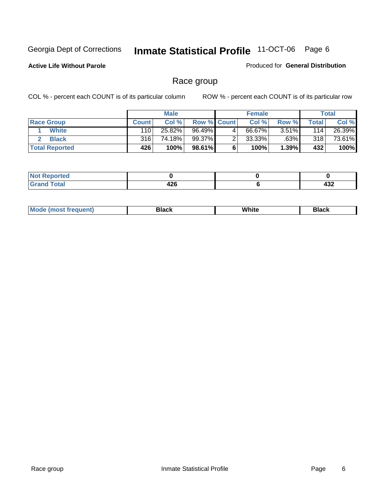**Active Life Without Parole** 

Produced for **General Distribution**

#### Race group

|                       |              | <b>Male</b> |             |   | <b>Female</b> |          |       | <b>Total</b> |
|-----------------------|--------------|-------------|-------------|---|---------------|----------|-------|--------------|
| <b>Race Group</b>     | <b>Count</b> | Col %       | Row % Count |   | Col %         | Row %    | Total | Col %        |
| <b>White</b>          | 110          | 25.82%      | 96.49%      | 4 | 66.67%        | $3.51\%$ | 114   | 26.39%       |
| <b>Black</b>          | 316          | 74.18%      | 99.37%      |   | $33.33\%$     | .63%     | 318   | 73.61%       |
| <b>Total Reported</b> | 426          | 100%        | 98.61%      |   | 100%          | 1.39%    | 432   | 100%         |

| eported<br>$\cdots$ |      |     |
|---------------------|------|-----|
| Code <sup>r</sup>   | 10C  | .   |
| $  -$               | 44 U | −∪∠ |

| $^1$ Mo. | Rlack | White | 3lack |
|----------|-------|-------|-------|
| .        |       |       |       |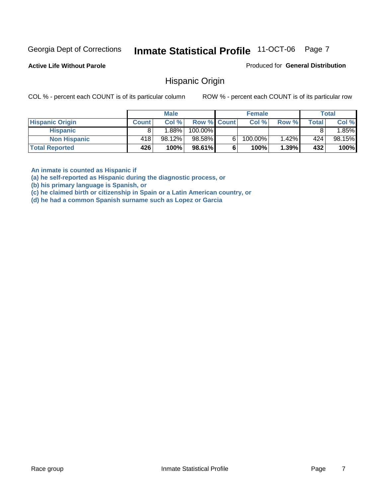**Active Life Without Parole** 

Produced for **General Distribution**

#### Hispanic Origin

COL % - percent each COUNT is of its particular column ROW % - percent each COUNT is of its particular row

|                        |              | <b>Male</b> |                    |   | <b>Female</b> |       |       | <b>Total</b> |
|------------------------|--------------|-------------|--------------------|---|---------------|-------|-------|--------------|
| <b>Hispanic Origin</b> | <b>Count</b> | Col%        | <b>Row % Count</b> |   | Col %         | Row % | Total | Col %        |
| <b>Hispanic</b>        |              | $1.88\%$    | 100.00%            |   |               |       |       | .85%         |
| <b>Non Hispanic</b>    | 418'         | 98.12%      | 98.58%             | 6 | 100.00%       | 1.42% | 424   | 98.15%       |
| <b>Total Reported</b>  | 426          | 100%        | 98.61%             |   | 100%          | 1.39% | 432   | 100%         |

**An inmate is counted as Hispanic if** 

**(a) he self-reported as Hispanic during the diagnostic process, or** 

**(b) his primary language is Spanish, or** 

**(c) he claimed birth or citizenship in Spain or a Latin American country, or** 

**(d) he had a common Spanish surname such as Lopez or Garcia**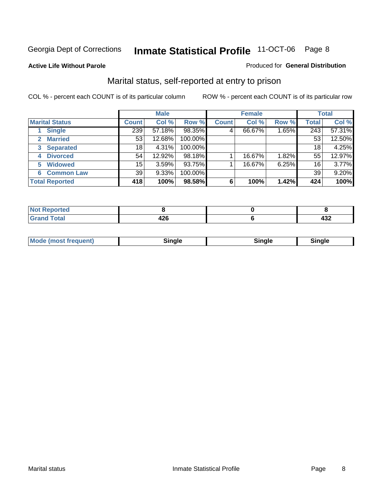#### **Active Life Without Parole**

#### Produced for **General Distribution**

#### Marital status, self-reported at entry to prison

|                        | <b>Male</b>  |        |         | <b>Female</b> |        |       | <b>Total</b> |        |
|------------------------|--------------|--------|---------|---------------|--------|-------|--------------|--------|
| <b>Marital Status</b>  | <b>Count</b> | Col %  | Row %   | <b>Count</b>  | Col %  | Row % | <b>Total</b> | Col %  |
| <b>Single</b>          | 239          | 57.18% | 98.35%  | 4             | 66.67% | 1.65% | 243          | 57.31% |
| <b>Married</b><br>2    | 53           | 12.68% | 100.00% |               |        |       | 53           | 12.50% |
| <b>Separated</b><br>3  | 18           | 4.31%  | 100.00% |               |        |       | 18           | 4.25%  |
| <b>Divorced</b><br>4   | 54           | 12.92% | 98.18%  |               | 16.67% | 1.82% | 55           | 12.97% |
| <b>Widowed</b><br>5    | 15           | 3.59%  | 93.75%  |               | 16.67% | 6.25% | 16           | 3.77%  |
| <b>Common Law</b><br>6 | 39           | 9.33%  | 100.00% |               |        |       | 39           | 9.20%  |
| <b>Total Reported</b>  | 418          | 100%   | 98.58%  | 6             | 100%   | 1.42% | 424          | 100%   |

| _____ | - -<br>$\sim$ | .<br>−∪∸ |
|-------|---------------|----------|

| <b>Mode (most frequent)</b><br>Sinale<br>≒ınale |
|-------------------------------------------------|
|-------------------------------------------------|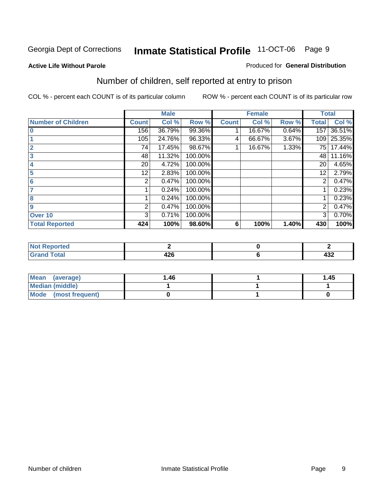#### **Active Life Without Parole**

#### Produced for **General Distribution**

### Number of children, self reported at entry to prison

|                           |              | <b>Male</b> |         |              | <b>Female</b> |       | <b>Total</b> |        |
|---------------------------|--------------|-------------|---------|--------------|---------------|-------|--------------|--------|
| <b>Number of Children</b> | <b>Count</b> | Col %       | Row %   | <b>Count</b> | Col %         | Row % | <b>Total</b> | Col %  |
| $\bf{0}$                  | 156          | 36.79%      | 99.36%  |              | 16.67%        | 0.64% | 157          | 36.51% |
|                           | 105          | 24.76%      | 96.33%  | 4            | 66.67%        | 3.67% | 109          | 25.35% |
| $\overline{2}$            | 74           | 17.45%      | 98.67%  |              | 16.67%        | 1.33% | 75           | 17.44% |
| 3                         | 48           | 11.32%      | 100.00% |              |               |       | 48           | 11.16% |
| 4                         | 20           | 4.72%       | 100.00% |              |               |       | 20           | 4.65%  |
| 5                         | 12.          | 2.83%       | 100.00% |              |               |       | 12           | 2.79%  |
| 6                         | 2            | 0.47%       | 100.00% |              |               |       | 2            | 0.47%  |
|                           |              | 0.24%       | 100.00% |              |               |       |              | 0.23%  |
| 8                         |              | 0.24%       | 100.00% |              |               |       |              | 0.23%  |
| 9                         | 2            | 0.47%       | 100.00% |              |               |       | 2            | 0.47%  |
| Over 10                   | 3            | 0.71%       | 100.00% |              |               |       | 3            | 0.70%  |
| <b>Total Reported</b>     | 424          | 100%        | 98.60%  | 6            | 100%          | 1.40% | 430          | 100%   |

| للمستقصاء<br>теа<br>N<br>. |            |            |
|----------------------------|------------|------------|
| $T = 4$<br>---<br>-        | ,,,<br>−∠∪ | ,,,<br>4JZ |

| <b>Mean</b><br>(average) | ،46. | 1.45 |
|--------------------------|------|------|
| <b>Median (middle)</b>   |      |      |
| Mode (most frequent)     |      |      |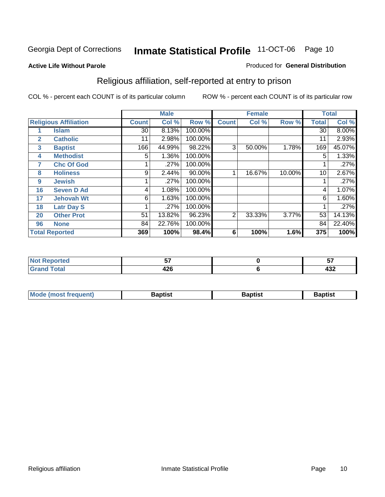#### **Active Life Without Parole**

#### Produced for **General Distribution**

### Religious affiliation, self-reported at entry to prison

|              |                              |              | <b>Male</b> |         |              | <b>Female</b> |        |              | <b>Total</b> |
|--------------|------------------------------|--------------|-------------|---------|--------------|---------------|--------|--------------|--------------|
|              | <b>Religious Affiliation</b> | <b>Count</b> | Col %       | Row %   | <b>Count</b> | Col %         | Row %  | <b>Total</b> | Col %        |
| 1            | <b>Islam</b>                 | 30           | 8.13%       | 100.00% |              |               |        | 30           | $8.00\%$     |
| $\mathbf{2}$ | <b>Catholic</b>              | 11           | 2.98%       | 100.00% |              |               |        | 11           | 2.93%        |
| 3            | <b>Baptist</b>               | 166          | 44.99%      | 98.22%  | 3            | 50.00%        | 1.78%  | 169          | 45.07%       |
| 4            | <b>Methodist</b>             | 5            | 1.36%       | 100.00% |              |               |        | 5            | 1.33%        |
| 7            | <b>Chc Of God</b>            |              | .27%        | 100.00% |              |               |        |              | .27%         |
| 8            | <b>Holiness</b>              | 9            | 2.44%       | 90.00%  |              | 16.67%        | 10.00% | 10           | 2.67%        |
| 9            | <b>Jewish</b>                |              | .27%        | 100.00% |              |               |        |              | .27%         |
| 16           | <b>Seven D Ad</b>            | 4            | 1.08%       | 100.00% |              |               |        | 4            | 1.07%        |
| 17           | <b>Jehovah Wt</b>            | 6            | 1.63%       | 100.00% |              |               |        | 6            | 1.60%        |
| 18           | <b>Latr Day S</b>            |              | .27%        | 100.00% |              |               |        |              | .27%         |
| 20           | <b>Other Prot</b>            | 51           | 13.82%      | 96.23%  | 2            | 33.33%        | 3.77%  | 53           | 14.13%       |
| 96           | <b>None</b>                  | 84           | 22.76%      | 100.00% |              |               |        | 84           | 22.40%       |
|              | <b>Total Reported</b>        | 369          | 100%        | 98.4%   | 6            | 100%          | 1.6%   | 375          | 100%         |

| <b>rted</b> | --         | --<br>            |
|-------------|------------|-------------------|
| <b>otal</b> | 190<br>−∠∪ | $\sqrt{2}$<br>−∪∠ |

| ' Mo<br>went | <b>}aptist</b> | Baptist<br>$ -$ | <b>Baptist</b> |
|--------------|----------------|-----------------|----------------|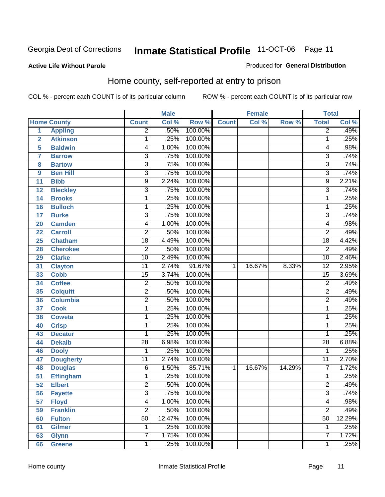#### **Active Life Without Parole**

#### Produced for **General Distribution**

#### Home county, self-reported at entry to prison

|                 |                    |                 | <b>Male</b> |         |              | <b>Female</b> |        | <b>Total</b>    |        |
|-----------------|--------------------|-----------------|-------------|---------|--------------|---------------|--------|-----------------|--------|
|                 | <b>Home County</b> | <b>Count</b>    | Col %       | Row %   | <b>Count</b> | Col %         | Row %  | <b>Total</b>    | Col %  |
| $\overline{1}$  | <b>Appling</b>     | $\overline{2}$  | .50%        | 100.00% |              |               |        | $\overline{2}$  | .49%   |
| $\overline{2}$  | <b>Atkinson</b>    | 1               | .25%        | 100.00% |              |               |        | 1               | .25%   |
| 5               | <b>Baldwin</b>     | 4               | 1.00%       | 100.00% |              |               |        | 4               | .98%   |
| 7               | <b>Barrow</b>      | 3               | .75%        | 100.00% |              |               |        | $\overline{3}$  | .74%   |
| 8               | <b>Bartow</b>      | $\overline{3}$  | .75%        | 100.00% |              |               |        | $\overline{3}$  | .74%   |
| 9               | <b>Ben Hill</b>    | 3               | .75%        | 100.00% |              |               |        | $\overline{3}$  | .74%   |
| 11              | <b>Bibb</b>        | $\overline{9}$  | 2.24%       | 100.00% |              |               |        | $\overline{9}$  | 2.21%  |
| 12              | <b>Bleckley</b>    | $\overline{3}$  | .75%        | 100.00% |              |               |        | $\overline{3}$  | .74%   |
| 14              | <b>Brooks</b>      | 1               | .25%        | 100.00% |              |               |        | 1               | .25%   |
| 16              | <b>Bulloch</b>     | 1               | .25%        | 100.00% |              |               |        | 1               | .25%   |
| 17              | <b>Burke</b>       | $\overline{3}$  | .75%        | 100.00% |              |               |        | $\overline{3}$  | .74%   |
| 20              | <b>Camden</b>      | 4               | 1.00%       | 100.00% |              |               |        | 4               | .98%   |
| 22              | <b>Carroll</b>     | 2               | .50%        | 100.00% |              |               |        | $\overline{2}$  | .49%   |
| 25              | <b>Chatham</b>     | $\overline{18}$ | 4.49%       | 100.00% |              |               |        | $\overline{18}$ | 4.42%  |
| 28              | <b>Cherokee</b>    | $\overline{2}$  | .50%        | 100.00% |              |               |        | $\overline{2}$  | .49%   |
| 29              | <b>Clarke</b>      | 10              | 2.49%       | 100.00% |              |               |        | 10              | 2.46%  |
| 31              | <b>Clayton</b>     | $\overline{11}$ | 2.74%       | 91.67%  | 1            | 16.67%        | 8.33%  | $\overline{12}$ | 2.95%  |
| 33              | <b>Cobb</b>        | 15              | 3.74%       | 100.00% |              |               |        | $\overline{15}$ | 3.69%  |
| 34              | <b>Coffee</b>      | $\overline{2}$  | .50%        | 100.00% |              |               |        | $\overline{2}$  | .49%   |
| 35              | <b>Colquitt</b>    | 2               | .50%        | 100.00% |              |               |        | $\overline{2}$  | .49%   |
| 36              | <b>Columbia</b>    | $\overline{2}$  | .50%        | 100.00% |              |               |        | $\overline{2}$  | .49%   |
| 37              | <b>Cook</b>        | 1               | .25%        | 100.00% |              |               |        | 1               | .25%   |
| 38              | <b>Coweta</b>      | 1               | .25%        | 100.00% |              |               |        | 1               | .25%   |
| 40              | <b>Crisp</b>       | 1               | .25%        | 100.00% |              |               |        | 1               | .25%   |
| 43              | <b>Decatur</b>     | 1               | .25%        | 100.00% |              |               |        | 1               | .25%   |
| 44              | <b>Dekalb</b>      | $\overline{28}$ | 6.98%       | 100.00% |              |               |        | $\overline{28}$ | 6.88%  |
| 46              | <b>Dooly</b>       | 1               | .25%        | 100.00% |              |               |        | 1               | .25%   |
| 47              | <b>Dougherty</b>   | 11              | 2.74%       | 100.00% |              |               |        | 11              | 2.70%  |
| 48              | <b>Douglas</b>     | 6               | 1.50%       | 85.71%  | 1            | 16.67%        | 14.29% | $\overline{7}$  | 1.72%  |
| 51              | <b>Effingham</b>   | 1               | .25%        | 100.00% |              |               |        | 1               | .25%   |
| $\overline{52}$ | <b>Elbert</b>      | $\overline{2}$  | .50%        | 100.00% |              |               |        | $\overline{2}$  | .49%   |
| 56              | <b>Fayette</b>     | 3               | .75%        | 100.00% |              |               |        | 3               | .74%   |
| 57              | <b>Floyd</b>       | 4               | 1.00%       | 100.00% |              |               |        | 4               | .98%   |
| 59              | <b>Franklin</b>    | $\overline{2}$  | .50%        | 100.00% |              |               |        | $\overline{2}$  | .49%   |
| 60              | <b>Fulton</b>      | $\overline{50}$ | 12.47%      | 100.00% |              |               |        | $\overline{50}$ | 12.29% |
| 61              | <b>Gilmer</b>      | 1               | .25%        | 100.00% |              |               |        | 1               | .25%   |
| 63              | <b>Glynn</b>       | 7               | 1.75%       | 100.00% |              |               |        | $\overline{7}$  | 1.72%  |
| 66              | <b>Greene</b>      | 1               | .25%        | 100.00% |              |               |        | 1               | .25%   |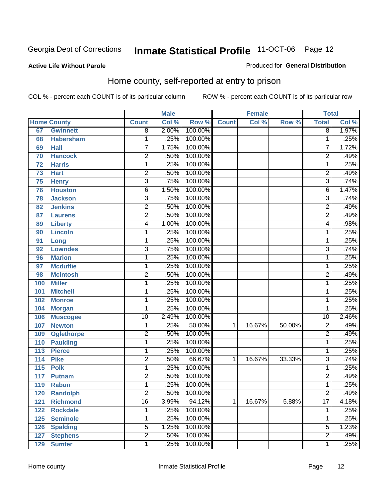#### **Active Life Without Parole**

#### Produced for **General Distribution**

#### Home county, self-reported at entry to prison

|                  |                    |                 | <b>Male</b> |         |              | <b>Female</b> |        | <b>Total</b>    |       |
|------------------|--------------------|-----------------|-------------|---------|--------------|---------------|--------|-----------------|-------|
|                  | <b>Home County</b> | <b>Count</b>    | Col %       | Row %   | <b>Count</b> | Col %         | Row %  | <b>Total</b>    | Col % |
| 67               | <b>Gwinnett</b>    | $\overline{8}$  | 2.00%       | 100.00% |              |               |        | $\overline{8}$  | 1.97% |
| 68               | <b>Habersham</b>   | 1               | .25%        | 100.00% |              |               |        | 1               | .25%  |
| 69               | <b>Hall</b>        | 7               | 1.75%       | 100.00% |              |               |        | 7               | 1.72% |
| 70               | <b>Hancock</b>     | $\overline{c}$  | .50%        | 100.00% |              |               |        | 2               | .49%  |
| 72               | <b>Harris</b>      | 1               | .25%        | 100.00% |              |               |        | 1               | .25%  |
| 73               | <b>Hart</b>        | $\overline{2}$  | .50%        | 100.00% |              |               |        | $\overline{2}$  | .49%  |
| 75               | <b>Henry</b>       | $\overline{3}$  | .75%        | 100.00% |              |               |        | 3               | .74%  |
| 76               | <b>Houston</b>     | 6               | 1.50%       | 100.00% |              |               |        | 6               | 1.47% |
| 78               | <b>Jackson</b>     | $\overline{3}$  | .75%        | 100.00% |              |               |        | 3               | .74%  |
| 82               | <b>Jenkins</b>     | $\overline{2}$  | .50%        | 100.00% |              |               |        | 2               | .49%  |
| 87               | <b>Laurens</b>     | $\overline{2}$  | .50%        | 100.00% |              |               |        | $\overline{2}$  | .49%  |
| 89               | <b>Liberty</b>     | 4               | 1.00%       | 100.00% |              |               |        | 4               | .98%  |
| 90               | <b>Lincoln</b>     | 1               | .25%        | 100.00% |              |               |        | 1               | .25%  |
| 91               | Long               | 1               | .25%        | 100.00% |              |               |        | 1               | .25%  |
| 92               | <b>Lowndes</b>     | 3               | .75%        | 100.00% |              |               |        | 3               | .74%  |
| 96               | <b>Marion</b>      | 1               | .25%        | 100.00% |              |               |        | 1               | .25%  |
| 97               | <b>Mcduffie</b>    | 1               | .25%        | 100.00% |              |               |        | 1               | .25%  |
| 98               | <b>Mcintosh</b>    | $\overline{c}$  | .50%        | 100.00% |              |               |        | $\overline{2}$  | .49%  |
| 100              | <b>Miller</b>      | $\mathbf 1$     | .25%        | 100.00% |              |               |        | 1               | .25%  |
| 101              | <b>Mitchell</b>    | $\mathbf 1$     | .25%        | 100.00% |              |               |        | 1               | .25%  |
| 102              | <b>Monroe</b>      | $\mathbf{1}$    | .25%        | 100.00% |              |               |        | 1               | .25%  |
| 104              | <b>Morgan</b>      | 1               | .25%        | 100.00% |              |               |        | 1               | .25%  |
| 106              | <b>Muscogee</b>    | $\overline{10}$ | 2.49%       | 100.00% |              |               |        | $\overline{10}$ | 2.46% |
| 107              | <b>Newton</b>      | 1               | .25%        | 50.00%  | 1            | 16.67%        | 50.00% | $\overline{c}$  | .49%  |
| 109              | <b>Oglethorpe</b>  | $\overline{2}$  | .50%        | 100.00% |              |               |        | $\overline{2}$  | .49%  |
| 110              | <b>Paulding</b>    | 1               | .25%        | 100.00% |              |               |        | 1               | .25%  |
| 113              | <b>Pierce</b>      | $\mathbf 1$     | .25%        | 100.00% |              |               |        | 1               | .25%  |
| 114              | <b>Pike</b>        | $\overline{c}$  | .50%        | 66.67%  | 1            | 16.67%        | 33.33% | 3               | .74%  |
| $\overline{115}$ | <b>Polk</b>        | $\mathbf{1}$    | .25%        | 100.00% |              |               |        | 1               | .25%  |
| 117              | <b>Putnam</b>      | $\overline{2}$  | .50%        | 100.00% |              |               |        | $\overline{2}$  | .49%  |
| 119              | <b>Rabun</b>       | 1               | .25%        | 100.00% |              |               |        | 1               | .25%  |
| 120              | <b>Randolph</b>    | 2               | .50%        | 100.00% |              |               |        | 2               | .49%  |
| 121              | <b>Richmond</b>    | $\overline{16}$ | 3.99%       | 94.12%  | 1            | 16.67%        | 5.88%  | $\overline{17}$ | 4.18% |
| 122              | <b>Rockdale</b>    | 1               | .25%        | 100.00% |              |               |        | 1               | .25%  |
| 125              | <b>Seminole</b>    | $\mathbf 1$     | .25%        | 100.00% |              |               |        | 1               | .25%  |
| 126              | <b>Spalding</b>    | 5               | 1.25%       | 100.00% |              |               |        | 5               | 1.23% |
| 127              | <b>Stephens</b>    | $\overline{2}$  | .50%        | 100.00% |              |               |        | 2               | .49%  |
| 129              | <b>Sumter</b>      | 1               | .25%        | 100.00% |              |               |        | 1               | .25%  |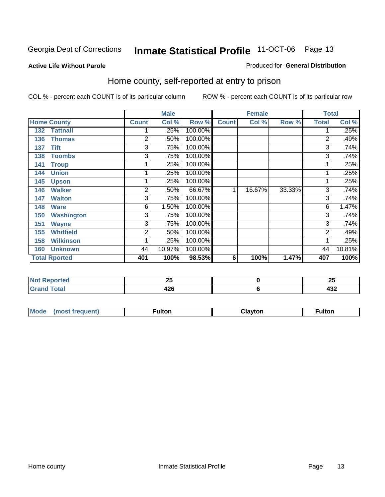#### **Active Life Without Parole**

#### Produced for **General Distribution**

#### Home county, self-reported at entry to prison

|     |                      |                | <b>Male</b> |         |              | <b>Female</b> |        | <b>Total</b> |        |
|-----|----------------------|----------------|-------------|---------|--------------|---------------|--------|--------------|--------|
|     | <b>Home County</b>   | <b>Count</b>   | Col %       | Row %   | <b>Count</b> | Col %         | Row %  | <b>Total</b> | Col %  |
| 132 | <b>Tattnall</b>      |                | .25%        | 100.00% |              |               |        |              | .25%   |
| 136 | <b>Thomas</b>        | 2              | .50%        | 100.00% |              |               |        | 2            | .49%   |
| 137 | <b>Tift</b>          | 3              | .75%        | 100.00% |              |               |        | 3            | .74%   |
| 138 | <b>Toombs</b>        | 3              | .75%        | 100.00% |              |               |        | 3            | .74%   |
| 141 | <b>Troup</b>         |                | .25%        | 100.00% |              |               |        |              | .25%   |
| 144 | <b>Union</b>         |                | .25%        | 100.00% |              |               |        |              | .25%   |
| 145 | <b>Upson</b>         |                | .25%        | 100.00% |              |               |        |              | .25%   |
| 146 | <b>Walker</b>        | $\overline{2}$ | .50%        | 66.67%  | 1            | 16.67%        | 33.33% | 3            | .74%   |
| 147 | <b>Walton</b>        | 3              | .75%        | 100.00% |              |               |        | 3            | .74%   |
| 148 | <b>Ware</b>          | 6              | 1.50%       | 100.00% |              |               |        | 6            | 1.47%  |
| 150 | <b>Washington</b>    | 3              | .75%        | 100.00% |              |               |        | 3            | .74%   |
| 151 | <b>Wayne</b>         | 3              | .75%        | 100.00% |              |               |        | 3            | .74%   |
| 155 | <b>Whitfield</b>     | $\overline{2}$ | .50%        | 100.00% |              |               |        | 2            | .49%   |
| 158 | <b>Wilkinson</b>     | 1              | .25%        | 100.00% |              |               |        |              | .25%   |
| 160 | <b>Unknown</b>       | 44             | 10.97%      | 100.00% |              |               |        | 44           | 10.81% |
|     | <b>Total Rported</b> | 401            | 100%        | 98.53%  | 6            | 100%          | 1.47%  | 407          | 100%   |

| $\sim$ | Lu<br>$\sim$  | ሳይ<br>∠J |
|--------|---------------|----------|
| ---    | $\sim$<br>44U | "^^<br>╍ |

| Mode<br>(most frequent) | <b>ulton</b> | ાavton | ulton |
|-------------------------|--------------|--------|-------|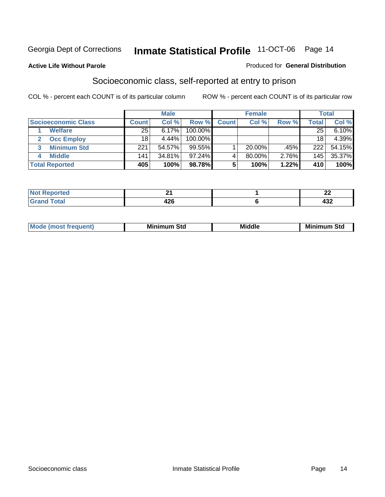#### **Active Life Without Parole**

#### Produced for **General Distribution**

#### Socioeconomic class, self-reported at entry to prison

|                            | <b>Male</b>  |        |            | <b>Female</b> |           |       | <b>Total</b> |        |
|----------------------------|--------------|--------|------------|---------------|-----------|-------|--------------|--------|
| <b>Socioeconomic Class</b> | <b>Count</b> | Col %  | Row %      | <b>Count</b>  | Col %     | Row % | <b>Total</b> | Col %  |
| <b>Welfare</b>             | 25           | 6.17%  | 100.00%    |               |           |       | 25           | 6.10%  |
| <b>Occ Employ</b>          | 18           | 4.44%  | $100.00\%$ |               |           |       | 18           | 4.39%  |
| <b>Minimum Std</b>         | 221          | 54.57% | $99.55\%$  |               | $20.00\%$ | .45%  | 222          | 54.15% |
| <b>Middle</b>              | 141          | 34.81% | $97.24\%$  |               | 80.00%    | 2.76% | 145          | 35.37% |
| <b>Total Reported</b>      | 405          | 100%   | 98.78%     |               | 100%      | 1.22% | 410          | 100%   |

| rteo                      | <b></b>     | $\overline{\phantom{a}}$<br>-- |
|---------------------------|-------------|--------------------------------|
| Code"<br>υιαι<br>$\sim$ . | . מ<br>44 Y | .<br>.<br>א∪+                  |

| M<br>Mir<br>Mi<br><b>Middle</b><br><b>C</b> ta<br>Sta<br>oτu<br>.<br>the contract of the contract of the contract of the contract of the contract of the contract of the contract of<br>- - - - |
|-------------------------------------------------------------------------------------------------------------------------------------------------------------------------------------------------|
|-------------------------------------------------------------------------------------------------------------------------------------------------------------------------------------------------|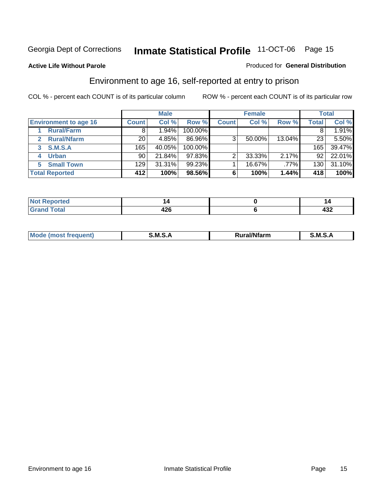**Active Life Without Parole** 

#### Produced for **General Distribution**

#### Environment to age 16, self-reported at entry to prison

|                              | <b>Male</b>     |        | <b>Female</b> |              |        | <b>Total</b> |       |        |
|------------------------------|-----------------|--------|---------------|--------------|--------|--------------|-------|--------|
| <b>Environment to age 16</b> | <b>Count</b>    | Col %  | Row %         | <b>Count</b> | Col %  | Row %        | Total | Col %  |
| <b>Rural/Farm</b>            | 8               | 1.94%  | 100.00%       |              |        |              |       | 1.91%  |
| <b>Rural/Nfarm</b>           | 20 <sub>1</sub> | 4.85%  | 86.96%        | 3            | 50.00% | 13.04%       | 23    | 5.50%  |
| <b>S.M.S.A</b><br>3          | 165             | 40.05% | 100.00%       |              |        |              | 165   | 39.47% |
| <b>Urban</b>                 | 90              | 21.84% | $97.83\%$     |              | 33.33% | 2.17%        | 92    | 22.01% |
| <b>Small Town</b><br>5.      | 129             | 31.31% | $99.23\%$     |              | 16.67% | .77%         | 130   | 31.10% |
| <b>Total Reported</b>        | 412             | 100%   | 98.56%        | 6            | 100%   | 1.44%        | 418   | 100%   |

| <b>Not</b><br><b>Reported</b><br>. |             |     |
|------------------------------------|-------------|-----|
| <b>Total</b><br>Cror               | 1つに<br>44 Y | 49∠ |

| Mo<br>м s<br>M<br>---<br>.<br>□……<br>rarr |  |  |
|-------------------------------------------|--|--|
|                                           |  |  |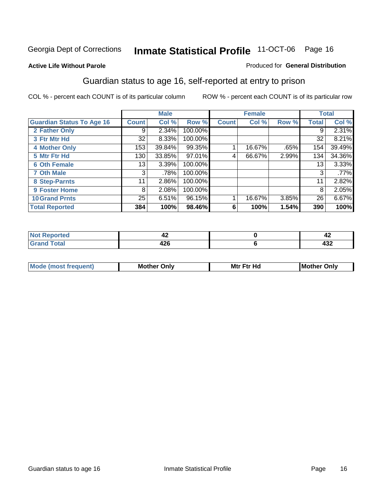#### **Active Life Without Parole**

#### Produced for **General Distribution**

#### Guardian status to age 16, self-reported at entry to prison

|                                  |              | <b>Male</b> |         |              | <b>Female</b> |       |              | <b>Total</b> |
|----------------------------------|--------------|-------------|---------|--------------|---------------|-------|--------------|--------------|
| <b>Guardian Status To Age 16</b> | <b>Count</b> | Col %       | Row %   | <b>Count</b> | Col %         | Row % | <b>Total</b> | Col %        |
| 2 Father Only                    | 9            | 2.34%       | 100.00% |              |               |       | 9            | 2.31%        |
| 3 Ftr Mtr Hd                     | 32           | $8.33\%$    | 100.00% |              |               |       | 32           | 8.21%        |
| <b>4 Mother Only</b>             | 153          | 39.84%      | 99.35%  |              | 16.67%        | .65%  | 154          | 39.49%       |
| 5 Mtr Ftr Hd                     | 130          | 33.85%      | 97.01%  | 4            | 66.67%        | 2.99% | 134          | 34.36%       |
| <b>6 Oth Female</b>              | 13           | 3.39%       | 100.00% |              |               |       | 13           | 3.33%        |
| <b>7 Oth Male</b>                | 3            | .78%        | 100.00% |              |               |       | 3            | .77%         |
| 8 Step-Parnts                    | 11           | 2.86%       | 100.00% |              |               |       | 11           | 2.82%        |
| 9 Foster Home                    | 8            | 2.08%       | 100.00% |              |               |       | 8            | 2.05%        |
| <b>10 Grand Prnts</b>            | 25           | 6.51%       | 96.15%  |              | 16.67%        | 3.85% | 26           | 6.67%        |
| <b>Total Reported</b>            | 384          | 100%        | 98.46%  | 6            | 100%          | 1.54% | 390          | 100%         |

|               | - 2                         |
|---------------|-----------------------------|
| - -<br>$\sim$ | $\sim$ $\sim$<br>ᅮᇦᆇ<br>___ |

| <b>Mou</b> | Mother<br>Onlv | Hd<br>Mtr<br>E4w | M<br>Only<br>. |
|------------|----------------|------------------|----------------|
|            |                |                  |                |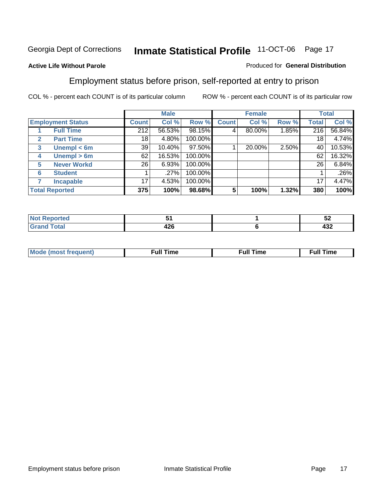#### **Active Life Without Parole**

#### Produced for **General Distribution**

#### Employment status before prison, self-reported at entry to prison

|                          |                              |              | <b>Male</b> |         |              | <b>Female</b> |       |                  | <b>Total</b> |
|--------------------------|------------------------------|--------------|-------------|---------|--------------|---------------|-------|------------------|--------------|
| <b>Employment Status</b> |                              | <b>Count</b> | Col %       | Row %   | <b>Count</b> | Col %         | Row % | Total            | Col %        |
|                          | <b>Full Time</b>             | 212          | 56.53%      | 98.15%  |              | 80.00%        | 1.85% | $\overline{216}$ | 56.84%       |
| $\mathbf{2}$             | <b>Part Time</b>             | 18           | 4.80%       | 100.00% |              |               |       | 18               | 4.74%        |
| 3                        | Unempl $<$ 6m                | 39           | 10.40%      | 97.50%  |              | 20.00%        | 2.50% | 40               | 10.53%       |
| 4                        | Unempl $> 6m$                | 62           | 16.53%      | 100.00% |              |               |       | 62               | 16.32%       |
| 5                        | <b>Never Workd</b>           | 26           | 6.93%       | 100.00% |              |               |       | 26               | 6.84%        |
| 6                        | <b>Student</b>               |              | .27%        | 100.00% |              |               |       |                  | .26%         |
|                          | <b>Incapable</b>             | 17           | 4.53%       | 100.00% |              |               |       | 17               | 4.47%        |
|                          | 375<br><b>Total Reported</b> |              | 100%        | 98.68%  | 5            | 100%          | 1.32% | 380              | 100%         |

| reu :   |      | --<br>◡▵ |
|---------|------|----------|
| データーデー  | .    | ,,,      |
| _______ | 44 U | 4JZ      |

| <b>M</b> ດ | the contract of the contract of the contract of the contract of the contract of the contract of the contract of | , ull i<br>ıme<br>the contract of the contract of the contract of the contract of the contract of the contract of the contract of | ïme<br>uı<br>$\sim$ $\sim$ $\sim$ $\sim$ $\sim$ |
|------------|-----------------------------------------------------------------------------------------------------------------|-----------------------------------------------------------------------------------------------------------------------------------|-------------------------------------------------|
|            |                                                                                                                 |                                                                                                                                   |                                                 |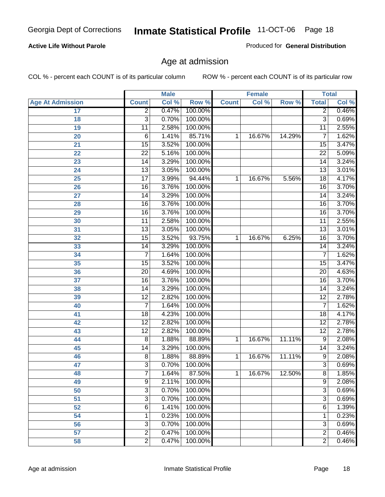#### **Active Life Without Parole**

Produced for **General Distribution**

#### Age at admission

|                         |                 | <b>Male</b> |         | <b>Female</b> |        | <b>Total</b> |                 |       |
|-------------------------|-----------------|-------------|---------|---------------|--------|--------------|-----------------|-------|
| <b>Age At Admission</b> | <b>Count</b>    | Col %       | Row %   | <b>Count</b>  | Col %  | Row %        | <b>Total</b>    | Col % |
| 17                      | $\overline{2}$  | 0.47%       | 100.00% |               |        |              | 2               | 0.46% |
| 18                      | $\overline{3}$  | 0.70%       | 100.00% |               |        |              | $\overline{3}$  | 0.69% |
| 19                      | $\overline{11}$ | 2.58%       | 100.00% |               |        |              | $\overline{11}$ | 2.55% |
| 20                      | 6               | 1.41%       | 85.71%  | 1             | 16.67% | 14.29%       | 7               | 1.62% |
| 21                      | 15              | 3.52%       | 100.00% |               |        |              | 15              | 3.47% |
| 22                      | $\overline{22}$ | 5.16%       | 100.00% |               |        |              | $\overline{22}$ | 5.09% |
| 23                      | $\overline{14}$ | 3.29%       | 100.00% |               |        |              | $\overline{14}$ | 3.24% |
| 24                      | $\overline{13}$ | 3.05%       | 100.00% |               |        |              | 13              | 3.01% |
| 25                      | $\overline{17}$ | 3.99%       | 94.44%  | 1             | 16.67% | 5.56%        | 18              | 4.17% |
| 26                      | 16              | 3.76%       | 100.00% |               |        |              | 16              | 3.70% |
| 27                      | $\overline{14}$ | 3.29%       | 100.00% |               |        |              | $\overline{14}$ | 3.24% |
| 28                      | $\overline{16}$ | 3.76%       | 100.00% |               |        |              | 16              | 3.70% |
| 29                      | $\overline{16}$ | 3.76%       | 100.00% |               |        |              | $\overline{16}$ | 3.70% |
| 30                      | $\overline{11}$ | 2.58%       | 100.00% |               |        |              | 11              | 2.55% |
| 31                      | $\overline{13}$ | 3.05%       | 100.00% |               |        |              | $\overline{13}$ | 3.01% |
| 32                      | 15              | 3.52%       | 93.75%  | 1             | 16.67% | 6.25%        | 16              | 3.70% |
| 33                      | 14              | 3.29%       | 100.00% |               |        |              | 14              | 3.24% |
| 34                      | 7               | 1.64%       | 100.00% |               |        |              | 7               | 1.62% |
| 35                      | 15              | 3.52%       | 100.00% |               |        |              | 15              | 3.47% |
| 36                      | $\overline{20}$ | 4.69%       | 100.00% |               |        |              | $\overline{20}$ | 4.63% |
| 37                      | $\overline{16}$ | 3.76%       | 100.00% |               |        |              | $\overline{16}$ | 3.70% |
| 38                      | $\overline{14}$ | 3.29%       | 100.00% |               |        |              | 14              | 3.24% |
| 39                      | $\overline{12}$ | 2.82%       | 100.00% |               |        |              | $\overline{12}$ | 2.78% |
| 40                      | 7               | 1.64%       | 100.00% |               |        |              | 7               | 1.62% |
| 41                      | 18              | 4.23%       | 100.00% |               |        |              | 18              | 4.17% |
| 42                      | $\overline{12}$ | 2.82%       | 100.00% |               |        |              | $\overline{12}$ | 2.78% |
| 43                      | $\overline{12}$ | 2.82%       | 100.00% |               |        |              | $\overline{12}$ | 2.78% |
| 44                      | 8               | 1.88%       | 88.89%  | 1             | 16.67% | 11.11%       | 9               | 2.08% |
| 45                      | 14              | 3.29%       | 100.00% |               |        |              | 14              | 3.24% |
| 46                      | $\overline{8}$  | 1.88%       | 88.89%  | 1             | 16.67% | 11.11%       | $\overline{9}$  | 2.08% |
| 47                      | 3               | 0.70%       | 100.00% |               |        |              | $\overline{3}$  | 0.69% |
| 48                      | 7               | 1.64%       | 87.50%  | 1             | 16.67% | 12.50%       | 8               | 1.85% |
| 49                      | 9               | 2.11%       | 100.00% |               |        |              | 9               | 2.08% |
| 50                      | $\overline{3}$  | 0.70%       | 100.00% |               |        |              | $\overline{3}$  | 0.69% |
| 51                      | 3               | 0.70%       | 100.00% |               |        |              | $\overline{3}$  | 0.69% |
| 52                      | 6               | 1.41%       | 100.00% |               |        |              | 6               | 1.39% |
| 54                      | 1               | 0.23%       | 100.00% |               |        |              | 1               | 0.23% |
| 56                      | 3               | 0.70%       | 100.00% |               |        |              | $\overline{3}$  | 0.69% |
| 57                      | $\overline{2}$  | 0.47%       | 100.00% |               |        |              | $\overline{2}$  | 0.46% |
| 58                      | $\overline{2}$  | 0.47%       | 100.00% |               |        |              | $\overline{2}$  | 0.46% |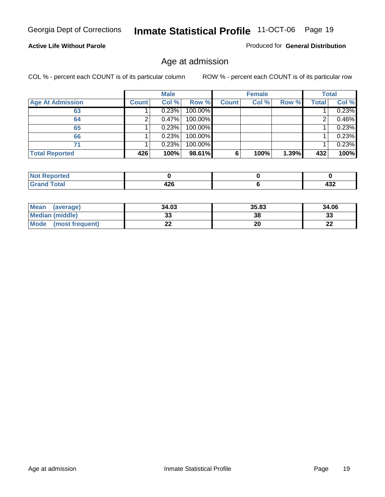#### **Active Life Without Parole**

Produced for **General Distribution**

#### Age at admission

|                         |              | <b>Male</b> |         |              | <b>Female</b> |       |              | <b>Total</b> |
|-------------------------|--------------|-------------|---------|--------------|---------------|-------|--------------|--------------|
| <b>Age At Admission</b> | <b>Count</b> | Col %       | Row %   | <b>Count</b> | Col %         | Row % | <b>Total</b> | Col %        |
| 63                      |              | 0.23%       | 100.00% |              |               |       |              | 0.23%        |
| 64                      |              | 0.47%       | 100.00% |              |               |       |              | 0.46%        |
| 65                      |              | 0.23%       | 100.00% |              |               |       |              | 0.23%        |
| 66                      |              | 0.23%       | 100.00% |              |               |       |              | 0.23%        |
| 71                      |              | 0.23%       | 100.00% |              |               |       |              | 0.23%        |
| <b>Total Reported</b>   | 426          | 100%        | 98.61%  | 6            | 100%          | 1.39% | 432          | 100%         |

| orted<br>N<br>. . <b>. .</b> . |                |     |
|--------------------------------|----------------|-----|
| i'otal                         | 0 <sup>c</sup> | 100 |
| _____                          | 44 U           | 95∠ |

| <b>Mean</b><br>(average)       | 34.03 | 35.83 | 34.06     |
|--------------------------------|-------|-------|-----------|
| <b>Median (middle)</b>         | ບບ    | 38    | າາ<br>აა  |
| <b>Mode</b><br>(most frequent) | --    | 20    | nr.<br>LL |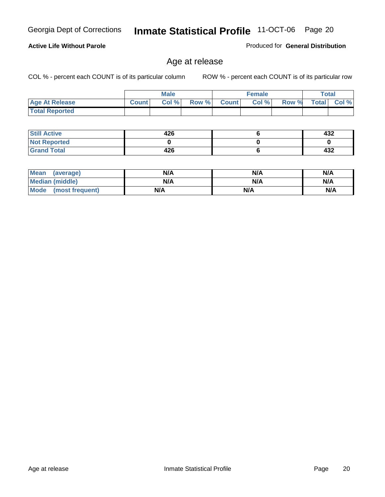#### **Active Life Without Parole**

Produced for **General Distribution**

#### Age at release

|                       |              | <b>Male</b> |       |              | <b>Female</b> |       | <b>Total</b> |          |
|-----------------------|--------------|-------------|-------|--------------|---------------|-------|--------------|----------|
| <b>Age At Release</b> | <b>Count</b> | Col%        | Row % | <b>Count</b> | Col %         | Row % | <b>Total</b> | $CoI \%$ |
| <b>Total Reported</b> |              |             |       |              |               |       |              |          |

| <b>Still Active</b> | 426 | 432 |
|---------------------|-----|-----|
| <b>Not Reported</b> |     |     |
| <b>Grand Total</b>  | 426 | 432 |

| Mean<br>(average)      | N/A | N/A | N/A |
|------------------------|-----|-----|-----|
| <b>Median (middle)</b> | N/A | N/A | N/A |
| Mode (most frequent)   | N/A | N/A | N/A |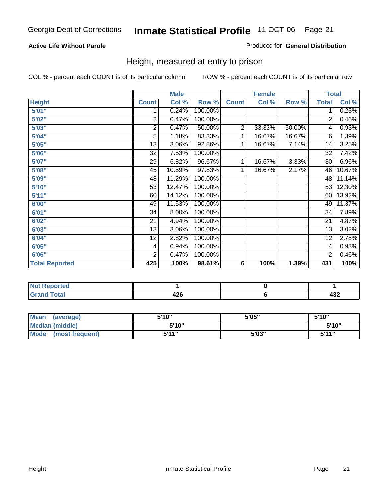#### **Active Life Without Parole**

#### Produced for **General Distribution**

#### Height, measured at entry to prison

|                       |                 | <b>Male</b> |         |                | <b>Female</b> |        | <b>Total</b>    |        |
|-----------------------|-----------------|-------------|---------|----------------|---------------|--------|-----------------|--------|
| <b>Height</b>         | <b>Count</b>    | Col %       | Row %   | <b>Count</b>   | Col %         | Row %  | <b>Total</b>    | Col %  |
| 5'01''                | 1               | 0.24%       | 100.00% |                |               |        | 1               | 0.23%  |
| 5'02"                 | $\overline{2}$  | 0.47%       | 100.00% |                |               |        | 2               | 0.46%  |
| 5'03"                 | 2               | 0.47%       | 50.00%  | $\overline{2}$ | 33.33%        | 50.00% | 4               | 0.93%  |
| 5'04"                 | 5               | 1.18%       | 83.33%  | 1              | 16.67%        | 16.67% | 6               | 1.39%  |
| 5'05"                 | 13              | 3.06%       | 92.86%  | 1              | 16.67%        | 7.14%  | 14              | 3.25%  |
| 5'06"                 | 32              | 7.53%       | 100.00% |                |               |        | $\overline{32}$ | 7.42%  |
| 5'07''                | 29              | 6.82%       | 96.67%  | 1              | 16.67%        | 3.33%  | 30              | 6.96%  |
| 5'08''                | $\overline{45}$ | 10.59%      | 97.83%  | 1              | 16.67%        | 2.17%  | 46              | 10.67% |
| <b>5'09"</b>          | 48              | 11.29%      | 100.00% |                |               |        | 48              | 11.14% |
| 5'10''                | 53              | 12.47%      | 100.00% |                |               |        | 53              | 12.30% |
| 5'11''                | 60              | 14.12%      | 100.00% |                |               |        | 60              | 13.92% |
| 6'00"                 | 49              | 11.53%      | 100.00% |                |               |        | 49              | 11.37% |
| 6'01''                | 34              | 8.00%       | 100.00% |                |               |        | 34              | 7.89%  |
| 6'02''                | 21              | 4.94%       | 100.00% |                |               |        | 21              | 4.87%  |
| 6'03"                 | 13              | 3.06%       | 100.00% |                |               |        | 13              | 3.02%  |
| 6'04"                 | 12              | 2.82%       | 100.00% |                |               |        | 12              | 2.78%  |
| 6'05"                 | 4               | 0.94%       | 100.00% |                |               |        | 4               | 0.93%  |
| 6'06"                 | $\overline{2}$  | 0.47%       | 100.00% |                |               |        | $\overline{2}$  | 0.46%  |
| <b>Total Reported</b> | 425             | 100%        | 98.61%  | 6              | 100%          | 1.39%  | 431             | 100%   |

| oorted<br>N6<br>$\sim$             |             |         |
|------------------------------------|-------------|---------|
| $int^{\bullet}$<br>$\sim$<br>_____ | ハウム<br>44 U | <br>476 |

| <b>Mean</b><br>(average)       | 5'10" | 5'05" | 5'10"             |
|--------------------------------|-------|-------|-------------------|
| Median (middle)                | 5'10" |       | 5'10"             |
| <b>Mode</b><br>(most frequent) | 5'11" | 5'03" | <b>5'44"</b><br>◡ |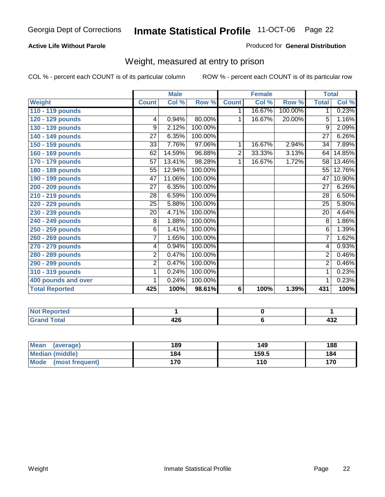#### **Active Life Without Parole**

#### Produced for **General Distribution**

#### Weight, measured at entry to prison

|                       |                 | <b>Male</b>               |         |              | <b>Female</b> |         |                 | <b>Total</b>        |
|-----------------------|-----------------|---------------------------|---------|--------------|---------------|---------|-----------------|---------------------|
| <b>Weight</b>         | <b>Count</b>    | $\overline{\text{Col}}$ % | Row %   | <b>Count</b> | Col %         | Row %   | <b>Total</b>    | Col %               |
| 110 - 119 pounds      |                 |                           |         | 1.           | 16.67%        | 100.00% | 1 <sup>1</sup>  | 0.23%               |
| 120 - 129 pounds      | $\overline{4}$  | 0.94%                     | 80.00%  | 1            | 16.67%        | 20.00%  | 5               | 1.16%               |
| 130 - 139 pounds      | 9               | 2.12%                     | 100.00% |              |               |         | 9               | 2.09%               |
| 140 - 149 pounds      | $\overline{27}$ | 6.35%                     | 100.00% |              |               |         | $\overline{27}$ | 6.26%               |
| 150 - 159 pounds      | 33              | 7.76%                     | 97.06%  | 1            | 16.67%        | 2.94%   | 34              | 7.89%               |
| 160 - 169 pounds      | 62              | 14.59%                    | 96.88%  | 2            | 33.33%        | 3.13%   | 64              | 14.85%              |
| 170 - 179 pounds      | 57              | 13.41%                    | 98.28%  | 1            | 16.67%        | 1.72%   | 58              | 13.46%              |
| 180 - 189 pounds      | 55              | 12.94%                    | 100.00% |              |               |         | 55              | 12.76%              |
| 190 - 199 pounds      | $\overline{47}$ | 11.06%                    | 100.00% |              |               |         | 47              | 10.90%              |
| 200 - 209 pounds      | 27              | 6.35%                     | 100.00% |              |               |         | 27              | 6.26%               |
| 210 - 219 pounds      | 28              | 6.59%                     | 100.00% |              |               |         | 28              | 6.50%               |
| 220 - 229 pounds      | 25              | 5.88%                     | 100.00% |              |               |         | $\overline{25}$ | 5.80%               |
| 230 - 239 pounds      | 20              | 4.71%                     | 100.00% |              |               |         | 20              | $4.\overline{64\%}$ |
| 240 - 249 pounds      | 8               | 1.88%                     | 100.00% |              |               |         | $\overline{8}$  | 1.86%               |
| 250 - 259 pounds      | $\overline{6}$  | 1.41%                     | 100.00% |              |               |         | $\overline{6}$  | 1.39%               |
| 260 - 269 pounds      | $\overline{7}$  | 1.65%                     | 100.00% |              |               |         | $\overline{7}$  | 1.62%               |
| 270 - 279 pounds      | 4               | 0.94%                     | 100.00% |              |               |         | 4               | 0.93%               |
| 280 - 289 pounds      | $\overline{2}$  | 0.47%                     | 100.00% |              |               |         | $\overline{2}$  | 0.46%               |
| 290 - 299 pounds      | $\overline{2}$  | 0.47%                     | 100.00% |              |               |         | $\overline{2}$  | 0.46%               |
| 310 - 319 pounds      | 1               | 0.24%                     | 100.00% |              |               |         | 1               | 0.23%               |
| 400 pounds and over   | 1               | 0.24%                     | 100.00% |              |               |         | 1               | 0.23%               |
| <b>Total Reported</b> | 425             | 100%                      | 98.61%  | 6            | 100%          | 1.39%   | 431             | 100%                |

| . .<br>N<br>rreg |                     |            |
|------------------|---------------------|------------|
| d Total          | 400<br>--<br>$\sim$ | ההו<br>956 |

| <b>Mean</b><br>(average) | 189 | 149   | 188 |
|--------------------------|-----|-------|-----|
| Median (middle)          | 184 | 159.5 | 184 |
| Mode (most frequent)     | 170 | 110   | 170 |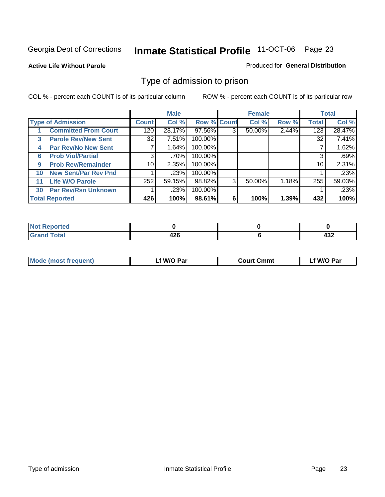#### **Active Life Without Parole**

#### Produced for **General Distribution**

#### Type of admission to prison

|    |                             |                 | <b>Male</b> |                    |   | <b>Female</b> |       |              | <b>Total</b> |
|----|-----------------------------|-----------------|-------------|--------------------|---|---------------|-------|--------------|--------------|
|    | <b>Type of Admission</b>    | <b>Count</b>    | Col %       | <b>Row % Count</b> |   | Col %         | Row % | <b>Total</b> | Col %        |
|    | <b>Committed From Court</b> | 120             | 28.17%      | 97.56%             | 3 | 50.00%        | 2.44% | 123          | 28.47%       |
| 3  | <b>Parole Rev/New Sent</b>  | 32              | 7.51%       | 100.00%            |   |               |       | 32           | 7.41%        |
| 4  | <b>Par Rev/No New Sent</b>  |                 | 1.64%       | 100.00%            |   |               |       |              | 1.62%        |
| 6  | <b>Prob Viol/Partial</b>    | 3               | .70%        | 100.00%            |   |               |       |              | .69%         |
| 9  | <b>Prob Rev/Remainder</b>   | 10 <sup>1</sup> | 2.35%       | 100.00%            |   |               |       | 10           | 2.31%        |
| 10 | <b>New Sent/Par Rev Pnd</b> |                 | .23%        | 100.00%            |   |               |       |              | .23%         |
| 11 | <b>Life W/O Parole</b>      | 252             | 59.15%      | 98.82%             | 3 | 50.00%        | 1.18% | 255          | 59.03%       |
| 30 | <b>Par Rev/Rsn Unknown</b>  |                 | .23%        | 100.00%            |   |               |       |              | .23%         |
|    | <b>Total Reported</b>       | 426             | 100%        | 98.61%             | 6 | 100%          | 1.39% | 432          | 100%         |

| <b>Reported</b><br>NOT                                  |           |            |
|---------------------------------------------------------|-----------|------------|
| <b>Total</b><br><b>Circ</b><br>$\sim$ . $\sim$ . $\sim$ | .<br>14 Y | 100<br>┱┙┻ |

| <b>Mode (most frequent)</b> | <b>W/O Par</b> | <b>Court Cmmt</b> | M/O Par |
|-----------------------------|----------------|-------------------|---------|
|                             |                |                   |         |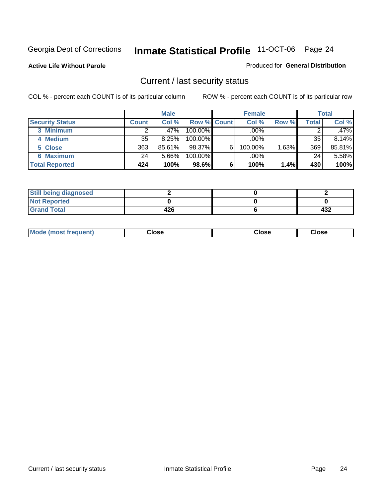**Active Life Without Parole** 

Produced for **General Distribution**

#### Current / last security status

|                        |         | <b>Male</b> |                    |   | <b>Female</b> |       |       | <b>Total</b> |
|------------------------|---------|-------------|--------------------|---|---------------|-------|-------|--------------|
| <b>Security Status</b> | Count l | Col %       | <b>Row % Count</b> |   | Col %         | Row % | Total | Col %        |
| 3 Minimum              |         | $.47\%$     | $100.00\%$         |   | .00%          |       |       | .47%         |
| 4 Medium               | 35      | 8.25%       | 100.00%            |   | $.00\%$       |       | 35    | 8.14%        |
| 5 Close                | 363     | 85.61%      | 98.37%             | 6 | 100.00%       | 1.63% | 369   | 85.81%       |
| <b>6 Maximum</b>       | 24      | 5.66%       | 100.00%            |   | .00%          |       | 24    | 5.58%        |
| <b>Total Reported</b>  | 424     | 100%        | 98.6%              | 6 | 100%          | 1.4%  | 430   | 100%         |

| <b>Still being diagnosed</b> |     |     |
|------------------------------|-----|-----|
| <b>Not Reported</b>          |     |     |
| <b>Grand Total</b>           | 426 | 432 |

|  | Mo<br>frequent)<br>ww | Close<br>. | ાose<br>. | <b>OSE</b><br>. |
|--|-----------------------|------------|-----------|-----------------|
|--|-----------------------|------------|-----------|-----------------|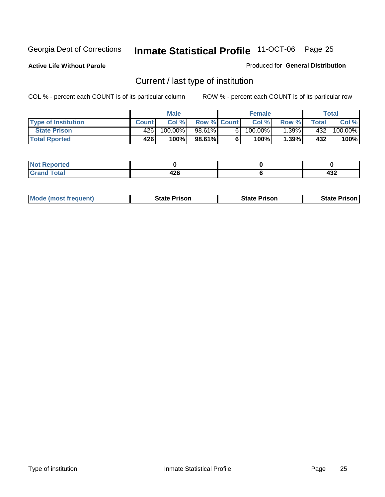**Active Life Without Parole** 

Produced for **General Distribution**

### Current / last type of institution

|                            |              | <b>Male</b> |                    |    | <b>Female</b> |         |              | Total   |
|----------------------------|--------------|-------------|--------------------|----|---------------|---------|--------------|---------|
| <b>Type of Institution</b> | <b>Count</b> | Col%        | <b>Row % Count</b> |    | Col %         | Row %   | <b>Total</b> | Col %   |
| <b>State Prison</b>        | 426          | 100.00%     | 98.61%             | 61 | 100.00%       | $.39\%$ | 432          | 100.00% |
| <b>Total Rported</b>       | 426'         | 100%        | 98.61%             |    | 100%          | 1.39%   | 432          | 100%    |

| <b>rted</b><br>. |                   |                 |
|------------------|-------------------|-----------------|
| $-11$            | "<br>--<br>$\sim$ | <br>−∪∠<br>____ |

|  | <b>Mode (most frequent)</b> | State Prison | <b>State Prison</b> | <b>State Prison</b> |
|--|-----------------------------|--------------|---------------------|---------------------|
|--|-----------------------------|--------------|---------------------|---------------------|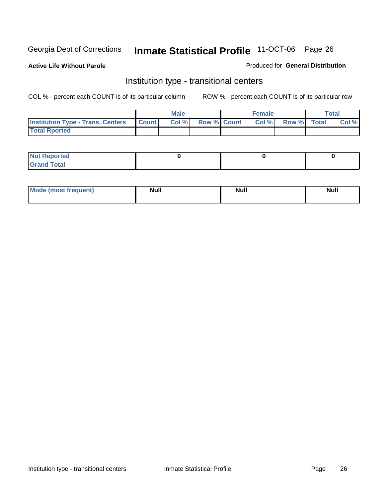**Active Life Without Parole** 

Produced for **General Distribution**

#### Institution type - transitional centers

|                                                | <b>Male</b> |                    | <b>Female</b> |             | Total |
|------------------------------------------------|-------------|--------------------|---------------|-------------|-------|
| <b>Institution Type - Trans. Centers Count</b> | Col %       | <b>Row % Count</b> | Col %         | Row % Total | Col % |
| <b>Total Rported</b>                           |             |                    |               |             |       |

| <b>Not Reported</b>  |  |  |
|----------------------|--|--|
| <b>Total</b><br>Cror |  |  |

| Mode (most frequent) | <b>Null</b> | <b>Null</b> | <b>Null</b> |
|----------------------|-------------|-------------|-------------|
|                      |             |             |             |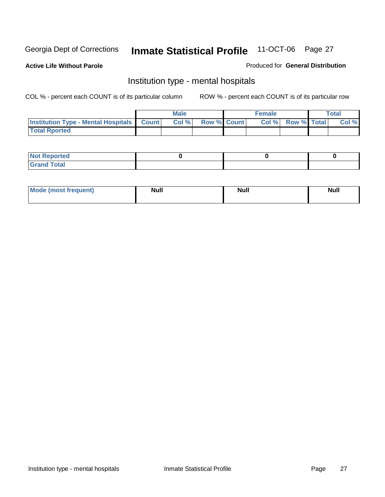**Active Life Without Parole** 

Produced for **General Distribution**

#### Institution type - mental hospitals

|                                                  | Male |                    | <b>Female</b> |                    | <b>Total</b> |
|--------------------------------------------------|------|--------------------|---------------|--------------------|--------------|
| <b>Institution Type - Mental Hospitals Count</b> | Col% | <b>Row % Count</b> | Col%          | <b>Row % Total</b> | Col %        |
| <b>Total Rported</b>                             |      |                    |               |                    |              |

| <b>Not Reported</b>            |  |  |
|--------------------------------|--|--|
| <b>Total</b><br>$^\circ$ Grand |  |  |

| Mode (most frequent) | <b>Null</b> | <b>Null</b> | <b>Null</b> |
|----------------------|-------------|-------------|-------------|
|                      |             |             |             |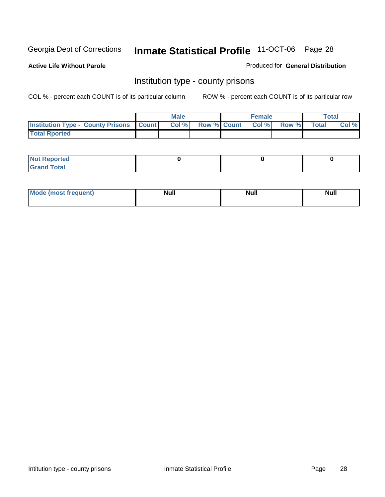**Active Life Without Parole** 

Produced for **General Distribution**

#### Institution type - county prisons

|                                                    | <b>Male</b> |                          | <b>Female</b> |       |       | Total |
|----------------------------------------------------|-------------|--------------------------|---------------|-------|-------|-------|
| <b>Institution Type - County Prisons   Count  </b> | Col %       | <b>Row % Count Col %</b> |               | Row % | Total | Col % |
| <b>Total Rported</b>                               |             |                          |               |       |       |       |

| <b>Not</b><br><b>Reported</b> |  |  |
|-------------------------------|--|--|
| <b>Grand Total</b>            |  |  |

| <b>Mo</b><br>frequent) | NI. . II<br>1u 11 | <b>Moll</b> | <b>Null</b> |
|------------------------|-------------------|-------------|-------------|
|                        |                   |             |             |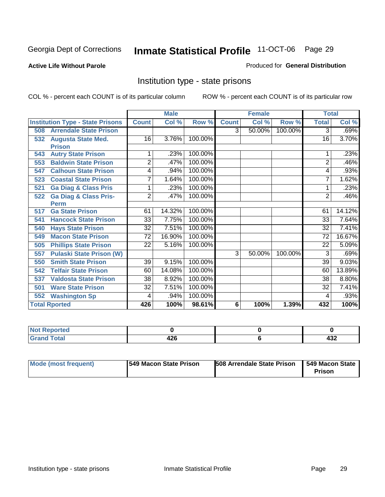#### **Active Life Without Parole**

#### Produced for **General Distribution**

#### Institution type - state prisons

|                                         |                 | <b>Male</b> |         |                | <b>Female</b> |         | <b>Total</b>    |          |
|-----------------------------------------|-----------------|-------------|---------|----------------|---------------|---------|-----------------|----------|
| <b>Institution Type - State Prisons</b> | <b>Count</b>    | Col %       | Row %   | <b>Count</b>   | Col %         | Row %   | <b>Total</b>    | Col %    |
| <b>Arrendale State Prison</b><br>508    |                 |             |         | 3 <sup>1</sup> | 50.00%        | 100.00% | 3               | .69%     |
| <b>Augusta State Med.</b><br>532        | 16              | 3.76%       | 100.00% |                |               |         | 16              | 3.70%    |
| <b>Prison</b>                           |                 |             |         |                |               |         |                 |          |
| <b>Autry State Prison</b><br>543        | 1               | .23%        | 100.00% |                |               |         |                 | .23%     |
| <b>Baldwin State Prison</b><br>553      | $\overline{2}$  | .47%        | 100.00% |                |               |         | $\overline{2}$  | .46%     |
| <b>Calhoun State Prison</b><br>547      | 4               | .94%        | 100.00% |                |               |         | 4               | .93%     |
| <b>Coastal State Prison</b><br>523      | 7               | 1.64%       | 100.00% |                |               |         | 7               | 1.62%    |
| <b>Ga Diag &amp; Class Pris</b><br>521  | 1               | .23%        | 100.00% |                |               |         |                 | .23%     |
| <b>Ga Diag &amp; Class Pris-</b><br>522 | $\overline{2}$  | .47%        | 100.00% |                |               |         | $\overline{2}$  | .46%     |
| <b>Perm</b>                             |                 |             |         |                |               |         |                 |          |
| <b>Ga State Prison</b><br>517           | 61              | 14.32%      | 100.00% |                |               |         | 61              | 14.12%   |
| <b>Hancock State Prison</b><br>541      | $\overline{33}$ | 7.75%       | 100.00% |                |               |         | $\overline{33}$ | 7.64%    |
| <b>Hays State Prison</b><br>540         | $\overline{32}$ | 7.51%       | 100.00% |                |               |         | 32              | 7.41%    |
| <b>Macon State Prison</b><br>549        | 72              | 16.90%      | 100.00% |                |               |         | 72              | 16.67%   |
| <b>Phillips State Prison</b><br>505     | 22              | 5.16%       | 100.00% |                |               |         | 22              | 5.09%    |
| <b>Pulaski State Prison (W)</b><br>557  |                 |             |         | 3              | 50.00%        | 100.00% | 3               | .69%     |
| <b>Smith State Prison</b><br>550        | 39              | 9.15%       | 100.00% |                |               |         | 39              | 9.03%    |
| <b>Telfair State Prison</b><br>542      | 60              | 14.08%      | 100.00% |                |               |         | 60              | 13.89%   |
| <b>Valdosta State Prison</b><br>537     | $\overline{38}$ | 8.92%       | 100.00% |                |               |         | 38              | $8.80\%$ |
| <b>Ware State Prison</b><br>501         | $\overline{32}$ | 7.51%       | 100.00% |                |               |         | $\overline{32}$ | 7.41%    |
| <b>Washington Sp</b><br>552             | 4               | .94%        | 100.00% |                |               |         | 4               | .93%     |
| <b>Total Rported</b>                    | 426             | 100%        | 98.61%  | 6              | 100%          | 1.39%   | 432             | 100%     |

| rted        |     |     |
|-------------|-----|-----|
| $f$ oto $f$ |     | ,,, |
| _____       | 420 | −∪∠ |

| Mode (most frequent) | 1549 Macon State Prison | <b>508 Arrendale State Prison</b> | 1549 Macon State<br>Prison |
|----------------------|-------------------------|-----------------------------------|----------------------------|
|----------------------|-------------------------|-----------------------------------|----------------------------|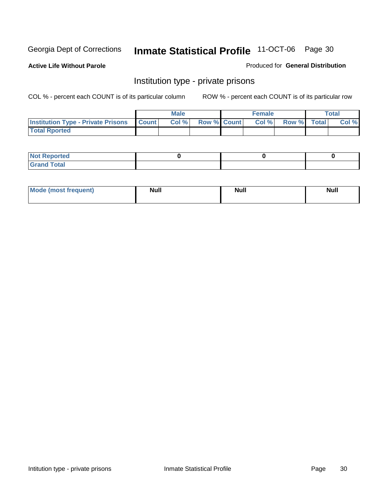**Active Life Without Parole** 

Produced for **General Distribution**

#### Institution type - private prisons

|                                                 | <b>Male</b> |                    | <b>Female</b> |             | Total |
|-------------------------------------------------|-------------|--------------------|---------------|-------------|-------|
| <b>Institution Type - Private Prisons Count</b> | Col %       | <b>Row % Count</b> | Col %         | Row % Total | Col % |
| <b>Total Rported</b>                            |             |                    |               |             |       |

| <b>Not Reported</b>        |  |  |
|----------------------------|--|--|
| <b>otal</b><br>. Gror<br>. |  |  |

| Mode (most frequent) | <b>Null</b> | <b>Null</b> | <b>Null</b> |
|----------------------|-------------|-------------|-------------|
|                      |             |             |             |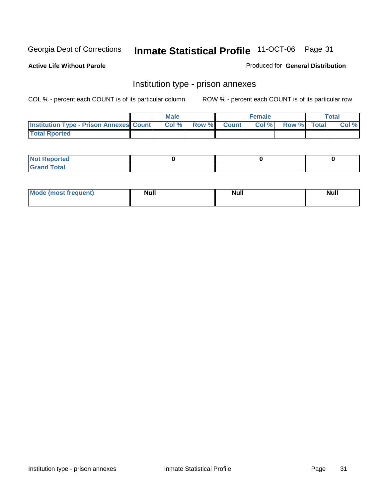**Active Life Without Parole** 

Produced for **General Distribution**

#### Institution type - prison annexes

|                                                | <b>Male</b> |                    | <b>Female</b> |             | <b>Total</b> |
|------------------------------------------------|-------------|--------------------|---------------|-------------|--------------|
| <b>Institution Type - Prison Annexes Count</b> | Col %       | <b>Row % Count</b> | Col %         | Row % Total | Col %        |
| <b>Total Rported</b>                           |             |                    |               |             |              |

| <b>Not Reported</b>            |  |  |
|--------------------------------|--|--|
| <b>Total</b><br>Croi<br>$\sim$ |  |  |

| <b>Mode (most frequent)</b> | <b>Null</b> | <b>Null</b> | <b>Null</b> |
|-----------------------------|-------------|-------------|-------------|
|                             |             |             |             |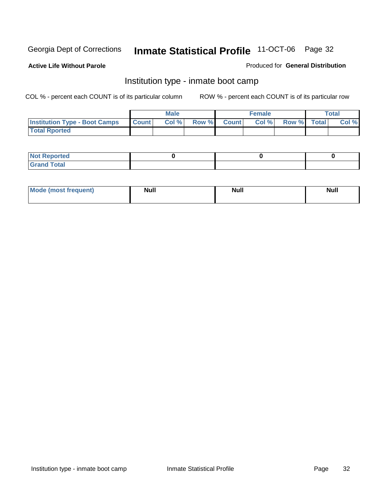**Active Life Without Parole** 

Produced for **General Distribution**

#### Institution type - inmate boot camp

|                                      |              | Male  |             | <b>Female</b> |             | <b>Total</b> |
|--------------------------------------|--------------|-------|-------------|---------------|-------------|--------------|
| <b>Institution Type - Boot Camps</b> | <b>Count</b> | Col % | Row % Count | Col %         | Row % Total | Col %        |
| <b>Total Rported</b>                 |              |       |             |               |             |              |

| <b>Not Reported</b>  |  |  |
|----------------------|--|--|
| <b>Total</b><br>Croy |  |  |

| Mode (most frequent) | <b>Null</b> | <b>Null</b> | <b>Null</b> |
|----------------------|-------------|-------------|-------------|
|                      |             |             |             |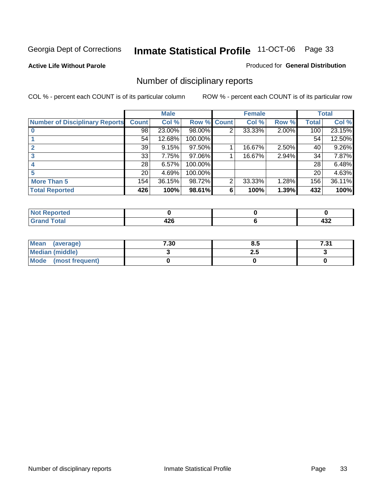**Active Life Without Parole** 

Produced for **General Distribution**

### Number of disciplinary reports

|                                       |                 | <b>Male</b> |             |   | <b>Female</b> |          |              | <b>Total</b> |
|---------------------------------------|-----------------|-------------|-------------|---|---------------|----------|--------------|--------------|
| <b>Number of Disciplinary Reports</b> | <b>Count</b>    | Col %       | Row % Count |   | Col %         | Row %    | <b>Total</b> | Col %        |
|                                       | $\overline{98}$ | 23.00%      | 98.00%      | 2 | 33.33%        | 2.00%    | 100          | 23.15%       |
|                                       | 54              | 12.68%      | 100.00%     |   |               |          | 54           | 12.50%       |
|                                       | 39              | 9.15%       | 97.50%      |   | 16.67%        | $2.50\%$ | 40           | 9.26%        |
|                                       | 33              | 7.75%       | 97.06%      |   | 16.67%        | 2.94%    | 34           | 7.87%        |
|                                       | 28              | 6.57%       | 100.00%     |   |               |          | 28           | 6.48%        |
|                                       | 20 <sub>1</sub> | 4.69%       | 100.00%     |   |               |          | 20           | 4.63%        |
| <b>More Than 5</b>                    | 154             | 36.15%      | 98.72%      | 2 | 33.33%        | 1.28%    | 156          | 36.11%       |
| <b>Total Reported</b>                 | 426             | 100%        | 98.61%      | 6 | 100%          | 1.39%    | 432          | 100%         |

| .<br>N<br>τeι. |            |                 |
|----------------|------------|-----------------|
| T <sub>1</sub> | 196<br>−∠∪ | .<br>−∪∸<br>$-$ |

| Mean (average)       | 7.30 | o.o | 7.24<br>. ن |
|----------------------|------|-----|-------------|
| Median (middle)      |      | 2.J |             |
| Mode (most frequent) |      |     |             |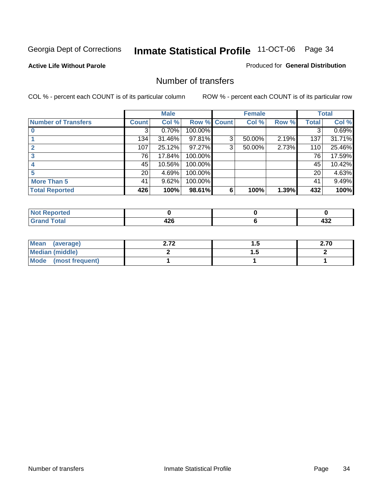#### **Active Life Without Parole**

#### Produced for **General Distribution**

#### Number of transfers

|                            |                 | <b>Male</b> |         |              | <b>Female</b> |       |              | <b>Total</b> |
|----------------------------|-----------------|-------------|---------|--------------|---------------|-------|--------------|--------------|
| <b>Number of Transfers</b> | Count l         | Col %       | Row %   | <b>Count</b> | Col %         | Row % | <b>Total</b> | Col %        |
|                            | 3               | 0.70%       | 100.00% |              |               |       | 3            | 0.69%        |
|                            | 134             | 31.46%      | 97.81%  | 3            | 50.00%        | 2.19% | 137          | 31.71%       |
| $\mathbf{c}$               | 107             | 25.12%      | 97.27%  | 3            | 50.00%        | 2.73% | 110          | 25.46%       |
| 3                          | 76              | 17.84%      | 100.00% |              |               |       | 76           | 17.59%       |
|                            | 45              | 10.56%      | 100.00% |              |               |       | 45           | 10.42%       |
|                            | 20 <sub>1</sub> | 4.69%       | 100.00% |              |               |       | 20           | 4.63%        |
| <b>More Than 5</b>         | 41              | 9.62%       | 100.00% |              |               |       | 41           | 9.49%        |
| <b>Total Reported</b>      | 426             | 100%        | 98.61%  | 6            | 100%          | 1.39% | 432          | 100%         |

| N<br><b>ТН.</b> |          |                                                            |
|-----------------|----------|------------------------------------------------------------|
| $\sim$ 4 $\sim$ | . מ<br>╍ | $\sim$<br>−∪∸<br>$\sim$ $\sim$ $\sim$ $\sim$ $\sim$ $\sim$ |

| Mean (average)       | ר ל | . . | 2.70 |
|----------------------|-----|-----|------|
| Median (middle)      |     | .   |      |
| Mode (most frequent) |     |     |      |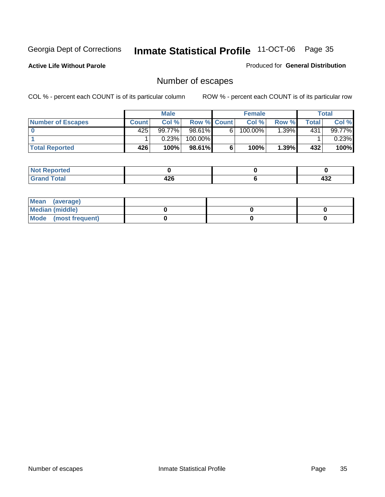**Active Life Without Parole** 

Produced for **General Distribution**

### Number of escapes

|                          |              | <b>Male</b> |                    |   | <b>Female</b> |         |       | <b>Total</b> |
|--------------------------|--------------|-------------|--------------------|---|---------------|---------|-------|--------------|
| <b>Number of Escapes</b> | <b>Count</b> | Col %       | <b>Row % Count</b> |   | Col %         | Row %I  | Total | Col %        |
|                          | 425          | $99.77\%$   | $98.61\%$          | 6 | 100.00%       | $.39\%$ | 431   | 99.77%       |
|                          |              | 0.23%       | 100.00%            |   |               |         |       | 0.23%        |
| <b>Total Reported</b>    | 426          | 100%        | $98.61\%$          |   | 100%          | 1.39%   | 432   | 100%         |

| المتحافظ<br>prted |      |     |
|-------------------|------|-----|
| <b>otal</b>       | ハつの  | ,,, |
| ulallu            | 44 U | 40Z |

| Mean (average)       |  |  |
|----------------------|--|--|
| Median (middle)      |  |  |
| Mode (most frequent) |  |  |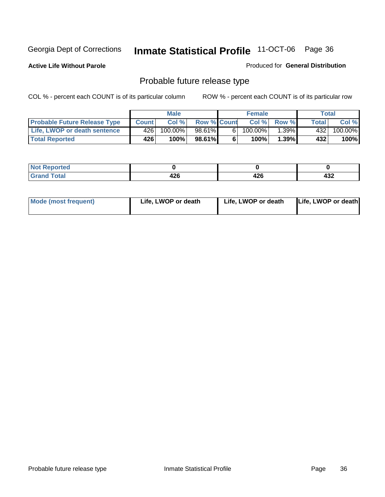**Active Life Without Parole** 

Produced for **General Distribution**

#### Probable future release type

|                                     |              | <b>Male</b> |                    |   | <b>Female</b> |             |       | Total   |
|-------------------------------------|--------------|-------------|--------------------|---|---------------|-------------|-------|---------|
| <b>Probable Future Release Type</b> | <b>Count</b> | Col%        | <b>Row % Count</b> |   |               | Col % Row % | Total | Col %   |
| <b>Life, LWOP or death sentence</b> | 426          | $100.00\%$  | 98.61%             | 6 | $100.00\%$    | $1.39\%$    | 432   | 100.00% |
| <b>Total Reported</b>               | 426          | 100%        | 98.61%             | 6 | 100%          | $1.39\%$    | 432   | 100%    |

| <b>Reported</b><br>NOI |            |     |     |
|------------------------|------------|-----|-----|
| <b>Total</b>           | 100<br>440 | 426 | 432 |

| <b>Mode (most frequent)</b> | Life, LWOP or death | Life, LWOP or death | Life, LWOP or death |
|-----------------------------|---------------------|---------------------|---------------------|
|-----------------------------|---------------------|---------------------|---------------------|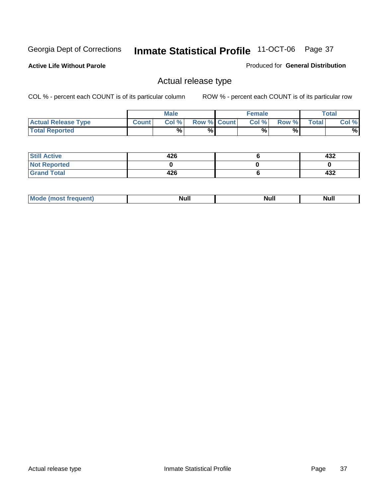**Active Life Without Parole** 

Produced for **General Distribution**

### Actual release type

|                            |              | <b>Male</b> |                    | <b>Female</b> |       |              | Total |
|----------------------------|--------------|-------------|--------------------|---------------|-------|--------------|-------|
| <b>Actual Release Type</b> | <b>Count</b> | Col %       | <b>Row % Count</b> | Col %         | Row % | <b>Total</b> | Col % |
| <b>Total Reported</b>      |              | $\%$        | %                  | %             | %     |              | %     |

| <b>Still Active</b> | 426 | 432 |
|---------------------|-----|-----|
| <b>Not Reported</b> |     |     |
| <b>Grand Total</b>  | 426 | 432 |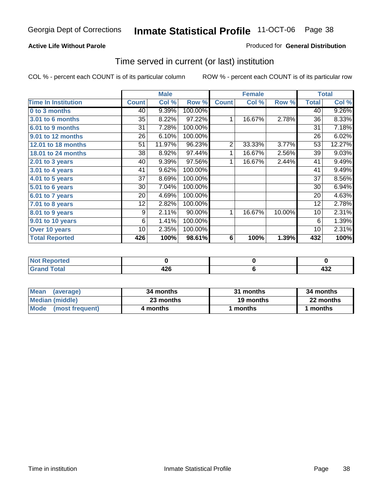### **Active Life Without Parole**

#### Produced for **General Distribution**

### Time served in current (or last) institution

|                            |              | <b>Male</b> |         |                | <b>Female</b> |        |              | <b>Total</b> |
|----------------------------|--------------|-------------|---------|----------------|---------------|--------|--------------|--------------|
| <b>Time In Institution</b> | <b>Count</b> | Col %       | Row %   | <b>Count</b>   | Col %         | Row %  | <b>Total</b> | Col %        |
| 0 to 3 months              | 40           | 9.39%       | 100.00% |                |               |        | 40           | 9.26%        |
| <b>3.01 to 6 months</b>    | 35           | 8.22%       | 97.22%  | 1              | 16.67%        | 2.78%  | 36           | 8.33%        |
| 6.01 to 9 months           | 31           | 7.28%       | 100.00% |                |               |        | 31           | 7.18%        |
| 9.01 to 12 months          | 26           | 6.10%       | 100.00% |                |               |        | 26           | 6.02%        |
| 12.01 to 18 months         | 51           | 11.97%      | 96.23%  | $\overline{2}$ | 33.33%        | 3.77%  | 53           | 12.27%       |
| 18.01 to 24 months         | 38           | 8.92%       | 97.44%  | 1              | 16.67%        | 2.56%  | 39           | 9.03%        |
| $2.01$ to 3 years          | 40           | 9.39%       | 97.56%  | 1              | 16.67%        | 2.44%  | 41           | 9.49%        |
| $3.01$ to 4 years          | 41           | 9.62%       | 100.00% |                |               |        | 41           | 9.49%        |
| 4.01 to 5 years            | 37           | 8.69%       | 100.00% |                |               |        | 37           | 8.56%        |
| 5.01 to 6 years            | 30           | 7.04%       | 100.00% |                |               |        | 30           | 6.94%        |
| 6.01 to 7 years            | 20           | 4.69%       | 100.00% |                |               |        | 20           | 4.63%        |
| 7.01 to 8 years            | 12           | 2.82%       | 100.00% |                |               |        | 12           | 2.78%        |
| 8.01 to 9 years            | 9            | 2.11%       | 90.00%  | 1              | 16.67%        | 10.00% | 10           | 2.31%        |
| 9.01 to 10 years           | 6            | 1.41%       | 100.00% |                |               |        | 6            | 1.39%        |
| Over 10 years              | 10           | 2.35%       | 100.00% |                |               |        | 10           | 2.31%        |
| <b>Total Reported</b>      | 426          | 100%        | 98.61%  | 6              | 100%          | 1.39%  | 432          | 100%         |

| <b>Not Reported</b> |                   |         |
|---------------------|-------------------|---------|
| <b>Total</b>        | 10C<br>44 U<br>__ | <br>4JZ |

| <b>Mean</b><br>(average) | 34 months | 31 months | 34 months |
|--------------------------|-----------|-----------|-----------|
| Median (middle)          | 23 months | 19 months | 22 months |
| Mode (most frequent)     | 4 months  | ∣ months  | months    |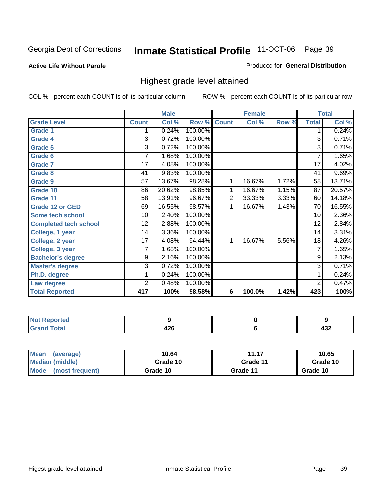#### **Active Life Without Parole**

#### Produced for **General Distribution**

### Highest grade level attained

|                              |                 | <b>Male</b> |         |              | <b>Female</b> |       |                 | <b>Total</b> |
|------------------------------|-----------------|-------------|---------|--------------|---------------|-------|-----------------|--------------|
| <b>Grade Level</b>           | <b>Count</b>    | Col %       | Row %   | <b>Count</b> | Col %         | Row % | <b>Total</b>    | Col %        |
| <b>Grade 1</b>               | 1               | 0.24%       | 100.00% |              |               |       | 1               | 0.24%        |
| <b>Grade 4</b>               | $\overline{3}$  | 0.72%       | 100.00% |              |               |       | $\overline{3}$  | 0.71%        |
| Grade 5                      | 3               | 0.72%       | 100.00% |              |               |       | 3               | 0.71%        |
| Grade 6                      | 7               | 1.68%       | 100.00% |              |               |       | 7               | 1.65%        |
| <b>Grade 7</b>               | $\overline{17}$ | 4.08%       | 100.00% |              |               |       | $\overline{17}$ | 4.02%        |
| <b>Grade 8</b>               | 41              | 9.83%       | 100.00% |              |               |       | 41              | 9.69%        |
| <b>Grade 9</b>               | 57              | 13.67%      | 98.28%  | 1            | 16.67%        | 1.72% | 58              | 13.71%       |
| Grade 10                     | 86              | 20.62%      | 98.85%  | 1            | 16.67%        | 1.15% | $\overline{87}$ | 20.57%       |
| Grade 11                     | 58              | 13.91%      | 96.67%  | 2            | 33.33%        | 3.33% | 60              | 14.18%       |
| <b>Grade 12 or GED</b>       | 69              | 16.55%      | 98.57%  | 1            | 16.67%        | 1.43% | 70              | 16.55%       |
| <b>Some tech school</b>      | 10              | 2.40%       | 100.00% |              |               |       | 10              | 2.36%        |
| <b>Completed tech school</b> | 12              | 2.88%       | 100.00% |              |               |       | 12              | 2.84%        |
| College, 1 year              | 14              | 3.36%       | 100.00% |              |               |       | 14              | 3.31%        |
| College, 2 year              | $\overline{17}$ | 4.08%       | 94.44%  | 1            | 16.67%        | 5.56% | 18              | 4.26%        |
| College, 3 year              | 7               | 1.68%       | 100.00% |              |               |       | 7               | 1.65%        |
| <b>Bachelor's degree</b>     | 9               | 2.16%       | 100.00% |              |               |       | 9               | 2.13%        |
| <b>Master's degree</b>       | 3               | 0.72%       | 100.00% |              |               |       | $\overline{3}$  | 0.71%        |
| Ph.D. degree                 | 1               | 0.24%       | 100.00% |              |               |       | 1               | 0.24%        |
| Law degree                   | 2               | 0.48%       | 100.00% |              |               |       | $\overline{2}$  | 0.47%        |
| <b>Total Reported</b>        | 417             | 100%        | 98.58%  | 6            | 100.0%        | 1.42% | 423             | 100%         |

| i Alba<br><b>Construction Construction</b><br>rtea<br>N0 |          |            |
|----------------------------------------------------------|----------|------------|
| Total<br><b>C.L.</b><br>-                                | <br>44 U | ,,,<br>TJL |

| <b>Mean</b><br>(average) | 10.64    | 11.17    | 10.65    |
|--------------------------|----------|----------|----------|
| Median (middle)          | Grade 10 | Grade 11 | Grade 10 |
| Mode<br>(most frequent)  | Grade 10 | Grade 11 | Grade 10 |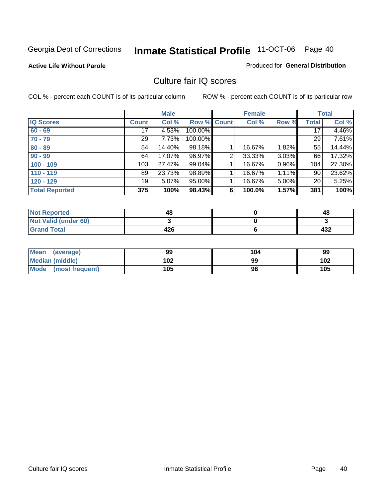#### **Active Life Without Parole**

#### Produced for **General Distribution**

### Culture fair IQ scores

|                       |              | <b>Male</b> |         |                | <b>Female</b> |          |              | <b>Total</b> |
|-----------------------|--------------|-------------|---------|----------------|---------------|----------|--------------|--------------|
| <b>IQ Scores</b>      | <b>Count</b> | Col %       | Row %   | <b>Count</b>   | Col %         | Row %    | <b>Total</b> | Col %        |
| $60 - 69$             | 17           | 4.53%       | 100.00% |                |               |          | 17           | 4.46%        |
| $70 - 79$             | 29           | 7.73%       | 100.00% |                |               |          | 29           | 7.61%        |
| $80 - 89$             | 54           | 14.40%      | 98.18%  |                | 16.67%        | 1.82%    | 55           | 14.44%       |
| $90 - 99$             | 64           | 17.07%      | 96.97%  | $\overline{2}$ | 33.33%        | $3.03\%$ | 66           | 17.32%       |
| $100 - 109$           | 103          | 27.47%      | 99.04%  |                | 16.67%        | 0.96%    | 104          | 27.30%       |
| $110 - 119$           | 89           | 23.73%      | 98.89%  |                | 16.67%        | $1.11\%$ | 90           | 23.62%       |
| $120 - 129$           | 19           | 5.07%       | 95.00%  |                | 16.67%        | 5.00%    | 20           | 5.25%        |
| <b>Total Reported</b> | 375          | 100%        | 98.43%  | 6              | 100.0%        | 1.57%    | 381          | 100%         |

| <b>Not Reported</b>         | 48  | 48  |
|-----------------------------|-----|-----|
| <b>Not Valid (under 60)</b> |     |     |
| <b>Grand Total</b>          | 426 | 432 |

| <b>Mean</b><br>(average) | 99  | 104 | 99  |
|--------------------------|-----|-----|-----|
| Median (middle)          | 102 | 99  | 102 |
| Mode (most frequent)     | 105 | 96  | 105 |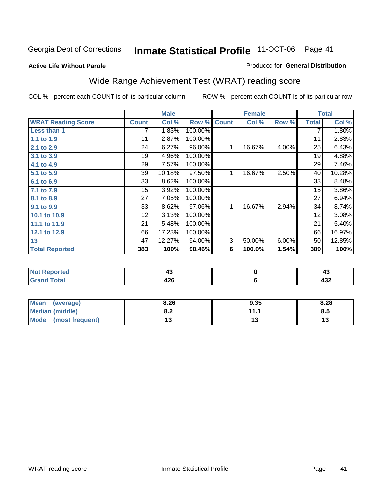#### **Active Life Without Parole**

#### Produced for **General Distribution**

# Wide Range Achievement Test (WRAT) reading score

|                           |              | <b>Male</b> |         |              | <b>Female</b> |       |                 | <b>Total</b> |
|---------------------------|--------------|-------------|---------|--------------|---------------|-------|-----------------|--------------|
| <b>WRAT Reading Score</b> | <b>Count</b> | Col %       | Row %   | <b>Count</b> | Col %         | Row % | <b>Total</b>    | Col %        |
| Less than 1               |              | 1.83%       | 100.00% |              |               |       | 7               | 1.80%        |
| 1.1 to 1.9                | 11           | 2.87%       | 100.00% |              |               |       | 11              | 2.83%        |
| 2.1 to 2.9                | 24           | 6.27%       | 96.00%  | 1            | 16.67%        | 4.00% | $\overline{25}$ | 6.43%        |
| 3.1 to 3.9                | 19           | 4.96%       | 100.00% |              |               |       | 19              | 4.88%        |
| 4.1 to 4.9                | 29           | 7.57%       | 100.00% |              |               |       | 29              | 7.46%        |
| 5.1 to 5.9                | 39           | 10.18%      | 97.50%  | 1            | 16.67%        | 2.50% | 40              | 10.28%       |
| 6.1 to 6.9                | 33           | 8.62%       | 100.00% |              |               |       | 33              | 8.48%        |
| 7.1 to 7.9                | 15           | 3.92%       | 100.00% |              |               |       | $\overline{15}$ | 3.86%        |
| 8.1 to 8.9                | 27           | 7.05%       | 100.00% |              |               |       | 27              | 6.94%        |
| 9.1 to 9.9                | 33           | 8.62%       | 97.06%  | 1            | 16.67%        | 2.94% | 34              | 8.74%        |
| 10.1 to 10.9              | 12           | 3.13%       | 100.00% |              |               |       | 12              | 3.08%        |
| 11.1 to 11.9              | 21           | 5.48%       | 100.00% |              |               |       | 21              | 5.40%        |
| 12.1 to 12.9              | 66           | 17.23%      | 100.00% |              |               |       | 66              | 16.97%       |
| 13                        | 47           | 12.27%      | 94.00%  | 3            | 50.00%        | 6.00% | 50              | 12.85%       |
| <b>Total Reported</b>     | 383          | 100%        | 98.46%  | 6            | 100.0%        | 1.54% | 389             | 100%         |
|                           |              |             |         |              |               |       |                 |              |
| <b>Not Reported</b>       |              | 43          |         |              | $\pmb{0}$     |       |                 | 43           |
| <b>Grand Total</b>        |              | 426         |         |              | 6             |       |                 | 432          |

| Mean<br>(average)              | 8.26       | 9.35 | 8.28 |
|--------------------------------|------------|------|------|
| Median (middle)                | י ה<br>0.Z | 444  | 8.5  |
| <b>Mode</b><br>(most frequent) |            | ט ו  |      |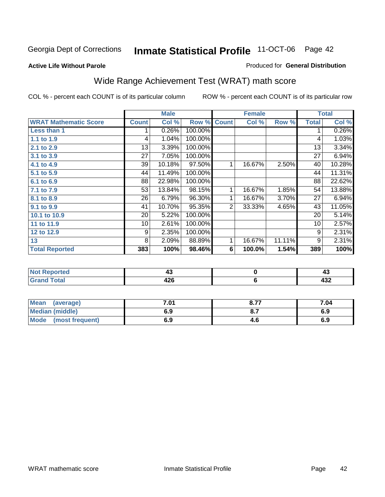**Active Life Without Parole** 

#### Produced for **General Distribution**

# Wide Range Achievement Test (WRAT) math score

|                              |              | <b>Male</b> |         |                | <b>Female</b> |        |              | <b>Total</b> |
|------------------------------|--------------|-------------|---------|----------------|---------------|--------|--------------|--------------|
| <b>WRAT Mathematic Score</b> | <b>Count</b> | Col %       | Row %   | <b>Count</b>   | Col %         | Row %  | <b>Total</b> | Col %        |
| Less than 1                  |              | 0.26%       | 100.00% |                |               |        | 1            | 0.26%        |
| 1.1 to 1.9                   | 4            | 1.04%       | 100.00% |                |               |        | 4            | 1.03%        |
| 2.1 to 2.9                   | 13           | 3.39%       | 100.00% |                |               |        | 13           | 3.34%        |
| 3.1 to 3.9                   | 27           | 7.05%       | 100.00% |                |               |        | 27           | 6.94%        |
| 4.1 to 4.9                   | 39           | 10.18%      | 97.50%  | 1              | 16.67%        | 2.50%  | 40           | 10.28%       |
| 5.1 to 5.9                   | 44           | 11.49%      | 100.00% |                |               |        | 44           | 11.31%       |
| 6.1 to 6.9                   | 88           | 22.98%      | 100.00% |                |               |        | 88           | 22.62%       |
| 7.1 to 7.9                   | 53           | 13.84%      | 98.15%  | 1              | 16.67%        | 1.85%  | 54           | 13.88%       |
| 8.1 to 8.9                   | 26           | 6.79%       | 96.30%  | 1              | 16.67%        | 3.70%  | 27           | 6.94%        |
| 9.1 to 9.9                   | 41           | 10.70%      | 95.35%  | $\overline{2}$ | 33.33%        | 4.65%  | 43           | 11.05%       |
| 10.1 to 10.9                 | 20           | 5.22%       | 100.00% |                |               |        | 20           | 5.14%        |
| 11 to 11.9                   | 10           | 2.61%       | 100.00% |                |               |        | 10           | 2.57%        |
| 12 to 12.9                   | 9            | 2.35%       | 100.00% |                |               |        | 9            | 2.31%        |
| 13                           | 8            | 2.09%       | 88.89%  | 1              | 16.67%        | 11.11% | 9            | 2.31%        |
| <b>Total Reported</b>        | 383          | 100%        | 98.46%  | 6              | 100.0%        | 1.54%  | 389          | 100%         |
|                              |              |             |         |                |               |        |              |              |
| <b>Not Reported</b>          |              | 43          |         |                | $\pmb{0}$     |        |              | 43           |
| <b>Grand Total</b>           |              | 426         |         |                | 6             |        |              | 432          |

| Mean<br>(average)      | 7.01 | 0.77 | 7.04 |
|------------------------|------|------|------|
| <b>Median (middle)</b> | 6.9  |      | 6.9  |
| Mode (most frequent)   | 6.9  | 4.6  | 6.9  |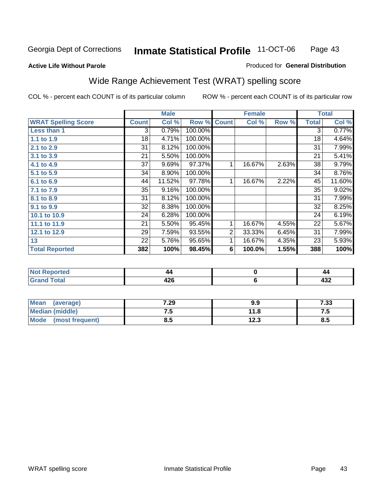**Active Life Without Parole** 

#### Produced for **General Distribution**

# Wide Range Achievement Test (WRAT) spelling score

|                            |                 | <b>Male</b> |                      |                | <b>Female</b> |       |              | <b>Total</b> |
|----------------------------|-----------------|-------------|----------------------|----------------|---------------|-------|--------------|--------------|
| <b>WRAT Spelling Score</b> | <b>Count</b>    | Col %       | Row %                | <b>Count</b>   | Col %         | Row % | <b>Total</b> | Col %        |
| <b>Less than 1</b>         | 3               | 0.79%       | 100.00%              |                |               |       | 3            | 0.77%        |
| 1.1 to 1.9                 | $\overline{18}$ | 4.71%       | 100.00%              |                |               |       | 18           | 4.64%        |
| 2.1 to 2.9                 | 31              | 8.12%       | 100.00%              |                |               |       | 31           | 7.99%        |
| 3.1 to 3.9                 | 21              | 5.50%       | 100.00%              |                |               |       | 21           | 5.41%        |
| 4.1 to 4.9                 | 37              | 9.69%       | 97.37%               | 1              | 16.67%        | 2.63% | 38           | 9.79%        |
| 5.1 to 5.9                 | 34              | 8.90%       | 100.00%              |                |               |       | 34           | 8.76%        |
| 6.1 to 6.9                 | 44              | 11.52%      | $\overline{97.78\%}$ | 1              | 16.67%        | 2.22% | 45           | 11.60%       |
| 7.1 to 7.9                 | 35              | 9.16%       | 100.00%              |                |               |       | 35           | 9.02%        |
| 8.1 to 8.9                 | 31              | 8.12%       | 100.00%              |                |               |       | 31           | 7.99%        |
| 9.1 to 9.9                 | 32              | 8.38%       | 100.00%              |                |               |       | 32           | 8.25%        |
| 10.1 to 10.9               | 24              | 6.28%       | 100.00%              |                |               |       | 24           | 6.19%        |
| 11.1 to 11.9               | 21              | 5.50%       | 95.45%               | 1              | 16.67%        | 4.55% | 22           | 5.67%        |
| 12.1 to 12.9               | 29              | 7.59%       | 93.55%               | $\overline{2}$ | 33.33%        | 6.45% | 31           | 7.99%        |
| 13                         | 22              | 5.76%       | 95.65%               | 1              | 16.67%        | 4.35% | 23           | 5.93%        |
| <b>Total Reported</b>      | 382             | 100%        | 98.45%               | 6              | 100.0%        | 1.55% | 388          | 100%         |
|                            |                 |             |                      |                |               |       |              |              |
| <b>Not Reported</b>        |                 | 44          |                      |                | $\pmb{0}$     |       |              | 44           |
| <b>Grand Total</b>         |                 | 426         |                      |                | 6             |       |              | 432          |

| <b>Mean</b><br>(average)       | 7.29 | 9.9          | 7.33 |
|--------------------------------|------|--------------|------|
| <b>Median (middle)</b>         | . ن  | 11.8         | ن. ا |
| <b>Mode</b><br>(most frequent) | ၓ.๖  | 122<br>د.ء ا | 8.5  |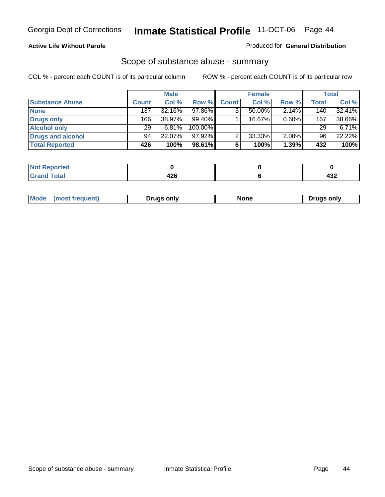#### **Active Life Without Parole**

#### Produced for **General Distribution**

### Scope of substance abuse - summary

|                        |              | <b>Male</b> |         |              | <b>Female</b> |       |              | Total    |
|------------------------|--------------|-------------|---------|--------------|---------------|-------|--------------|----------|
| <b>Substance Abuse</b> | <b>Count</b> | Col %       | Row %   | <b>Count</b> | Col %         | Row % | <b>Total</b> | Col %    |
| <b>None</b>            | 137          | 32.16%      | 97.86%  | ◠            | $50.00\%$     | 2.14% | 140          | 32.41%   |
| Drugs only             | 166          | 38.97%      | 99.40%  |              | 16.67%        | 0.60% | 167          | 38.66%   |
| <b>Alcohol only</b>    | 29           | 6.81%       | 100.00% |              |               |       | 29           | $6.71\%$ |
| Drugs and alcohol      | 94           | 22.07%      | 97.92%  | ົ            | 33.33%        | 2.08% | 96           | 22.22%   |
| <b>Total Reported</b>  | 426          | 100%        | 98.61%  | 6            | 100%          | 1.39% | 432          | 100%     |

| Reported<br>           |                     |                |
|------------------------|---------------------|----------------|
| <b>Total</b><br>$\sim$ | $\sim$<br>+4V<br>__ | .<br>−J∠<br>__ |

|  | Mode<br>trequent.<br>most | Drugs only | …u∩n | ∵onlv<br>Druas |
|--|---------------------------|------------|------|----------------|
|--|---------------------------|------------|------|----------------|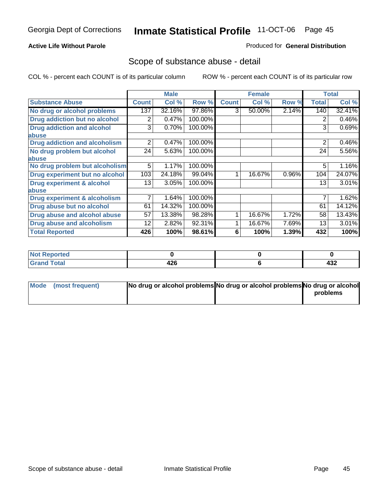#### **Active Life Without Parole**

#### Produced for **General Distribution**

### Scope of substance abuse - detail

|                                      |              | <b>Male</b> |         |              | <b>Female</b> |       |              | <b>Total</b> |
|--------------------------------------|--------------|-------------|---------|--------------|---------------|-------|--------------|--------------|
| <b>Substance Abuse</b>               | <b>Count</b> | Col %       | Row %   | <b>Count</b> | Col %         | Row % | <b>Total</b> | Col %        |
| No drug or alcohol problems          | 137          | 32.16%      | 97.86%  | 3            | 50.00%        | 2.14% | 140          | 32.41%       |
| Drug addiction but no alcohol        | 2            | 0.47%       | 100.00% |              |               |       | 2            | 0.46%        |
| <b>Drug addiction and alcohol</b>    | 3            | 0.70%       | 100.00% |              |               |       | 3            | 0.69%        |
| abuse                                |              |             |         |              |               |       |              |              |
| <b>Drug addiction and alcoholism</b> | 2            | 0.47%       | 100.00% |              |               |       | 2            | 0.46%        |
| No drug problem but alcohol          | 24           | 5.63%       | 100.00% |              |               |       | 24           | 5.56%        |
| abuse                                |              |             |         |              |               |       |              |              |
| No drug problem but alcoholism       | 5            | 1.17%       | 100.00% |              |               |       | 5            | 1.16%        |
| Drug experiment but no alcohol       | 103          | 24.18%      | 99.04%  | 4            | 16.67%        | 0.96% | 104          | 24.07%       |
| <b>Drug experiment &amp; alcohol</b> | 13           | 3.05%       | 100.00% |              |               |       | 13           | 3.01%        |
| abuse                                |              |             |         |              |               |       |              |              |
| Drug experiment & alcoholism         | 7            | 1.64%       | 100.00% |              |               |       | 7            | 1.62%        |
| Drug abuse but no alcohol            | 61           | 14.32%      | 100.00% |              |               |       | 61           | 14.12%       |
| Drug abuse and alcohol abuse         | 57           | 13.38%      | 98.28%  |              | 16.67%        | 1.72% | 58           | 13.43%       |
| Drug abuse and alcoholism            | 12           | 2.82%       | 92.31%  |              | 16.67%        | 7.69% | 13           | 3.01%        |
| <b>Total Reported</b>                | 426          | 100%        | 98.61%  | 6            | 100%          | 1.39% | 432          | 100%         |

| ∣Not Reported |      |     |
|---------------|------|-----|
| <b>Total</b>  |      | ,,, |
| $\sim$        | 44 U | −J∠ |

| Mode (most frequent) | No drug or alcohol problems No drug or alcohol problems No drug or alcohol |          |
|----------------------|----------------------------------------------------------------------------|----------|
|                      |                                                                            | problems |
|                      |                                                                            |          |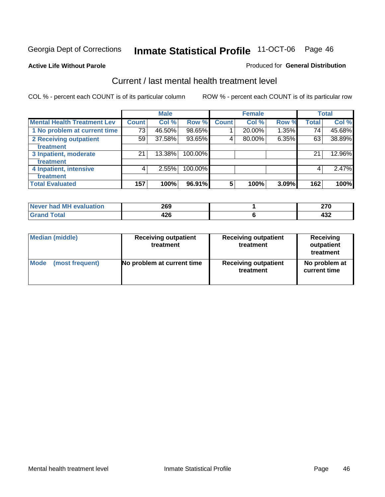**Active Life Without Parole** 

#### Produced for **General Distribution**

### Current / last mental health treatment level

|                                    |              | <b>Male</b> |         |              | <b>Female</b> |          |              | <b>Total</b> |
|------------------------------------|--------------|-------------|---------|--------------|---------------|----------|--------------|--------------|
| <b>Mental Health Treatment Lev</b> | <b>Count</b> | Col %       | Row %   | <b>Count</b> | Col %         | Row %    | <b>Total</b> | Col %        |
| 1 No problem at current time       | 73           | 46.50%      | 98.65%  |              | 20.00%        | $1.35\%$ | 74           | 45.68%       |
| 2 Receiving outpatient             | 59           | 37.58%      | 93.65%  | 4            | 80.00%        | 6.35%    | 63           | 38.89%       |
| treatment                          |              |             |         |              |               |          |              |              |
| 3 Inpatient, moderate              | 21           | 13.38%      | 100.00% |              |               |          | 21           | 12.96%       |
| treatment                          |              |             |         |              |               |          |              |              |
| 4 Inpatient, intensive             | 4            | 2.55%       | 100.00% |              |               |          | 4            | 2.47%        |
| treatment                          |              |             |         |              |               |          |              |              |
| <b>Total Evaluated</b>             | 157          | 100%        | 96.91%  | 5            | 100%          | 3.09%    | 162          | 100%         |

| Never had MH evaluation | 269        | ~-~      |
|-------------------------|------------|----------|
| Total                   | 1つに<br>420 | <br>4JL. |

| <b>Median (middle)</b> | <b>Receiving outpatient</b><br>treatment | <b>Receiving outpatient</b><br>treatment | <b>Receiving</b><br>outpatient<br>treatment |
|------------------------|------------------------------------------|------------------------------------------|---------------------------------------------|
| <b>Mode</b>            | No problem at current time               | <b>Receiving outpatient</b>              | No problem at                               |
| (most frequent)        |                                          | treatment                                | current time                                |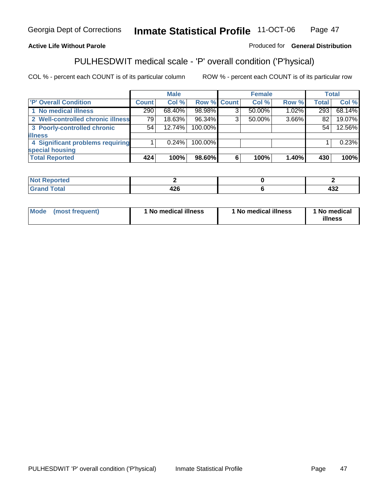#### **Active Life Without Parole**

#### Produced for **General Distribution**

### PULHESDWIT medical scale - 'P' overall condition ('P'hysical)

|                                   |              | <b>Male</b> |             |   | <b>Female</b> |          |              | <b>Total</b> |
|-----------------------------------|--------------|-------------|-------------|---|---------------|----------|--------------|--------------|
| 'P' Overall Condition             | <b>Count</b> | Col %       | Row % Count |   | Col %         | Row %    | <b>Total</b> | Col %        |
| 1 No medical illness              | 290          | 68.40%      | 98.98%      | ົ | 50.00%        | $1.02\%$ | 293          | 68.14%       |
| 2 Well-controlled chronic illness | 79           | $18.63\%$   | 96.34%      | 3 | $50.00\%$     | 3.66%    | 82           | 19.07%       |
| 3 Poorly-controlled chronic       | 54           | 12.74%      | 100.00%     |   |               |          | 54           | 12.56%       |
| <b>illness</b>                    |              |             |             |   |               |          |              |              |
| 4 Significant problems requiring  |              | $0.24\%$    | 100.00%     |   |               |          |              | 0.23%        |
| special housing                   |              |             |             |   |               |          |              |              |
| <b>Total Reported</b>             | 424          | 100%        | 98.60%      | 6 | 100%          | $1.40\%$ | 430          | 100%         |

| Not i<br><b>Reported</b> |          |            |
|--------------------------|----------|------------|
| <b>Grand Total</b>       | <br>44 U | י פ<br>4JZ |

| <b>Mode</b> | (most frequent) | <sup>1</sup> No medical illness | 'No medical illness | 1 No medical<br>illness |
|-------------|-----------------|---------------------------------|---------------------|-------------------------|
|-------------|-----------------|---------------------------------|---------------------|-------------------------|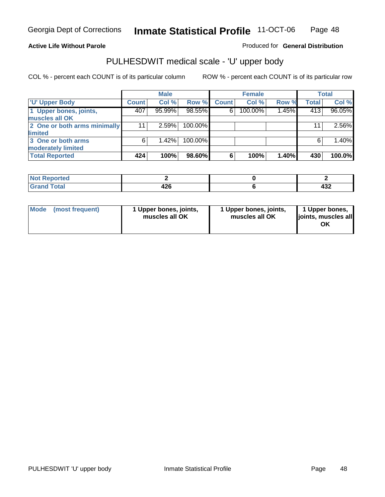#### **Active Life Without Parole**

Produced for **General Distribution**

# PULHESDWIT medical scale - 'U' upper body

|                              |              | <b>Male</b> |         |              | <b>Female</b> |       |              | <b>Total</b> |
|------------------------------|--------------|-------------|---------|--------------|---------------|-------|--------------|--------------|
| <b>TU' Upper Body</b>        | <b>Count</b> | Col %       | Row %   | <b>Count</b> | Col %         | Row % | <b>Total</b> | Col %        |
| 1 Upper bones, joints,       | 407          | 95.99%      | 98.55%  | 6            | 100.00%       | 1.45% | 413          | 96.05%       |
| muscles all OK               |              |             |         |              |               |       |              |              |
| 2 One or both arms minimally | 11           | 2.59%       | 100.00% |              |               |       | 11           | 2.56%        |
| limited                      |              |             |         |              |               |       |              |              |
| 3 One or both arms           | 6            | 1.42%       | 100.00% |              |               |       | 6            | 1.40%        |
| moderately limited           |              |             |         |              |               |       |              |              |
| <b>Total Reported</b>        | 424          | 100%        | 98.60%  | 6            | 100%          | 1.40% | 430          | 100.0%       |

| -----<br>Reportea<br>N<br>. |                       |       |
|-----------------------------|-----------------------|-------|
| intal<br>______             | ハウム<br>14 V<br>$\sim$ | <br>╍ |

| Mode | (most frequent) | 1 Upper bones, joints,<br>muscles all OK | 1 Upper bones, joints,<br>muscles all OK | 1 Upper bones,<br>joints, muscles all<br>ΟK |
|------|-----------------|------------------------------------------|------------------------------------------|---------------------------------------------|
|------|-----------------|------------------------------------------|------------------------------------------|---------------------------------------------|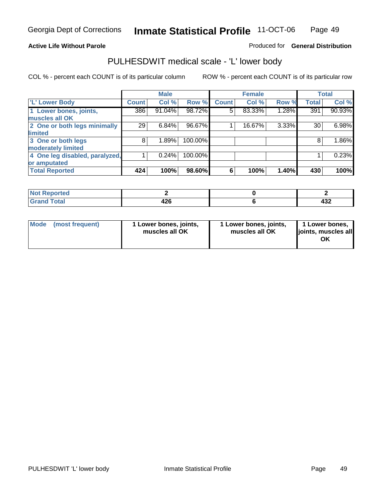#### **Active Life Without Parole**

#### Produced for **General Distribution**

### PULHESDWIT medical scale - 'L' lower body

|                                |              | <b>Male</b> |         |              | <b>Female</b> |       |              | <b>Total</b> |
|--------------------------------|--------------|-------------|---------|--------------|---------------|-------|--------------|--------------|
| 'L' Lower Body                 | <b>Count</b> | Col %       | Row %   | <b>Count</b> | Col %         | Row % | <b>Total</b> | Col %        |
| 1 Lower bones, joints,         | 386          | 91.04%      | 98.72%  | 5            | 83.33%        | 1.28% | 391          | 90.93%       |
| muscles all OK                 |              |             |         |              |               |       |              |              |
| 2 One or both legs minimally   | 29           | 6.84%       | 96.67%  |              | 16.67%        | 3.33% | 30           | 6.98%        |
| limited                        |              |             |         |              |               |       |              |              |
| 3 One or both legs             | 8            | 1.89%       | 100.00% |              |               |       | 8            | 1.86%        |
| moderately limited             |              |             |         |              |               |       |              |              |
| 4 One leg disabled, paralyzed, |              | 0.24%       | 100.00% |              |               |       |              | 0.23%        |
| or amputated                   |              |             |         |              |               |       |              |              |
| <b>Total Reported</b>          | 424          | 100%        | 98.60%  | 6            | 100%          | 1.40% | 430          | 100%         |

| <b>rted</b><br>N       |      |     |
|------------------------|------|-----|
| $f \wedge f \wedge f'$ | 1 ገር |     |
| ι υιαι                 | 44 U | ⊶J∠ |

|  | Mode (most frequent) | 1 Lower bones, joints,<br>muscles all OK | 1 Lower bones, joints,<br>muscles all OK | 1 Lower bones,<br>joints, muscles all<br>OK |
|--|----------------------|------------------------------------------|------------------------------------------|---------------------------------------------|
|--|----------------------|------------------------------------------|------------------------------------------|---------------------------------------------|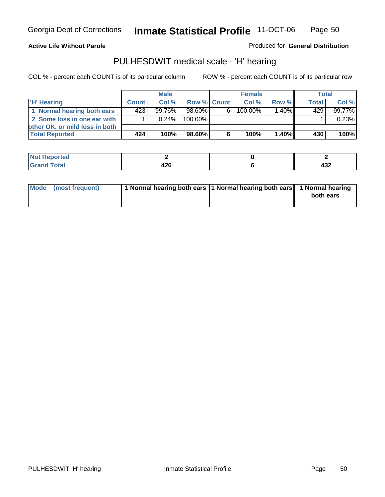#### **Active Life Without Parole**

Produced for **General Distribution**

### PULHESDWIT medical scale - 'H' hearing

|                                |              | <b>Male</b> |             |    | <b>Female</b> |       | Total        |         |
|--------------------------------|--------------|-------------|-------------|----|---------------|-------|--------------|---------|
| 'H' Hearing                    | <b>Count</b> | Col%        | Row % Count |    | Col%          | Row % | <b>Total</b> | Col %   |
| 1 Normal hearing both ears     | 423          | 99.76%      | 98.60%      | 61 | 100.00%       | 1.40% | 429          | 99.77%  |
| 2 Some loss in one ear with    |              | $0.24\%$    | 100.00%     |    |               |       |              | 0.23%   |
| other OK, or mild loss in both |              |             |             |    |               |       |              |         |
| <b>Total Reported</b>          | 424          | 100%        | 98.60%      | 6  | 100%          | 1.40% | 430          | $100\%$ |

| тео    |   |            |
|--------|---|------------|
| ------ | ╍ | ,,,<br>477 |

| Mode (most frequent) | 1 Normal hearing both ears 1 Normal hearing both ears 1 Normal hearing | both ears |
|----------------------|------------------------------------------------------------------------|-----------|
|                      |                                                                        |           |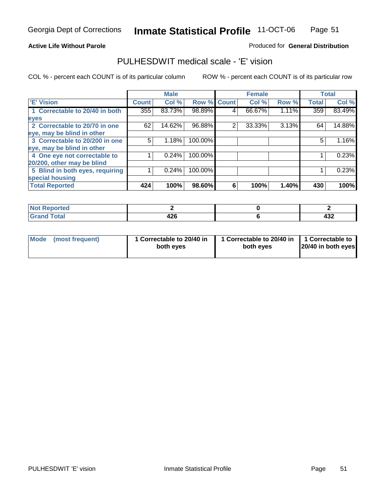#### **Active Life Without Parole**

#### Produced for **General Distribution**

### PULHESDWIT medical scale - 'E' vision

|                                 |              | <b>Male</b> |                    |   | <b>Female</b> |       |              | <b>Total</b> |
|---------------------------------|--------------|-------------|--------------------|---|---------------|-------|--------------|--------------|
| <b>E' Vision</b>                | <b>Count</b> | Col %       | <b>Row % Count</b> |   | Col %         | Row % | <b>Total</b> | Col %        |
| 1 Correctable to 20/40 in both  | 355          | 83.73%      | 98.89%             | 4 | 66.67%        | 1.11% | 359          | 83.49%       |
| eyes                            |              |             |                    |   |               |       |              |              |
| 2 Correctable to 20/70 in one   | 62           | 14.62%      | 96.88%             | 2 | 33.33%        | 3.13% | 64           | 14.88%       |
| eye, may be blind in other      |              |             |                    |   |               |       |              |              |
| 3 Correctable to 20/200 in one  | 5            | 1.18%       | 100.00%            |   |               |       | 5            | 1.16%        |
| eye, may be blind in other      |              |             |                    |   |               |       |              |              |
| 4 One eye not correctable to    |              | 0.24%       | 100.00%            |   |               |       |              | 0.23%        |
| 20/200, other may be blind      |              |             |                    |   |               |       |              |              |
| 5 Blind in both eyes, requiring |              | 0.24%       | 100.00%            |   |               |       |              | 0.23%        |
| special housing                 |              |             |                    |   |               |       |              |              |
| <b>Total Reported</b>           | 424          | 100%        | 98.60%             | 6 | 100%          | 1.40% | 430          | 100%         |

| nrteal<br>$\cdots$ |      |     |
|--------------------|------|-----|
| int                | 196  | ,,, |
| ------             | 44 U | 494 |

| <b>Mode</b>     | 1 Correctable to 20/40 in | 1 Correctable to 20/40 in   1 Correctable to | 20/40 in both eyes |
|-----------------|---------------------------|----------------------------------------------|--------------------|
| (most frequent) | both eyes                 | both eves                                    |                    |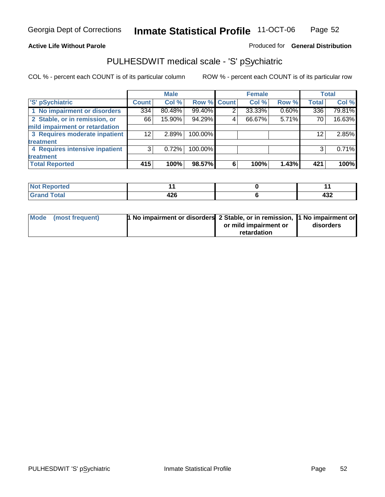#### **Active Life Without Parole**

#### Produced for **General Distribution**

# PULHESDWIT medical scale - 'S' pSychiatric

|                                |              | <b>Male</b> |             |   | <b>Female</b> |       |              | <b>Total</b> |
|--------------------------------|--------------|-------------|-------------|---|---------------|-------|--------------|--------------|
| 'S' pSychiatric                | <b>Count</b> | Col %       | Row % Count |   | Col %         | Row % | <b>Total</b> | Col %        |
| 1 No impairment or disorders   | 334          | 80.48%      | 99.40%      | 2 | 33.33%        | 0.60% | 336          | 79.81%       |
| 2 Stable, or in remission, or  | 66           | 15.90%      | 94.29%      | 4 | 66.67%        | 5.71% | 70           | 16.63%       |
| mild impairment or retardation |              |             |             |   |               |       |              |              |
| 3 Requires moderate inpatient  | 12           | 2.89%       | 100.00%     |   |               |       | 12           | 2.85%        |
| treatment                      |              |             |             |   |               |       |              |              |
| 4 Requires intensive inpatient | 3            | 0.72%       | 100.00%     |   |               |       | 3            | 0.71%        |
| treatment                      |              |             |             |   |               |       |              |              |
| <b>Total Reported</b>          | 415          | 100%        | 98.57%      | 6 | 100%          | 1.43% | 421          | 100%         |

| ب بن عمر<br>eportea<br>.<br>$\sim$ |       |     |
|------------------------------------|-------|-----|
| <b>otal</b>                        | - 10  | "   |
| ------                             | $+20$ | 40Z |

| Mode (most frequent) | 1 No impairment or disorders 2 Stable, or in remission, 11 No impairment or |                       |           |
|----------------------|-----------------------------------------------------------------------------|-----------------------|-----------|
|                      |                                                                             | or mild impairment or | disorders |
|                      |                                                                             | retardation           |           |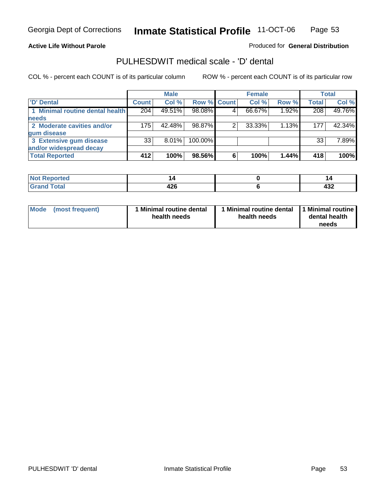**Active Life Without Parole** 

Produced for **General Distribution**

### PULHESDWIT medical scale - 'D' dental

|                                 |              | <b>Male</b> |             |   | <b>Female</b> |       |              | <b>Total</b> |
|---------------------------------|--------------|-------------|-------------|---|---------------|-------|--------------|--------------|
| <b>D' Dental</b>                | <b>Count</b> | Col %       | Row % Count |   | Col %         | Row % | <b>Total</b> | Col %        |
| 1 Minimal routine dental health | 204          | 49.51%      | 98.08%      |   | 66.67%        | 1.92% | 208          | 49.76%       |
| <b>needs</b>                    |              |             |             |   |               |       |              |              |
| 2 Moderate cavities and/or      | 175          | 42.48%      | 98.87%      |   | 33.33%        | 1.13% | 177          | 42.34%       |
| gum disease                     |              |             |             |   |               |       |              |              |
| 3 Extensive gum disease         | 33           | $8.01\%$    | 100.00%     |   |               |       | 33           | 7.89%        |
| and/or widespread decay         |              |             |             |   |               |       |              |              |
| <b>Total Reported</b>           | 412          | 100%        | 98.56%      | 6 | 100%          | 1.44% | 418          | 100%         |

| тео    |                     | P        |
|--------|---------------------|----------|
| $\sim$ | ---<br>l me<br>44 U | .<br>স∪∠ |

| Mode (most frequent) | <b>Minimal routine dental</b><br>health needs | 1 Minimal routine dental<br>health needs | 1 Minimal routine<br>dental health<br>needs |
|----------------------|-----------------------------------------------|------------------------------------------|---------------------------------------------|
|----------------------|-----------------------------------------------|------------------------------------------|---------------------------------------------|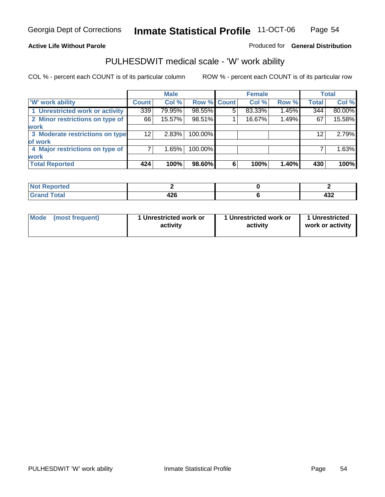#### **Active Life Without Parole**

#### Produced for **General Distribution**

### PULHESDWIT medical scale - 'W' work ability

|                                 |                 | <b>Male</b> |             |   | <b>Female</b> |       |              | <b>Total</b> |
|---------------------------------|-----------------|-------------|-------------|---|---------------|-------|--------------|--------------|
| <b>W' work ability</b>          | <b>Count</b>    | Col %       | Row % Count |   | Col %         | Row % | <b>Total</b> | Col %        |
| 1 Unrestricted work or activity | 339             | 79.95%      | 98.55%      | 5 | 83.33%        | 1.45% | 344          | 80.00%       |
| 2 Minor restrictions on type of | 66              | 15.57%      | 98.51%      |   | 16.67%        | 1.49% | 67           | 15.58%       |
| <b>work</b>                     |                 |             |             |   |               |       |              |              |
| 3 Moderate restrictions on type | 12 <sup>2</sup> | 2.83%       | 100.00%     |   |               |       | $12 \,$      | 2.79%        |
| of work                         |                 |             |             |   |               |       |              |              |
| 4 Major restrictions on type of |                 | 1.65%       | 100.00%     |   |               |       |              | 1.63%        |
| <b>work</b>                     |                 |             |             |   |               |       |              |              |
| <b>Total Reported</b>           | 424             | 100%        | 98.60%      | 6 | 100%          | 1.40% | 430          | 100%         |

| د د لاس<br>W.<br>rtea                                          |             |            |
|----------------------------------------------------------------|-------------|------------|
| $T0$ to <sup><math>\prime</math></sup><br>υιαι<br>$-1$ and $-$ | ハワビ<br>44 Y | ,,,<br>49Z |

| Mode | (most frequent) | 1 Unrestricted work or<br>activity | 1 Unrestricted work or<br>activity | 1 Unrestricted<br>work or activity |
|------|-----------------|------------------------------------|------------------------------------|------------------------------------|
|      |                 |                                    |                                    |                                    |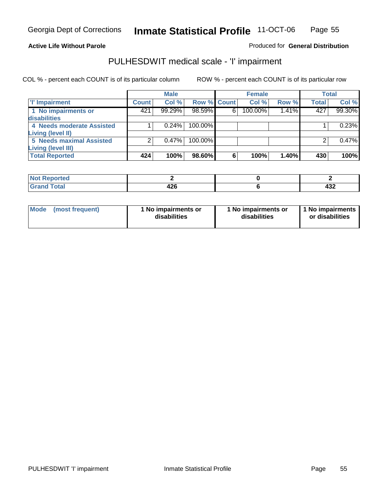#### **Active Life Without Parole**

#### Produced for **General Distribution**

### PULHESDWIT medical scale - 'I' impairment

|                                 |              | <b>Male</b> |                    |   | <b>Female</b> |       |              | <b>Total</b> |
|---------------------------------|--------------|-------------|--------------------|---|---------------|-------|--------------|--------------|
| T' Impairment                   | <b>Count</b> | Col %       | <b>Row % Count</b> |   | Col %         | Row % | <b>Total</b> | Col %        |
| 1 No impairments or             | 421          | 99.29%      | 98.59%             | 6 | 100.00%       | 1.41% | 427          | 99.30%       |
| disabilities                    |              |             |                    |   |               |       |              |              |
| 4 Needs moderate Assisted       |              | 0.24%       | 100.00%            |   |               |       |              | 0.23%        |
| Living (level II)               |              |             |                    |   |               |       |              |              |
| <b>5 Needs maximal Assisted</b> |              | 0.47%       | 100.00%            |   |               |       |              | 0.47%        |
| <b>Living (level III)</b>       |              |             |                    |   |               |       |              |              |
| <b>Total Reported</b>           | 424          | 100%        | 98.60%             | 6 | 100%          | 1.40% | 430          | 100%         |

| Reported<br>. |             |     |
|---------------|-------------|-----|
| <b>Total</b>  | 10C<br>44 U | ___ |

| Mode            | 1 No impairments or | 1 No impairments or | 1 No impairments |
|-----------------|---------------------|---------------------|------------------|
| (most frequent) | disabilities        | disabilities        | or disabilities  |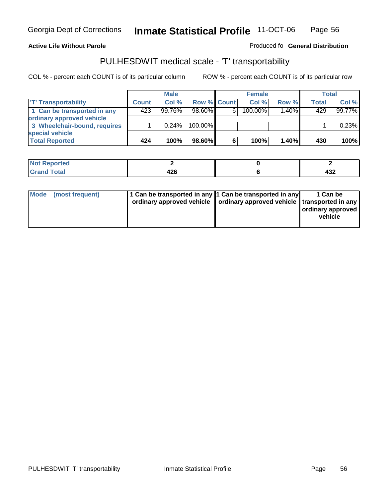#### **Inmate Statistical Profile** 11-OCT-06 Page Page 56

#### **Active Life Without Parole Produced fo Seneral Distribution**

### PULHESDWIT medical scale - 'T' transportability

|                              |              | <b>Male</b> |                    |   | <b>Female</b> |          |              | Total  |
|------------------------------|--------------|-------------|--------------------|---|---------------|----------|--------------|--------|
| <b>T' Transportability</b>   | <b>Count</b> | Col%        | <b>Row % Count</b> |   | Col %         | Row %    | <b>Total</b> | Col %  |
| 1 Can be transported in any  | 423          | $99.76\%$   | $98.60\%$          | 6 | 100.00%       | $1.40\%$ | 429          | 99.77% |
| ordinary approved vehicle    |              |             |                    |   |               |          |              |        |
| 3 Wheelchair-bound, requires |              | 0.24%       | $100.00\%$         |   |               |          |              | 0.23%  |
| special vehicle              |              |             |                    |   |               |          |              |        |
| <b>Total Reported</b>        | 424          | 100%        | 98.60% <b> </b>    | 6 | 100%          | 1.40%    | 430          | 100%   |

| <b>Not Reported</b> |          |            |
|---------------------|----------|------------|
| <b>otal</b>         | <br>44 U | ,,,<br>956 |

| <b>Mode</b><br>(most frequent) | 1 Can be transported in any 1 Can be transported in any<br>ordinary approved vehicle   ordinary approved vehicle   transported in any |  | 1 Can be<br>ordinary approved<br>vehicle |
|--------------------------------|---------------------------------------------------------------------------------------------------------------------------------------|--|------------------------------------------|
|--------------------------------|---------------------------------------------------------------------------------------------------------------------------------------|--|------------------------------------------|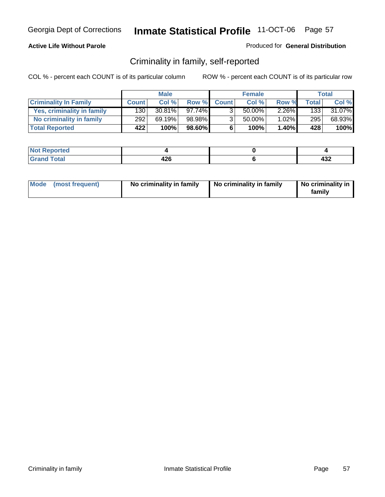#### **Active Life Without Parole**

#### Produced for **General Distribution**

### Criminality in family, self-reported

|                              |              | <b>Male</b> |         |              | <b>Female</b> |          |       | Total  |
|------------------------------|--------------|-------------|---------|--------------|---------------|----------|-------|--------|
| <b>Criminality In Family</b> | <b>Count</b> | Col %       | Row %   | <b>Count</b> | Col %         | Row %    | Total | Col %  |
| Yes, criminality in family   | 130          | $30.81\%$   | 97.74%I |              | 50.00%        | $2.26\%$ | 1331  | 31.07% |
| No criminality in family     | 292          | 69.19%      | 98.98%  | 3            | 50.00%        | $1.02\%$ | 295   | 68.93% |
| <b>Total Reported</b>        | 422          | 100%        | 98.60%  | 6            | 100%          | $1.40\%$ | 428   | 100%   |

| ported<br><b>NOT</b><br><b>IJCI</b> |                       |         |
|-------------------------------------|-----------------------|---------|
| $\sim$<br>Grar<br>---               | 19ፎ<br>44 U<br>$\sim$ | <br>494 |

|  | Mode (most frequent) | No criminality in family | No criminality in family | No criminality in<br>family |
|--|----------------------|--------------------------|--------------------------|-----------------------------|
|--|----------------------|--------------------------|--------------------------|-----------------------------|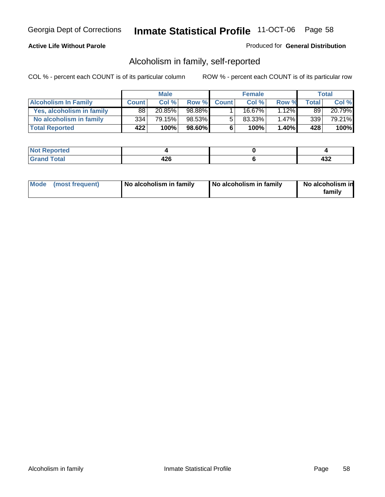#### **Active Life Without Parole**

#### Produced for **General Distribution**

### Alcoholism in family, self-reported

|                             |              | <b>Male</b> |        |              | <b>Female</b> |          |       | Total  |
|-----------------------------|--------------|-------------|--------|--------------|---------------|----------|-------|--------|
| <b>Alcoholism In Family</b> | <b>Count</b> | Col %       | Row %  | <b>Count</b> | Col %         | Row %    | Total | Col %  |
| Yes, alcoholism in family   | 88           | 20.85%      | 98.88% |              | 16.67%        | $1.12\%$ | 89    | 20.79% |
| No alcoholism in family     | 334          | 79.15%      | 98.53% | 5            | 83.33%        | $1.47\%$ | 339   | 79.21% |
| <b>Total Reported</b>       | 422          | 100%        | 98.60% | 6            | 100%          | $1.40\%$ | 428   | 100%   |

| oorted<br><b>NOT</b><br><b>IJCI</b> |                       |                   |
|-------------------------------------|-----------------------|-------------------|
| <b>c</b> otal<br>Gran<br>---        | 200<br>44 C<br>$\sim$ | ,,,<br><u>түд</u> |

|  | Mode (most frequent) | No alcoholism in family | No alcoholism in family | No alcoholism in<br>family |
|--|----------------------|-------------------------|-------------------------|----------------------------|
|--|----------------------|-------------------------|-------------------------|----------------------------|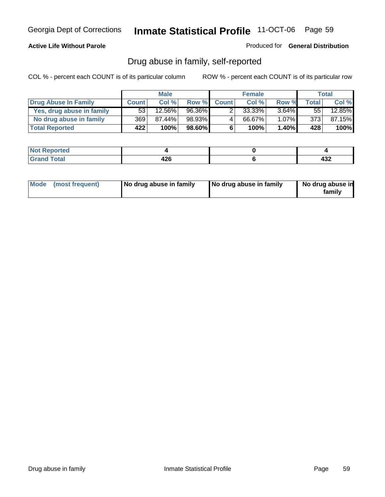#### **Active Life Without Parole**

Produced for **General Distribution**

### Drug abuse in family, self-reported

|                           |                  | <b>Male</b> |        |              | <b>Female</b> |          |              | Total     |
|---------------------------|------------------|-------------|--------|--------------|---------------|----------|--------------|-----------|
| Drug Abuse In Family      | <b>Count</b>     | Col%        | Row %  | <b>Count</b> | Col %         | Row %    | <b>Total</b> | Col %     |
| Yes, drug abuse in family | 53 <sub>1</sub>  | 12.56%      | 96.36% |              | $33.33\%$     | $3.64\%$ | 551          | $12.85\%$ |
| No drug abuse in family   | 369 <sup>1</sup> | 87.44%      | 98.93% | 4            | 66.67%        | $1.07\%$ | 373          | 87.15%    |
| <b>Total Reported</b>     | 422              | 100%        | 98.60% | 6            | 100%          | $1.40\%$ | 428          | 100%      |

| ported<br><b>NOT</b><br><b>IJCI</b> |                       |         |
|-------------------------------------|-----------------------|---------|
| $\sim$<br>Grar<br>---               | 19ፎ<br>44 U<br>$\sim$ | <br>494 |

|  | Mode (most frequent) | No drug abuse in family | No drug abuse in family | No drug abuse in<br>family |
|--|----------------------|-------------------------|-------------------------|----------------------------|
|--|----------------------|-------------------------|-------------------------|----------------------------|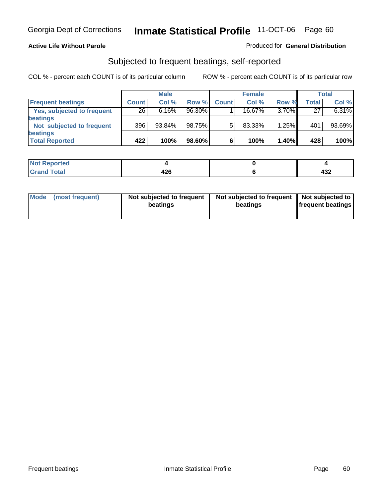#### **Active Life Without Parole**

#### Produced for **General Distribution**

### Subjected to frequent beatings, self-reported

|                            |              | <b>Male</b> |        |              | <b>Female</b> |       |       | <b>Total</b> |
|----------------------------|--------------|-------------|--------|--------------|---------------|-------|-------|--------------|
| <b>Frequent beatings</b>   | <b>Count</b> | Col%        | Row %  | <b>Count</b> | Col%          | Row % | Total | Col %        |
| Yes, subjected to frequent | 26           | 6.16%       | 96.30% |              | 16.67%        | 3.70% | 27    | 6.31%        |
| beatings                   |              |             |        |              |               |       |       |              |
| Not subjected to frequent  | 396          | $93.84\%$   | 98.75% | 5            | 83.33%        | 1.25% | 401   | 93.69%       |
| beatings                   |              |             |        |              |               |       |       |              |
| <b>Total Reported</b>      | 422          | 100%        | 98.60% | 6            | 100%          | 1.40% | 428   | 100%         |

| rted<br>w<br><b>Repo</b><br>$\sim$ |                  |          |
|------------------------------------|------------------|----------|
| $T0$ tol<br><b>C.L.</b>            | ハつに<br>-27<br>__ | <br>-45∠ |

| Mode (most frequent) | Not subjected to frequent<br>beatings | Not subjected to frequent<br>beatings | Not subjected to<br><b>frequent beatings</b> |
|----------------------|---------------------------------------|---------------------------------------|----------------------------------------------|
|                      |                                       |                                       |                                              |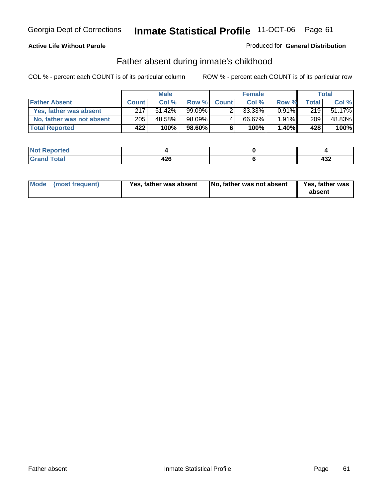#### **Active Life Without Parole**

#### Produced for **General Distribution**

### Father absent during inmate's childhood

|                           |              | <b>Male</b> |           |              | <b>Female</b> |          |       | Total  |
|---------------------------|--------------|-------------|-----------|--------------|---------------|----------|-------|--------|
| <b>Father Absent</b>      | <b>Count</b> | Col %       | Row %     | <b>Count</b> | Col %         | Row %    | Total | Col %  |
| Yes, father was absent    | 217          | 51.42%      | $99.09\%$ |              | $33.33\%$     | $0.91\%$ | 219   | 51.17% |
| No, father was not absent | 205          | 48.58%      | 98.09%    |              | 66.67%        | $1.91\%$ | 209   | 48.83% |
| <b>Total Reported</b>     | 422          | 100%        | $98.60\%$ | 6            | 100%          | $1.40\%$ | 428   | 100%   |

| <b>Not Reported</b> |     |     |
|---------------------|-----|-----|
| <b>Total</b>        | 196 | "   |
| Grand               | 42C | TVL |

| Mode (most frequent)<br>Yes, father was absent | No, father was not absent | Yes, father was<br>absent |
|------------------------------------------------|---------------------------|---------------------------|
|------------------------------------------------|---------------------------|---------------------------|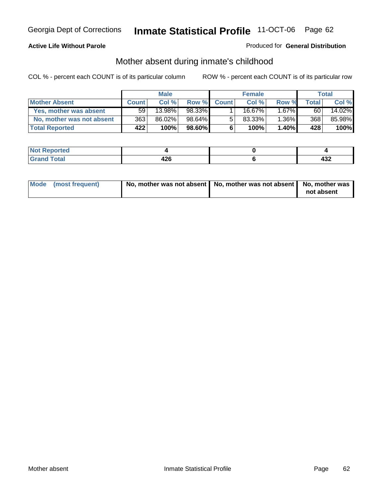#### **Active Life Without Parole**

#### Produced for **General Distribution**

# Mother absent during inmate's childhood

|                           | <b>Male</b>  |        |           | <b>Female</b> |        |          | Total |        |
|---------------------------|--------------|--------|-----------|---------------|--------|----------|-------|--------|
| <b>Mother Absent</b>      | <b>Count</b> | Col %  | Row %     | <b>Count</b>  | Col %  | Row %    | Total | Col %  |
| Yes, mother was absent    | 59           | 13.98% | 98.33%    |               | 16.67% | $1.67\%$ | 60    | 14.02% |
| No, mother was not absent | 363          | 86.02% | 98.64%    | 5             | 83.33% | $1.36\%$ | 368   | 85.98% |
| <b>Total Reported</b>     | 422'         | 100%   | $98.60\%$ | c             | 100%   | $1.40\%$ | 428   | 100%   |

| <b>Not Reported</b> |                        |         |
|---------------------|------------------------|---------|
| Гоtal<br>Grani      | 1 ገር<br>44 Y<br>$\sim$ | <br>⇒ບ∠ |

| Mode (most frequent) | No, mother was not absent   No, mother was not absent   No, mother was | not absent |
|----------------------|------------------------------------------------------------------------|------------|
|----------------------|------------------------------------------------------------------------|------------|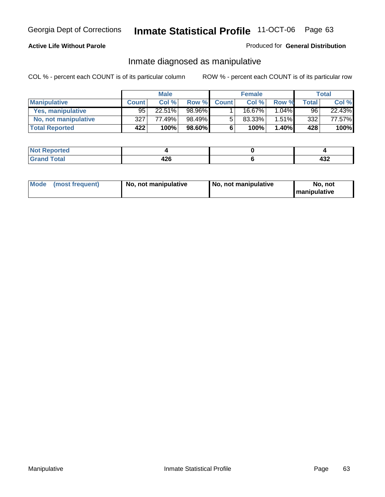#### **Active Life Without Parole**

#### Produced for **General Distribution**

### Inmate diagnosed as manipulative

|                          | <b>Male</b>  |        |        | <b>Female</b> |         |          | Total |        |
|--------------------------|--------------|--------|--------|---------------|---------|----------|-------|--------|
| <b>Manipulative</b>      | <b>Count</b> | Col %  | Row %  | <b>Count</b>  | Col %   | Row %    | Total | Col %  |
| <b>Yes, manipulative</b> | $95^{\circ}$ | 22.51% | 98.96% |               | 16.67%」 | $1.04\%$ | 96    | 22.43% |
| No, not manipulative     | 327          | 77.49% | 98.49% | 5             | 83.33%  | $1.51\%$ | 332   | 77.57% |
| <b>Total Reported</b>    | 422          | 100%   | 98.60% | 6             | 100%    | 1.40%    | 428   | 100%   |

| rted<br><b>NOT</b>       |                       |          |
|--------------------------|-----------------------|----------|
| $\sim$<br>Grar<br>$\sim$ | 19ፎ<br>44 U<br>$\sim$ | "<br>−∪∸ |

| <b>Mode</b><br>No, not manipulative<br>(most frequent) | No. not manipulative | No. not<br>I manipulative |
|--------------------------------------------------------|----------------------|---------------------------|
|--------------------------------------------------------|----------------------|---------------------------|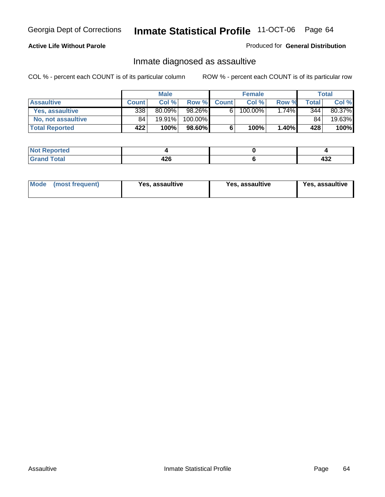#### **Active Life Without Parole**

#### Produced for **General Distribution**

### Inmate diagnosed as assaultive

|                       | <b>Male</b>  |        |         | <b>Female</b> |         |          | Total  |        |
|-----------------------|--------------|--------|---------|---------------|---------|----------|--------|--------|
| <b>Assaultive</b>     | <b>Count</b> | Col %  | Row %   | <b>Count</b>  | Col %   | Row %    | Totall | Col %  |
| Yes, assaultive       | 338          | 80.09% | 98.26%  | 6             | 100.00% | $1.74\%$ | 344    | 80.37% |
| No. not assaultive    | 84           | 19.91% | 100.00% |               |         |          | 84     | 19.63% |
| <b>Total Reported</b> | 422          | 100%   | 98.60%  | 6             | 100%    | $1.40\%$ | 428    | 100%   |

| <b>Not Reported</b> |     |     |
|---------------------|-----|-----|
| <b>Total</b>        | 196 | "   |
| Grand               | 42C | TVL |

| <b>Mode</b><br>(most frequent) | <b>Yes, assaultive</b> | Yes, assaultive | Yes, assaultive |
|--------------------------------|------------------------|-----------------|-----------------|
|--------------------------------|------------------------|-----------------|-----------------|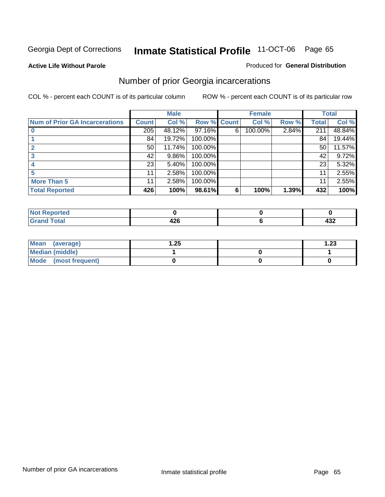#### **Active Life Without Parole**

#### Produced for **General Distribution**

### Number of prior Georgia incarcerations

|                                       |                 | <b>Male</b> |         |              | <b>Female</b> |       |       | <b>Total</b> |
|---------------------------------------|-----------------|-------------|---------|--------------|---------------|-------|-------|--------------|
| <b>Num of Prior GA Incarcerations</b> | <b>Count</b>    | Col %       | Row %   | <b>Count</b> | Col %         | Row % | Total | Col %        |
|                                       | 205             | 48.12%      | 97.16%  | 6            | 100.00%       | 2.84% | 211   | 48.84%       |
|                                       | 84              | 19.72%      | 100.00% |              |               |       | 84    | 19.44%       |
|                                       | 50 <sub>1</sub> | 11.74%      | 100.00% |              |               |       | 50    | 11.57%       |
|                                       | 42              | 9.86%       | 100.00% |              |               |       | 42    | 9.72%        |
|                                       | 23              | 5.40%       | 100.00% |              |               |       | 23    | 5.32%        |
|                                       | 11              | 2.58%       | 100.00% |              |               |       | 11    | 2.55%        |
| <b>More Than 5</b>                    | 11              | 2.58%       | 100.00% |              |               |       | 11    | 2.55%        |
| <b>Total Reported</b>                 | 426             | 100%        | 98.61%  | 6            | 100%          | 1.39% | 432   | 100%         |

| .<br>тео<br>w |                    |            |
|---------------|--------------------|------------|
| $\sim$        | .<br>- -<br>$\sim$ | ,,,<br>4JZ |

| Mean (average)       | .25 | 1.23 |
|----------------------|-----|------|
| Median (middle)      |     |      |
| Mode (most frequent) |     |      |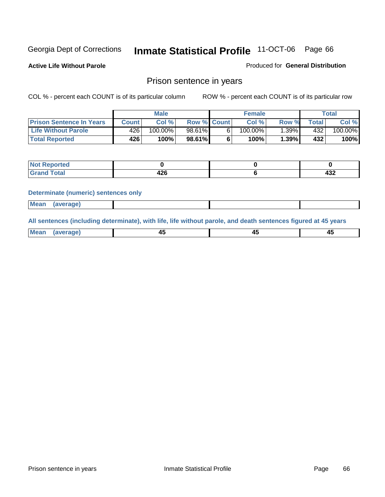**Active Life Without Parole** 

Produced for **General Distribution**

### Prison sentence in years

COL % - percent each COUNT is of its particular column ROW % - percent each COUNT is of its particular row

|                                 | <b>Male</b>  |            |                    | <b>Female</b> |            |          | Total       |         |
|---------------------------------|--------------|------------|--------------------|---------------|------------|----------|-------------|---------|
| <b>Prison Sentence In Years</b> | <b>Count</b> | Col %      | <b>Row % Count</b> |               | Col %      | Row %    | $\tau$ otal | Col %   |
| <b>Life Without Parole</b>      | 426'         | $100.00\%$ | 98.61%             |               | $100.00\%$ | $1.39\%$ | 432         | 100.00% |
| <b>Total Reported</b>           | 426'         | 100%       | 98.61%             |               | 100%       | 1.39%    | 432'        | 100%    |

| Reported                                |            |            |
|-----------------------------------------|------------|------------|
| <b>Total</b><br>Gra<br>$\mathbf{v}$ and | 20<br>44 Y | ,,,<br>−∪∠ |

#### **Determinate (numeric) sentences only**

| Mean | average) |  |  |
|------|----------|--|--|
|      |          |  |  |

**All sentences (including determinate), with life, life without parole, and death sentences figured at 45 years**

| Me:<br>апет<br>.<br>᠇<br>$\sim$ | -- | т.<br>$\sim$ |
|---------------------------------|----|--------------|
|---------------------------------|----|--------------|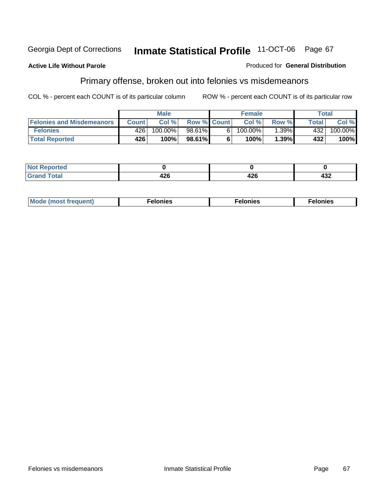#### **Active Life Without Parole**

#### Produced for **General Distribution**

# Primary offense, broken out into felonies vs misdemeanors

|                                  | <b>Male</b>  |         |                    | <b>Female</b> |            |       | Total  |            |
|----------------------------------|--------------|---------|--------------------|---------------|------------|-------|--------|------------|
| <b>Felonies and Misdemeanors</b> | <b>Count</b> | Col%    | <b>Row % Count</b> |               | Col%       | Row % | Total. | Col %      |
| <b>Felonies</b>                  | 426'         | 100.00% | 98.61%             | 61            | $100.00\%$ | .39%  | 432    | $100.00\%$ |
| <b>Total Reported</b>            | 426'         | 100%    | 98.61%I            |               | 100%       | .39%  | 432    | 100%       |

| ted<br>NO<br>$\sim$ |   |         |            |
|---------------------|---|---------|------------|
| --                  | . | <br>−∠∪ | י פ<br>49Z |

| M <sub>0</sub><br>. | צאור<br>. | . |
|---------------------|-----------|---|
|---------------------|-----------|---|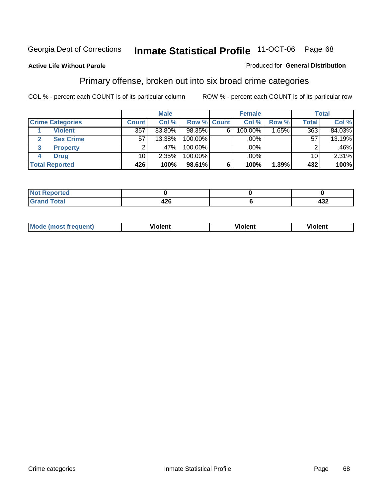#### **Active Life Without Parole**

#### Produced for **General Distribution**

### Primary offense, broken out into six broad crime categories

|                         |              | <b>Male</b> |            |             | <b>Female</b> |       |                 | <b>Total</b> |  |
|-------------------------|--------------|-------------|------------|-------------|---------------|-------|-----------------|--------------|--|
| <b>Crime Categories</b> | <b>Count</b> | Col %       |            | Row % Count | Col %         | Row % | <b>Total</b>    | Col %        |  |
| <b>Violent</b>          | 357          | 83.80%      | 98.35%     | 6           | 100.00%       |       | 363             | 84.03%       |  |
| <b>Sex Crime</b><br>2   | 57           | 13.38%      | $100.00\%$ |             | .00%          |       | 57              | 13.19%       |  |
| 3<br><b>Property</b>    | 2            | ا %47.      | 100.00%    |             | .00%          |       |                 | .46%         |  |
| <b>Drug</b><br>4        | 10           | 2.35%       | 100.00%    |             | .00%          |       | 10 <sup>1</sup> | 2.31%        |  |
| <b>Total Reported</b>   | 426          | 100%        | 98.61%     | 6           | 100%          | 1.39% | 432             | 100%         |  |

| . <del>.</del><br>____ | 196<br><br>$\sim$ | ,,,<br>95∠ |
|------------------------|-------------------|------------|

| <b>Mode</b><br>frequent)<br>ns<br>$\cdots$ | - --<br><b>Tolent</b> | <br>Violent | --<br>Violent |
|--------------------------------------------|-----------------------|-------------|---------------|
|                                            |                       |             |               |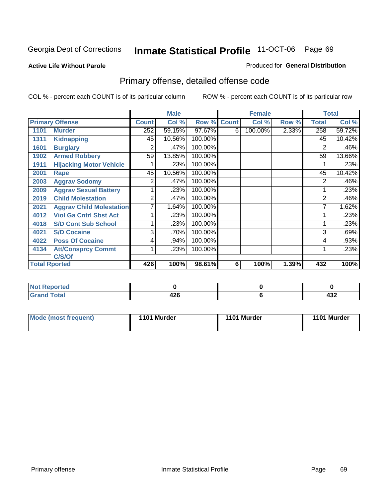#### **Active Life Without Parole**

#### Produced for **General Distribution**

# Primary offense, detailed offense code

|      |                                 |                | <b>Male</b> |             |   | <b>Female</b> |       |              | <b>Total</b> |
|------|---------------------------------|----------------|-------------|-------------|---|---------------|-------|--------------|--------------|
|      | <b>Primary Offense</b>          | <b>Count</b>   | Col %       | Row % Count |   | Col %         | Row % | <b>Total</b> | Col %        |
| 1101 | <b>Murder</b>                   | 252            | 59.15%      | 97.67%      | 6 | 100.00%       | 2.33% | 258          | 59.72%       |
| 1311 | <b>Kidnapping</b>               | 45             | 10.56%      | 100.00%     |   |               |       | 45           | 10.42%       |
| 1601 | <b>Burglary</b>                 | 2              | .47%        | 100.00%     |   |               |       | 2            | .46%         |
| 1902 | <b>Armed Robbery</b>            | 59             | 13.85%      | 100.00%     |   |               |       | 59           | 13.66%       |
| 1911 | <b>Hijacking Motor Vehicle</b>  |                | .23%        | 100.00%     |   |               |       |              | .23%         |
| 2001 | Rape                            | 45             | 10.56%      | 100.00%     |   |               |       | 45           | 10.42%       |
| 2003 | <b>Aggrav Sodomy</b>            | 2              | .47%        | 100.00%     |   |               |       | 2            | .46%         |
| 2009 | <b>Aggrav Sexual Battery</b>    |                | .23%        | 100.00%     |   |               |       |              | .23%         |
| 2019 | <b>Child Molestation</b>        | $\overline{2}$ | .47%        | 100.00%     |   |               |       | 2            | .46%         |
| 2021 | <b>Aggrav Child Molestation</b> | 7              | 1.64%       | 100.00%     |   |               |       |              | 1.62%        |
| 4012 | <b>Viol Ga Cntrl Sbst Act</b>   |                | .23%        | 100.00%     |   |               |       |              | .23%         |
| 4018 | <b>S/D Cont Sub School</b>      |                | .23%        | 100.00%     |   |               |       |              | .23%         |
| 4021 | <b>S/D Cocaine</b>              | 3              | .70%        | 100.00%     |   |               |       | 3            | .69%         |
| 4022 | <b>Poss Of Cocaine</b>          | 4              | .94%        | 100.00%     |   |               |       | 4            | .93%         |
| 4134 | <b>Att/Consprcy Commt</b>       | 1              | .23%        | 100.00%     |   |               |       |              | .23%         |
|      | C/S/Of                          |                |             |             |   |               |       |              |              |
|      | <b>Total Rported</b>            | 426            | 100%        | 98.61%      | 6 | 100%          | 1.39% | 432          | 100%         |

| <b>Reported</b>          |                  |            |
|--------------------------|------------------|------------|
| <b>Total</b><br>$\sim$ . | "^^<br>42L<br>__ | "^^<br>-92 |

| Mode (most frequent) | 1101 Murder | 1101 Murder | 1101 Murder |
|----------------------|-------------|-------------|-------------|
|                      |             |             |             |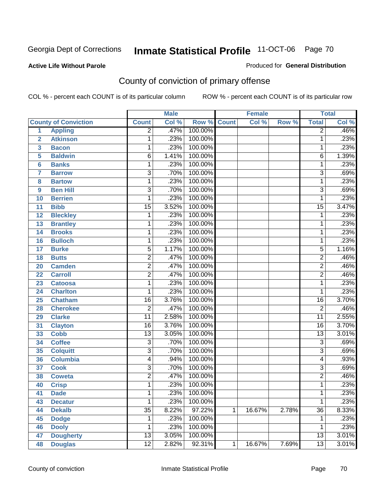#### **Active Life Without Parole**

#### Produced for **General Distribution**

# County of conviction of primary offense

|                         |                             |                 | <b>Male</b> |         |              | <b>Female</b> |       |                 | <b>Total</b> |
|-------------------------|-----------------------------|-----------------|-------------|---------|--------------|---------------|-------|-----------------|--------------|
|                         | <b>County of Conviction</b> | <b>Count</b>    | Col %       | Row %   | <b>Count</b> | Col %         | Row % | <b>Total</b>    | Col %        |
| 1                       | <b>Appling</b>              | $\overline{2}$  | .47%        | 100.00% |              |               |       | $\overline{2}$  | .46%         |
| $\overline{2}$          | <b>Atkinson</b>             | 1               | .23%        | 100.00% |              |               |       | 1               | .23%         |
| $\overline{\mathbf{3}}$ | <b>Bacon</b>                | $\mathbf{1}$    | .23%        | 100.00% |              |               |       | 1               | .23%         |
| 5                       | <b>Baldwin</b>              | $\overline{6}$  | 1.41%       | 100.00% |              |               |       | 6               | 1.39%        |
| 6                       | <b>Banks</b>                | 1               | .23%        | 100.00% |              |               |       | 1               | .23%         |
| $\overline{7}$          | <b>Barrow</b>               | $\overline{3}$  | .70%        | 100.00% |              |               |       | $\overline{3}$  | .69%         |
| 8                       | <b>Bartow</b>               | $\mathbf{1}$    | .23%        | 100.00% |              |               |       | $\mathbf{1}$    | .23%         |
| 9                       | <b>Ben Hill</b>             | $\overline{3}$  | .70%        | 100.00% |              |               |       | $\overline{3}$  | .69%         |
| 10                      | <b>Berrien</b>              | 1               | .23%        | 100.00% |              |               |       | 1               | .23%         |
| 11                      | <b>Bibb</b>                 | $\overline{15}$ | 3.52%       | 100.00% |              |               |       | $\overline{15}$ | 3.47%        |
| 12                      | <b>Bleckley</b>             | 1               | .23%        | 100.00% |              |               |       | 1               | .23%         |
| 13                      | <b>Brantley</b>             | 1               | .23%        | 100.00% |              |               |       | 1               | .23%         |
| 14                      | <b>Brooks</b>               | 1               | .23%        | 100.00% |              |               |       | 1               | .23%         |
| 16                      | <b>Bulloch</b>              | 1               | .23%        | 100.00% |              |               |       | 1               | .23%         |
| 17                      | <b>Burke</b>                | $\overline{5}$  | 1.17%       | 100.00% |              |               |       | 5               | 1.16%        |
| 18                      | <b>Butts</b>                | $\overline{2}$  | .47%        | 100.00% |              |               |       | $\overline{2}$  | .46%         |
| 20                      | <b>Camden</b>               | $\overline{2}$  | .47%        | 100.00% |              |               |       | $\overline{2}$  | .46%         |
| 22                      | <b>Carroll</b>              | $\overline{2}$  | .47%        | 100.00% |              |               |       | $\overline{2}$  | .46%         |
| 23                      | <b>Catoosa</b>              | 1               | .23%        | 100.00% |              |               |       | 1               | .23%         |
| 24                      | <b>Charlton</b>             | 1               | .23%        | 100.00% |              |               |       | 1               | .23%         |
| 25                      | <b>Chatham</b>              | $\overline{16}$ | 3.76%       | 100.00% |              |               |       | 16              | 3.70%        |
| 28                      | <b>Cherokee</b>             | $\overline{2}$  | .47%        | 100.00% |              |               |       | $\overline{2}$  | .46%         |
| 29                      | <b>Clarke</b>               | $\overline{11}$ | 2.58%       | 100.00% |              |               |       | $\overline{11}$ | 2.55%        |
| 31                      | <b>Clayton</b>              | $\overline{16}$ | 3.76%       | 100.00% |              |               |       | 16              | 3.70%        |
| 33                      | <b>Cobb</b>                 | $\overline{13}$ | 3.05%       | 100.00% |              |               |       | $\overline{13}$ | 3.01%        |
| 34                      | <b>Coffee</b>               | $\overline{3}$  | .70%        | 100.00% |              |               |       | $\overline{3}$  | .69%         |
| 35                      | <b>Colquitt</b>             | $\overline{3}$  | .70%        | 100.00% |              |               |       | $\overline{3}$  | .69%         |
| 36                      | <b>Columbia</b>             | 4               | .94%        | 100.00% |              |               |       | 4               | .93%         |
| 37                      | <b>Cook</b>                 | 3               | .70%        | 100.00% |              |               |       | $\overline{3}$  | .69%         |
| 38                      | <b>Coweta</b>               | $\overline{2}$  | .47%        | 100.00% |              |               |       | $\overline{2}$  | .46%         |
| 40                      | <b>Crisp</b>                | 1               | .23%        | 100.00% |              |               |       | 1               | .23%         |
| 41                      | <b>Dade</b>                 | 1               | .23%        | 100.00% |              |               |       | 1               | .23%         |
| 43                      | <b>Decatur</b>              | 1               | .23%        | 100.00% |              |               |       | 1               | .23%         |
| 44                      | <b>Dekalb</b>               | $\overline{35}$ | 8.22%       | 97.22%  | 1            | 16.67%        | 2.78% | $\overline{36}$ | 8.33%        |
| 45                      | <b>Dodge</b>                | 1               | .23%        | 100.00% |              |               |       | 1               | .23%         |
| 46                      | <b>Dooly</b>                | 1               | .23%        | 100.00% |              |               |       | 1               | .23%         |
| 47                      | <b>Dougherty</b>            | $\overline{13}$ | 3.05%       | 100.00% |              |               |       | 13              | 3.01%        |
| 48                      | <b>Douglas</b>              | $\overline{12}$ | 2.82%       | 92.31%  | 1            | 16.67%        | 7.69% | $\overline{13}$ | 3.01%        |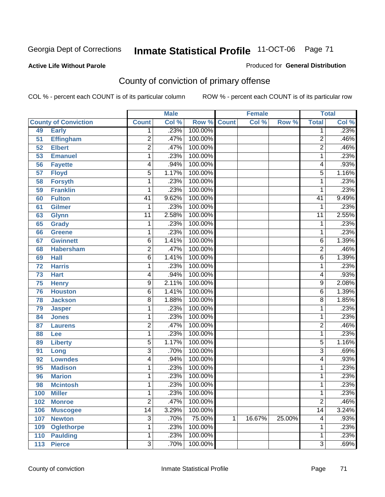#### **Active Life Without Parole**

#### Produced for **General Distribution**

# County of conviction of primary offense

|                 |                             |                 | <b>Male</b> |         |              | <b>Female</b> |        |                 | <b>Total</b>               |
|-----------------|-----------------------------|-----------------|-------------|---------|--------------|---------------|--------|-----------------|----------------------------|
|                 | <b>County of Conviction</b> | <b>Count</b>    | Col %       | Row %   | <b>Count</b> | Col %         | Row %  | <b>Total</b>    | $\overline{\text{Col }\%}$ |
| 49              | <b>Early</b>                | 1               | .23%        | 100.00% |              |               |        | 1               | .23%                       |
| 51              | <b>Effingham</b>            | $\overline{2}$  | .47%        | 100.00% |              |               |        | $\overline{2}$  | .46%                       |
| 52              | <b>Elbert</b>               | $\overline{2}$  | .47%        | 100.00% |              |               |        | $\overline{2}$  | .46%                       |
| 53              | <b>Emanuel</b>              | 1               | .23%        | 100.00% |              |               |        | 1               | .23%                       |
| 56              | <b>Fayette</b>              | 4               | .94%        | 100.00% |              |               |        | 4               | .93%                       |
| $\overline{57}$ | <b>Floyd</b>                | 5               | 1.17%       | 100.00% |              |               |        | $\overline{5}$  | 1.16%                      |
| 58              | <b>Forsyth</b>              | 1               | .23%        | 100.00% |              |               |        | 1               | .23%                       |
| 59              | <b>Franklin</b>             | 1               | .23%        | 100.00% |              |               |        | 1               | .23%                       |
| 60              | <b>Fulton</b>               | $\overline{41}$ | 9.62%       | 100.00% |              |               |        | $\overline{41}$ | 9.49%                      |
| 61              | Gilmer                      | 1               | .23%        | 100.00% |              |               |        | 1               | .23%                       |
| 63              | <b>Glynn</b>                | $\overline{11}$ | 2.58%       | 100.00% |              |               |        | $\overline{11}$ | 2.55%                      |
| 65              | <b>Grady</b>                | 1               | .23%        | 100.00% |              |               |        | 1               | .23%                       |
| 66              | <b>Greene</b>               | 1               | .23%        | 100.00% |              |               |        | 1               | .23%                       |
| 67              | <b>Gwinnett</b>             | $\overline{6}$  | 1.41%       | 100.00% |              |               |        | 6               | 1.39%                      |
| 68              | <b>Habersham</b>            | $\overline{2}$  | .47%        | 100.00% |              |               |        | $\overline{2}$  | .46%                       |
| 69              | <b>Hall</b>                 | 6               | 1.41%       | 100.00% |              |               |        | $\overline{6}$  | 1.39%                      |
| 72              | <b>Harris</b>               | 1               | .23%        | 100.00% |              |               |        | 1               | .23%                       |
| 73              | <b>Hart</b>                 | 4               | .94%        | 100.00% |              |               |        | 4               | .93%                       |
| 75              | <b>Henry</b>                | 9               | 2.11%       | 100.00% |              |               |        | 9               | 2.08%                      |
| 76              | <b>Houston</b>              | 6               | 1.41%       | 100.00% |              |               |        | 6               | 1.39%                      |
| 78              | <b>Jackson</b>              | 8               | 1.88%       | 100.00% |              |               |        | $\overline{8}$  | 1.85%                      |
| 79              | <b>Jasper</b>               | 1               | .23%        | 100.00% |              |               |        | 1               | .23%                       |
| 84              | <b>Jones</b>                | 1               | .23%        | 100.00% |              |               |        | 1               | .23%                       |
| 87              | <b>Laurens</b>              | $\overline{2}$  | .47%        | 100.00% |              |               |        | $\overline{c}$  | .46%                       |
| 88              | Lee                         | 1               | .23%        | 100.00% |              |               |        | 1               | .23%                       |
| 89              | <b>Liberty</b>              | 5               | 1.17%       | 100.00% |              |               |        | 5               | 1.16%                      |
| 91              | Long                        | $\overline{3}$  | .70%        | 100.00% |              |               |        | $\overline{3}$  | .69%                       |
| 92              | <b>Lowndes</b>              | 4               | .94%        | 100.00% |              |               |        | 4               | .93%                       |
| 95              | <b>Madison</b>              | 1               | .23%        | 100.00% |              |               |        | 1               | .23%                       |
| 96              | <b>Marion</b>               | 1               | .23%        | 100.00% |              |               |        | 1               | .23%                       |
| 98              | <b>Mcintosh</b>             | 1               | .23%        | 100.00% |              |               |        | 1               | .23%                       |
| 100             | <b>Miller</b>               | 1               | .23%        | 100.00% |              |               |        | 1               | .23%                       |
| 102             | <b>Monroe</b>               | $\overline{2}$  | .47%        | 100.00% |              |               |        | $\overline{2}$  | .46%                       |
| 106             | <b>Muscogee</b>             | $\overline{14}$ | 3.29%       | 100.00% |              |               |        | $\overline{14}$ | 3.24%                      |
| 107             | <b>Newton</b>               | 3               | .70%        | 75.00%  | 1            | 16.67%        | 25.00% | 4               | .93%                       |
| 109             | <b>Oglethorpe</b>           | 1               | .23%        | 100.00% |              |               |        | 1               | .23%                       |
| 110             | <b>Paulding</b>             | 1               | .23%        | 100.00% |              |               |        | 1               | .23%                       |
| $113$           | <b>Pierce</b>               | $\overline{3}$  | .70%        | 100.00% |              |               |        | $\overline{3}$  | .69%                       |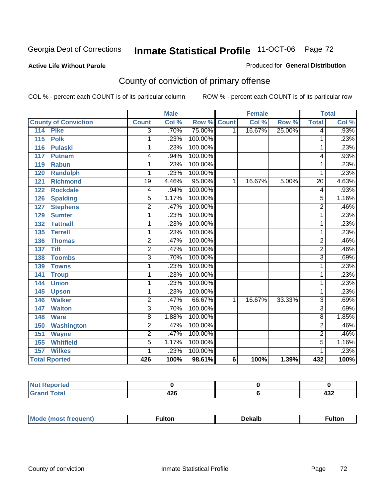#### **Active Life Without Parole**

#### Produced for **General Distribution**

# County of conviction of primary offense

|                                 |                 | <b>Male</b> |         |              | <b>Female</b> |        |                 | <b>Total</b>               |
|---------------------------------|-----------------|-------------|---------|--------------|---------------|--------|-----------------|----------------------------|
| <b>County of Conviction</b>     | <b>Count</b>    | Col %       | Row %   | <b>Count</b> | Col %         | Row %  | <b>Total</b>    | $\overline{\text{Col }^9}$ |
| <b>Pike</b><br>$\overline{114}$ | 3               | .70%        | 75.00%  | 1            | 16.67%        | 25.00% | 4               | .93%                       |
| <b>Polk</b><br>115              | 1               | .23%        | 100.00% |              |               |        | 1               | .23%                       |
| <b>Pulaski</b><br>116           | 1               | .23%        | 100.00% |              |               |        | 1               | .23%                       |
| 117<br><b>Putnam</b>            | 4               | .94%        | 100.00% |              |               |        | 4               | .93%                       |
| <b>Rabun</b><br>119             | 1               | .23%        | 100.00% |              |               |        | 1               | .23%                       |
| <b>Randolph</b><br>120          | 1               | .23%        | 100.00% |              |               |        | 1               | .23%                       |
| <b>Richmond</b><br>121          | $\overline{19}$ | 4.46%       | 95.00%  | 1            | 16.67%        | 5.00%  | $\overline{20}$ | 4.63%                      |
| <b>Rockdale</b><br>122          | 4               | .94%        | 100.00% |              |               |        | 4               | .93%                       |
| <b>Spalding</b><br>126          | $\overline{5}$  | 1.17%       | 100.00% |              |               |        | $\overline{5}$  | 1.16%                      |
| <b>Stephens</b><br>127          | $\overline{2}$  | .47%        | 100.00% |              |               |        | $\overline{2}$  | .46%                       |
| 129<br><b>Sumter</b>            | 1               | .23%        | 100.00% |              |               |        | 1               | .23%                       |
| <b>Tattnall</b><br>132          | 1               | .23%        | 100.00% |              |               |        | 1               | .23%                       |
| 135<br><b>Terrell</b>           | 1               | .23%        | 100.00% |              |               |        | 1               | .23%                       |
| <b>Thomas</b><br>136            | $\overline{2}$  | .47%        | 100.00% |              |               |        | $\overline{2}$  | .46%                       |
| <b>Tift</b><br>137              | $\overline{2}$  | .47%        | 100.00% |              |               |        | $\overline{2}$  | .46%                       |
| <b>Toombs</b><br>138            | $\overline{3}$  | .70%        | 100.00% |              |               |        | $\overline{3}$  | .69%                       |
| <b>Towns</b><br>139             | 1               | .23%        | 100.00% |              |               |        | 1               | .23%                       |
| 141<br><b>Troup</b>             | 1               | .23%        | 100.00% |              |               |        | 1               | .23%                       |
| <b>Union</b><br>144             | 1               | .23%        | 100.00% |              |               |        | 1               | .23%                       |
| 145<br><b>Upson</b>             | 1               | .23%        | 100.00% |              |               |        | 1               | .23%                       |
| <b>Walker</b><br>146            | $\overline{2}$  | .47%        | 66.67%  | 1            | 16.67%        | 33.33% | $\overline{3}$  | .69%                       |
| <b>Walton</b><br>147            | $\overline{3}$  | .70%        | 100.00% |              |               |        | $\overline{3}$  | .69%                       |
| 148<br><b>Ware</b>              | 8               | 1.88%       | 100.00% |              |               |        | 8               | 1.85%                      |
| <b>Washington</b><br>150        | $\overline{2}$  | .47%        | 100.00% |              |               |        | $\overline{2}$  | .46%                       |
| 151<br><b>Wayne</b>             | $\overline{2}$  | .47%        | 100.00% |              |               |        | $\overline{2}$  | .46%                       |
| <b>Whitfield</b><br>155         | $\overline{5}$  | 1.17%       | 100.00% |              |               |        | $\overline{5}$  | 1.16%                      |
| <b>Wilkes</b><br>157            | 1               | .23%        | 100.00% |              |               |        | 1               | .23%                       |
| <b>Total Rported</b>            | 426             | 100%        | 98.61%  | 6            | 100%          | 1.39%  | 432             | 100%                       |

| eported<br>. NOT |             |                         |
|------------------|-------------|-------------------------|
| <b>Total</b>     | 10C<br>14 V | $\overline{100}$<br>TJL |

| Mo<br>"ANJIAN <sup>"</sup><br>nre<br>.tor<br>ROST IT | )ekall | ultoı |
|------------------------------------------------------|--------|-------|
|------------------------------------------------------|--------|-------|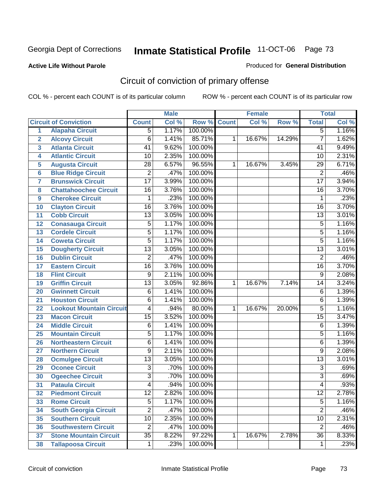#### **Active Life Without Parole**

#### Produced for **General Distribution**

# Circuit of conviction of primary offense

|                         |                                 |                 | <b>Male</b> |         |              | <b>Female</b> |        |                 | <b>Total</b> |
|-------------------------|---------------------------------|-----------------|-------------|---------|--------------|---------------|--------|-----------------|--------------|
|                         | <b>Circuit of Conviction</b>    | <b>Count</b>    | Col %       | Row %   | <b>Count</b> | Col %         | Row %  | <b>Total</b>    | Col %        |
| 1                       | <b>Alapaha Circuit</b>          | $\overline{5}$  | 1.17%       | 100.00% |              |               |        | $\overline{5}$  | 1.16%        |
| $\overline{2}$          | <b>Alcovy Circuit</b>           | $\overline{6}$  | 1.41%       | 85.71%  | 1            | 16.67%        | 14.29% | $\overline{7}$  | 1.62%        |
| $\overline{\mathbf{3}}$ | <b>Atlanta Circuit</b>          | 41              | 9.62%       | 100.00% |              |               |        | 41              | 9.49%        |
| 4                       | <b>Atlantic Circuit</b>         | 10              | 2.35%       | 100.00% |              |               |        | 10              | 2.31%        |
| 5                       | <b>Augusta Circuit</b>          | $\overline{28}$ | 6.57%       | 96.55%  | 1            | 16.67%        | 3.45%  | $\overline{29}$ | 6.71%        |
| $6\phantom{a}$          | <b>Blue Ridge Circuit</b>       | $\overline{2}$  | .47%        | 100.00% |              |               |        | $\overline{2}$  | .46%         |
| $\overline{7}$          | <b>Brunswick Circuit</b>        | $\overline{17}$ | 3.99%       | 100.00% |              |               |        | $\overline{17}$ | 3.94%        |
| 8                       | <b>Chattahoochee Circuit</b>    | $\overline{16}$ | 3.76%       | 100.00% |              |               |        | 16              | 3.70%        |
| 9                       | <b>Cherokee Circuit</b>         | 1               | .23%        | 100.00% |              |               |        | $\mathbf{1}$    | .23%         |
| 10                      | <b>Clayton Circuit</b>          | $\overline{16}$ | 3.76%       | 100.00% |              |               |        | $\overline{16}$ | 3.70%        |
| 11                      | <b>Cobb Circuit</b>             | 13              | 3.05%       | 100.00% |              |               |        | $\overline{13}$ | 3.01%        |
| 12                      | <b>Conasauga Circuit</b>        | $\overline{5}$  | 1.17%       | 100.00% |              |               |        | 5               | 1.16%        |
| 13                      | <b>Cordele Circuit</b>          | $\overline{5}$  | 1.17%       | 100.00% |              |               |        | $\overline{5}$  | 1.16%        |
| 14                      | <b>Coweta Circuit</b>           | $\overline{5}$  | 1.17%       | 100.00% |              |               |        | $\overline{5}$  | 1.16%        |
| 15                      | <b>Dougherty Circuit</b>        | $\overline{13}$ | 3.05%       | 100.00% |              |               |        | $\overline{13}$ | 3.01%        |
| 16                      | <b>Dublin Circuit</b>           | $\overline{2}$  | .47%        | 100.00% |              |               |        | $\overline{2}$  | .46%         |
| 17                      | <b>Eastern Circuit</b>          | $\overline{16}$ | 3.76%       | 100.00% |              |               |        | 16              | 3.70%        |
| 18                      | <b>Flint Circuit</b>            | $\overline{9}$  | 2.11%       | 100.00% |              |               |        | $\overline{9}$  | 2.08%        |
| 19                      | <b>Griffin Circuit</b>          | $\overline{13}$ | 3.05%       | 92.86%  | $\mathbf{1}$ | 16.67%        | 7.14%  | 14              | 3.24%        |
| 20                      | <b>Gwinnett Circuit</b>         | $\overline{6}$  | 1.41%       | 100.00% |              |               |        | $\overline{6}$  | 1.39%        |
| 21                      | <b>Houston Circuit</b>          | 6               | 1.41%       | 100.00% |              |               |        | $\overline{6}$  | 1.39%        |
| 22                      | <b>Lookout Mountain Circuit</b> | 4               | .94%        | 80.00%  | 1            | 16.67%        | 20.00% | 5               | 1.16%        |
| 23                      | <b>Macon Circuit</b>            | $\overline{15}$ | 3.52%       | 100.00% |              |               |        | $\overline{15}$ | 3.47%        |
| 24                      | <b>Middle Circuit</b>           | $\overline{6}$  | 1.41%       | 100.00% |              |               |        | 6               | 1.39%        |
| 25                      | <b>Mountain Circuit</b>         | $\overline{5}$  | 1.17%       | 100.00% |              |               |        | 5               | 1.16%        |
| 26                      | <b>Northeastern Circuit</b>     | 6               | 1.41%       | 100.00% |              |               |        | 6               | 1.39%        |
| 27                      | <b>Northern Circuit</b>         | 9               | 2.11%       | 100.00% |              |               |        | 9               | 2.08%        |
| 28                      | <b>Ocmulgee Circuit</b>         | $\overline{13}$ | 3.05%       | 100.00% |              |               |        | $\overline{13}$ | 3.01%        |
| 29                      | <b>Oconee Circuit</b>           | $\overline{3}$  | .70%        | 100.00% |              |               |        | $\overline{3}$  | .69%         |
| 30                      | <b>Ogeechee Circuit</b>         | $\overline{3}$  | .70%        | 100.00% |              |               |        | $\overline{3}$  | .69%         |
| $\overline{31}$         | <b>Pataula Circuit</b>          | 4               | .94%        | 100.00% |              |               |        | 4               | .93%         |
| 32                      | <b>Piedmont Circuit</b>         | 12              | 2.82%       | 100.00% |              |               |        | 12              | 2.78%        |
| 33                      | <b>Rome Circuit</b>             | $\overline{5}$  | 1.17%       | 100.00% |              |               |        | $\overline{5}$  | 1.16%        |
| 34                      | <b>South Georgia Circuit</b>    | $\overline{2}$  | .47%        | 100.00% |              |               |        | $\overline{2}$  | .46%         |
| 35                      | <b>Southern Circuit</b>         | $\overline{10}$ | 2.35%       | 100.00% |              |               |        | 10              | 2.31%        |
| 36                      | <b>Southwestern Circuit</b>     | $\overline{2}$  | .47%        | 100.00% |              |               |        | $\overline{2}$  | .46%         |
| 37                      | <b>Stone Mountain Circuit</b>   | $\overline{35}$ | 8.22%       | 97.22%  | 1            | 16.67%        | 2.78%  | $\overline{36}$ | 8.33%        |
| 38                      | <b>Tallapoosa Circuit</b>       | $\mathbf 1$     | .23%        | 100.00% |              |               |        | 1               | .23%         |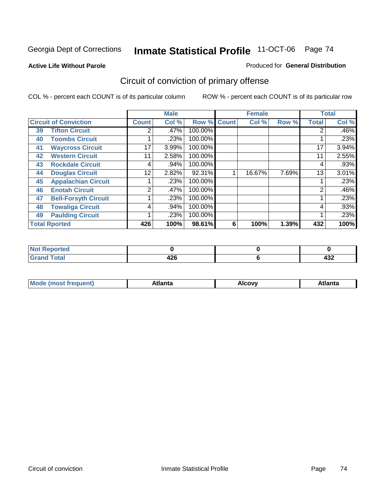#### **Active Life Without Parole**

#### Produced for **General Distribution**

# Circuit of conviction of primary offense

|                      |                              |                | <b>Male</b> |         |              | <b>Female</b> |       |              | <b>Total</b> |
|----------------------|------------------------------|----------------|-------------|---------|--------------|---------------|-------|--------------|--------------|
|                      | <b>Circuit of Conviction</b> | <b>Count</b>   | Col %       | Row %   | <b>Count</b> | Col %         | Row % | <b>Total</b> | Col %        |
| 39                   | <b>Tifton Circuit</b>        | 2              | .47%        | 100.00% |              |               |       | 2            | $.46\%$      |
| 40                   | <b>Toombs Circuit</b>        |                | .23%        | 100.00% |              |               |       |              | .23%         |
| 41                   | <b>Waycross Circuit</b>      | 17             | 3.99%       | 100.00% |              |               |       | 17           | 3.94%        |
| 42                   | <b>Western Circuit</b>       | 11             | 2.58%       | 100.00% |              |               |       | 11           | 2.55%        |
| 43                   | <b>Rockdale Circuit</b>      | 4              | .94%        | 100.00% |              |               |       | 4            | .93%         |
| 44                   | <b>Douglas Circuit</b>       | 12             | 2.82%       | 92.31%  |              | 16.67%        | 7.69% | 13           | 3.01%        |
| 45                   | <b>Appalachian Circuit</b>   |                | .23%        | 100.00% |              |               |       |              | .23%         |
| 46                   | <b>Enotah Circuit</b>        | $\overline{2}$ | $.47\%$     | 100.00% |              |               |       | 2            | .46%         |
| 47                   | <b>Bell-Forsyth Circuit</b>  |                | .23%        | 100.00% |              |               |       |              | .23%         |
| 48                   | <b>Towaliga Circuit</b>      | 4              | $.94\%$     | 100.00% |              |               |       | 4            | .93%         |
| 49                   | <b>Paulding Circuit</b>      |                | .23%        | 100.00% |              |               |       | ◢            | .23%         |
| <b>Total Rported</b> |                              | 426            | 100%        | 98.61%  | 6            | 100%          | 1.39% | 432          | 100%         |

| <b>Reported</b><br>' NOT |             |            |
|--------------------------|-------------|------------|
| <b>Grand Total</b>       | 10C<br>44 U | ,,,<br>−∪∠ |

| Mc<br>.+Inn+,<br>.<br>ำ∨∿<br>''Ilta<br>idlik<br><b>ALIE</b><br>$ -$ |  |  |
|---------------------------------------------------------------------|--|--|
|                                                                     |  |  |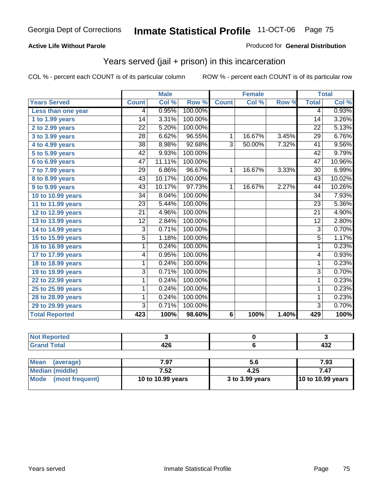### **Active Life Without Parole**

#### Produced for **General Distribution**

## Years served (jail + prison) in this incarceration

|                       |                 | <b>Male</b> |         |                | <b>Female</b> |       |                 | <b>Total</b> |
|-----------------------|-----------------|-------------|---------|----------------|---------------|-------|-----------------|--------------|
| <b>Years Served</b>   | <b>Count</b>    | Col %       | Row %   | <b>Count</b>   | Col %         | Row % | <b>Total</b>    | Col %        |
| Less than one year    | 4               | 0.95%       | 100.00% |                |               |       | 4               | 0.93%        |
| 1 to 1.99 years       | $\overline{14}$ | 3.31%       | 100.00% |                |               |       | $\overline{14}$ | 3.26%        |
| 2 to 2.99 years       | $\overline{22}$ | 5.20%       | 100.00% |                |               |       | $\overline{22}$ | 5.13%        |
| 3 to 3.99 years       | 28              | 6.62%       | 96.55%  | 1              | 16.67%        | 3.45% | 29              | 6.76%        |
| $4$ to $4.99$ years   | $\overline{38}$ | 8.98%       | 92.68%  | $\overline{3}$ | 50.00%        | 7.32% | $\overline{41}$ | 9.56%        |
| 5 to 5.99 years       | 42              | 9.93%       | 100.00% |                |               |       | 42              | 9.79%        |
| 6 to 6.99 years       | 47              | 11.11%      | 100.00% |                |               |       | 47              | 10.96%       |
| 7 to 7.99 years       | 29              | 6.86%       | 96.67%  | 1              | 16.67%        | 3.33% | 30              | 6.99%        |
| 8 to 8.99 years       | 43              | 10.17%      | 100.00% |                |               |       | 43              | 10.02%       |
| 9 to 9.99 years       | $\overline{43}$ | 10.17%      | 97.73%  | $\mathbf{1}$   | 16.67%        | 2.27% | 44              | 10.26%       |
| 10 to 10.99 years     | $\overline{34}$ | 8.04%       | 100.00% |                |               |       | $\overline{34}$ | 7.93%        |
| 11 to 11.99 years     | $\overline{23}$ | 5.44%       | 100.00% |                |               |       | 23              | 5.36%        |
| 12 to 12.99 years     | $\overline{21}$ | 4.96%       | 100.00% |                |               |       | $\overline{21}$ | 4.90%        |
| 13 to 13.99 years     | $\overline{12}$ | 2.84%       | 100.00% |                |               |       | $\overline{12}$ | 2.80%        |
| 14 to 14.99 years     | 3               | 0.71%       | 100.00% |                |               |       | $\overline{3}$  | 0.70%        |
| 15 to 15.99 years     | $\overline{5}$  | 1.18%       | 100.00% |                |               |       | $\overline{5}$  | 1.17%        |
| 16 to 16.99 years     | 1               | 0.24%       | 100.00% |                |               |       | 1               | 0.23%        |
| 17 to 17.99 years     | 4               | 0.95%       | 100.00% |                |               |       | 4               | 0.93%        |
| 18 to 18.99 years     | 1               | 0.24%       | 100.00% |                |               |       | 1               | 0.23%        |
| 19 to 19.99 years     | $\overline{3}$  | 0.71%       | 100.00% |                |               |       | $\overline{3}$  | 0.70%        |
| 22 to 22.99 years     | 1               | 0.24%       | 100.00% |                |               |       | 1               | 0.23%        |
| 25 to 25.99 years     | 1               | 0.24%       | 100.00% |                |               |       | 1               | 0.23%        |
| 28 to 28.99 years     | 1               | 0.24%       | 100.00% |                |               |       | 1               | 0.23%        |
| 29 to 29.99 years     | $\overline{3}$  | 0.71%       | 100.00% |                |               |       | $\overline{3}$  | 0.70%        |
| <b>Total Reported</b> | 423             | 100%        | 98.60%  | $\overline{6}$ | 100%          | 1.40% | 429             | 100%         |

| المراجع المنعور<br>vrret. |                     |         |
|---------------------------|---------------------|---------|
|                           | "^^<br>--<br>$\sim$ | <br>45∠ |

| <b>Mean</b><br>(average) | 7.97              | 5.6             | 7.93                     |  |  |
|--------------------------|-------------------|-----------------|--------------------------|--|--|
| Median (middle)          | 7.52              | 4.25            | 7.47                     |  |  |
| Mode (most frequent)     | 10 to 10.99 years | 3 to 3.99 years | <b>10 to 10.99 years</b> |  |  |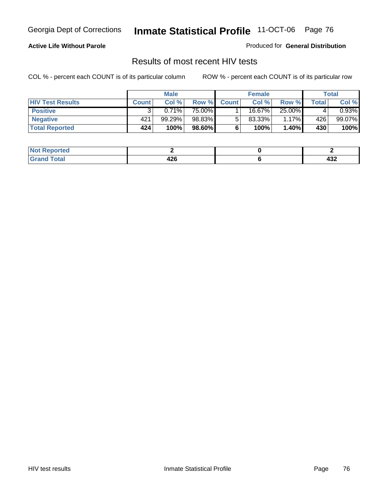### **Active Life Without Parole**

Produced for **General Distribution**

## Results of most recent HIV tests

|                         | <b>Male</b>  |        | <b>Female</b> |              |        | Total    |       |          |
|-------------------------|--------------|--------|---------------|--------------|--------|----------|-------|----------|
| <b>HIV Test Results</b> | <b>Count</b> | Col %  | Row %         | <b>Count</b> | Col %  | Row %    | Total | Col %    |
| <b>Positive</b>         |              | 0.71%  | 75.00%        |              | 16.67% | 25.00%   |       | $0.93\%$ |
| <b>Negative</b>         | 421          | 99.29% | 98.83%        |              | 83.33% | $1.17\%$ | 426   | 99.07%   |
| <b>Total Reported</b>   | 424          | 100%   | 98.60%        |              | 100%   | 1.40%    | 430   | 100%     |

| <b>Not Reported</b> |                  |         |
|---------------------|------------------|---------|
| <b>Grand Total</b>  | . מ<br>420<br>__ | <br>95∠ |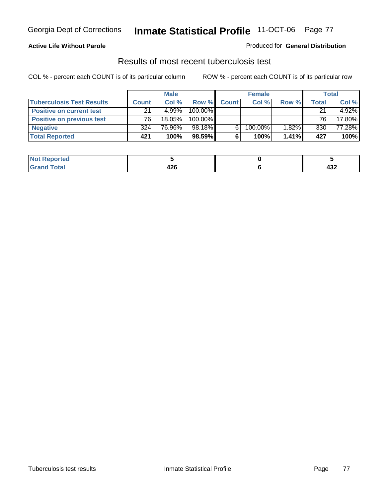### **Active Life Without Parole**

#### Produced for **General Distribution**

## Results of most recent tuberculosis test

|                                  | <b>Male</b>  |           | <b>Female</b> |              |         | Total |       |        |
|----------------------------------|--------------|-----------|---------------|--------------|---------|-------|-------|--------|
| <b>Tuberculosis Test Results</b> | <b>Count</b> | Col%      | Row %         | <b>Count</b> | Col %   | Row % | Total | Col %  |
| <b>Positive on current test</b>  | 21           | 4.99%     | 100.00%       |              |         |       | 21    | 4.92%  |
| <b>Positive on previous test</b> | 76           | $18.05\%$ | 100.00%       |              |         |       | 76    | 17.80% |
| <b>Negative</b>                  | 324          | 76.96%    | 98.18%        |              | 100.00% | 1.82% | 330   | 77.28% |
| <b>Total Reported</b>            | 421          | 100%      | 98.59%        |              | 100%    | 1.41% | 427   | 100%   |

| <b>Not</b><br><b>Reported</b> |            |            |
|-------------------------------|------------|------------|
| <b>Total</b>                  | מרי<br>440 | ,,,<br>≒ບ∠ |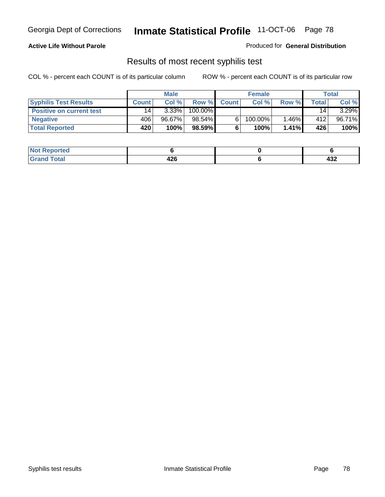### **Active Life Without Parole**

Produced for **General Distribution**

## Results of most recent syphilis test

|                                 | <b>Male</b>     |          | <b>Female</b> |              |            | Total    |       |          |
|---------------------------------|-----------------|----------|---------------|--------------|------------|----------|-------|----------|
| <b>Syphilis Test Results</b>    | <b>Count</b>    | Col%     | Row %         | <b>Count</b> | Col%       | Row %    | Total | Col %    |
| <b>Positive on current test</b> | 14 <sub>1</sub> | $3.33\%$ | 100.00%       |              |            |          | 14    | $3.29\%$ |
| <b>Negative</b>                 | 406             | 96.67%   | 98.54%        |              | $100.00\%$ | $1.46\%$ | 412   | 96.71%   |
| <b>Total Reported</b>           | 420             | 100%     | 98.59%        |              | 100%       | $1.41\%$ | 426   | 100%     |

| <b>Not Reported</b> |             |         |
|---------------------|-------------|---------|
| <b>Total</b>        | - 10<br>44O | <br>4JZ |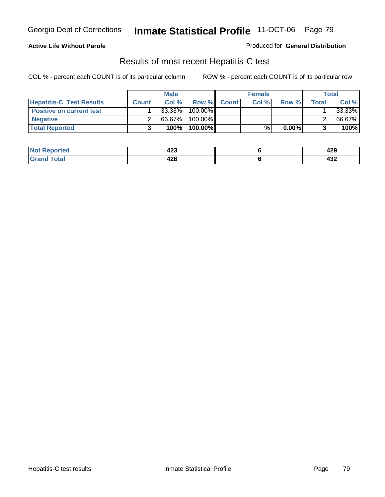### **Active Life Without Parole**

Produced for **General Distribution**

## Results of most recent Hepatitis-C test

|                                 |              | <b>Male</b> |         |             | <b>Female</b> |          |       | <b>Total</b> |
|---------------------------------|--------------|-------------|---------|-------------|---------------|----------|-------|--------------|
| <b>Hepatitis-C Test Results</b> | <b>Count</b> | Col%        |         | Row % Count | Col %         | Row %    | Total | Col %        |
| <b>Positive on current test</b> |              | 33.33%      | 100.00% |             |               |          |       | 33.33%       |
| <b>Negative</b>                 |              | 66.67%      | 100.00% |             |               |          |       | 66.67%       |
| <b>Total Reported</b>           |              | 100%        | 100.00% |             | %             | $0.00\%$ |       | 100%         |

| Not !           | ^^^  | 100 |
|-----------------|------|-----|
| <b>Reported</b> | 44J  | 443 |
| <b>cotal</b>    | 106  | ,,, |
| Grr             | 44 U | 4JZ |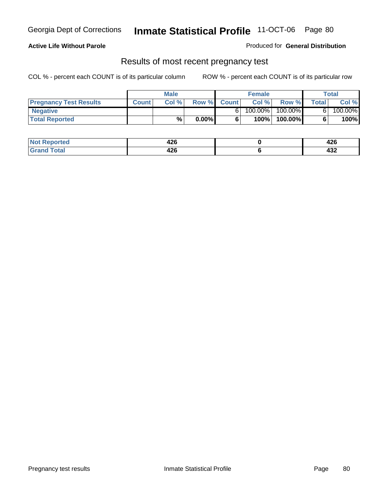### **Active Life Without Parole**

Produced for **General Distribution**

### Results of most recent pregnancy test

|                               | <b>Male</b>  |      |          | <b>Female</b> |         |         | <b>Total</b> |         |
|-------------------------------|--------------|------|----------|---------------|---------|---------|--------------|---------|
| <b>Pregnancy Test Results</b> | <b>Count</b> | Col% | Row %    | <b>Count</b>  | Col %   | Row %   | <b>Total</b> | Col %   |
| <b>Negative</b>               |              |      |          |               | 100.00% | 100.00% |              | 100.00% |
| <b>Total Reported</b>         |              | %    | $0.00\%$ |               | 100%    | 100.00% |              | 100%    |

| orted        | 196<br>44 U | <br>44 U   |
|--------------|-------------|------------|
| <b>Total</b> | <br>44 U    | "^^<br>494 |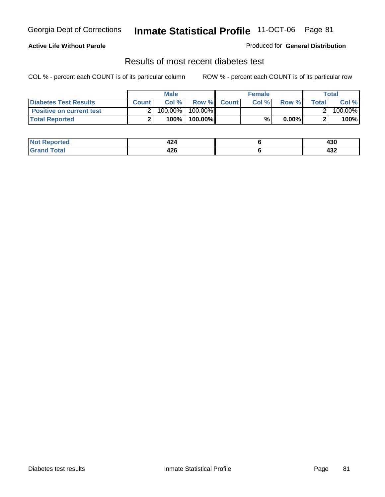### **Active Life Without Parole**

#### Produced for **General Distribution**

## Results of most recent diabetes test

|                                 |              | <b>Male</b> |            |             | <b>Female</b> |          |        | Total   |
|---------------------------------|--------------|-------------|------------|-------------|---------------|----------|--------|---------|
| <b>Diabetes Test Results</b>    | <b>Count</b> | Col %       |            | Row % Count | Col%          | Row %    | Totall | Col %   |
| <b>Positive on current test</b> |              | 100.00%     | $100.00\%$ |             |               |          |        | 100.00% |
| <b>Total Reported</b>           |              | 100%        | 100.00%    |             | %.            | $0.00\%$ |        | 100%    |

| orted       | ın.<br>444 | 430        |
|-------------|------------|------------|
| <b>Tota</b> | <br>44 U   | "^^<br>494 |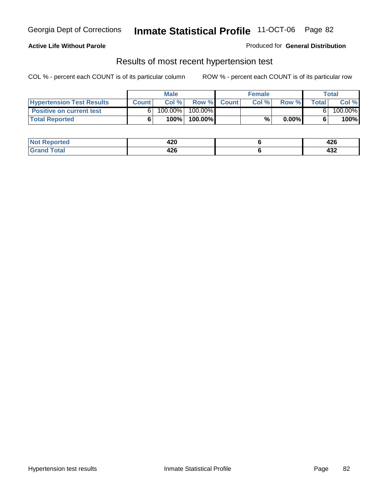### **Active Life Without Parole**

#### Produced for **General Distribution**

### Results of most recent hypertension test

|                                  |              | <b>Male</b> |            |             | <b>Female</b> |          |       | <b>Total</b> |
|----------------------------------|--------------|-------------|------------|-------------|---------------|----------|-------|--------------|
| <b>Hypertension Test Results</b> | <b>Count</b> | Col %       |            | Row % Count | Col%          | Row %    | Total | Col %        |
| <b>Positive on current test</b>  |              | 100.00%     | $100.00\%$ |             |               |          |       | 100.00%      |
| <b>Total Reported</b>            |              | 100%        | 100.00%    |             | %             | $0.00\%$ |       | 100%         |

| <b>Reported</b> | חרו<br>42V | <br>44 U |
|-----------------|------------|----------|
| <b>otal</b>     | 196        | "^^      |
| ____            | 44 V       | 494      |